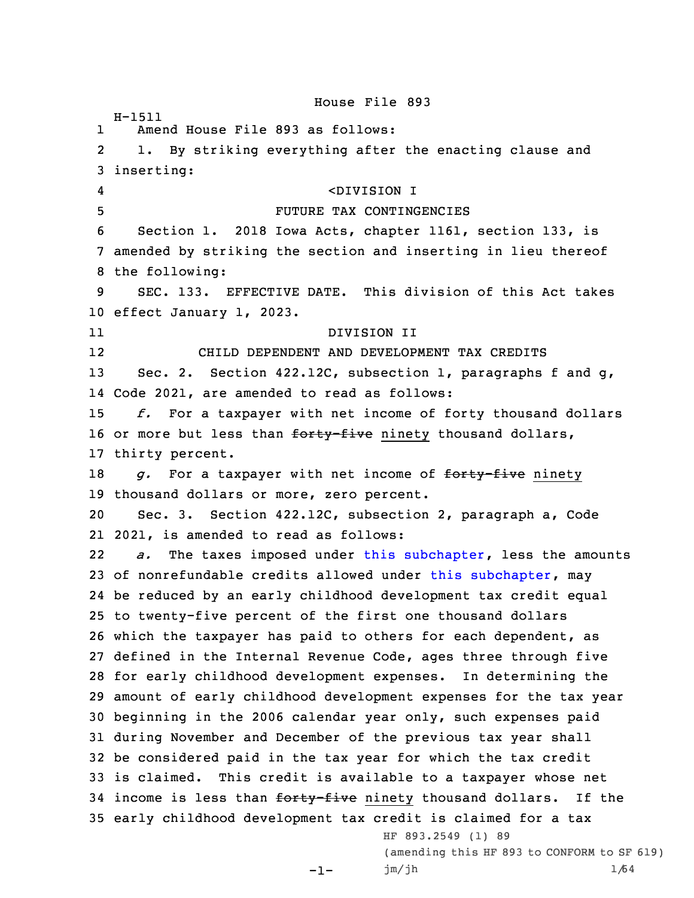House File 893 H-1511 1 Amend House File 893 as follows: 2 1. By striking everything after the enacting clause and 3 inserting: 4 <DIVISION I 5 FUTURE TAX CONTINGENCIES 6 Section 1. 2018 Iowa Acts, chapter 1161, section 133, is 7 amended by striking the section and inserting in lieu thereof 8 the following: 9 SEC. 133. EFFECTIVE DATE. This division of this Act takes 10 effect January 1, 2023. 11 DIVISION II 12 CHILD DEPENDENT AND DEVELOPMENT TAX CREDITS 13 Sec. 2. Section 422.12C, subsection 1, paragraphs f and q, 14 Code 2021, are amended to read as follows: 15 *f.* For <sup>a</sup> taxpayer with net income of forty thousand dollars 16 or more but less than forty-five ninety thousand dollars, 17 thirty percent. 18 *g.* For a taxpayer with net income of forty-five ninety 19 thousand dollars or more, zero percent. 20 Sec. 3. Section 422.12C, subsection 2, paragraph a, Code 21 2021, is amended to read as follows: 22 *a.* The taxes imposed under this [subchapter](https://www.legis.iowa.gov/docs/code//422.pdf), less the amounts 23 of nonrefundable credits allowed under this [subchapter](https://www.legis.iowa.gov/docs/code//422.pdf), may 24 be reduced by an early childhood development tax credit equal 25 to twenty-five percent of the first one thousand dollars 26 which the taxpayer has paid to others for each dependent, as 27 defined in the Internal Revenue Code, ages three through five 28 for early childhood development expenses. In determining the 29 amount of early childhood development expenses for the tax year 30 beginning in the 2006 calendar year only, such expenses paid 31 during November and December of the previous tax year shall 32 be considered paid in the tax year for which the tax credit 33 is claimed. This credit is available to <sup>a</sup> taxpayer whose net 34 income is less than forty-five ninety thousand dollars. If the 35 early childhood development tax credit is claimed for <sup>a</sup> tax HF 893.2549 (1) 89 (amending this HF 893 to CONFORM to SF 619)

```
-1-
```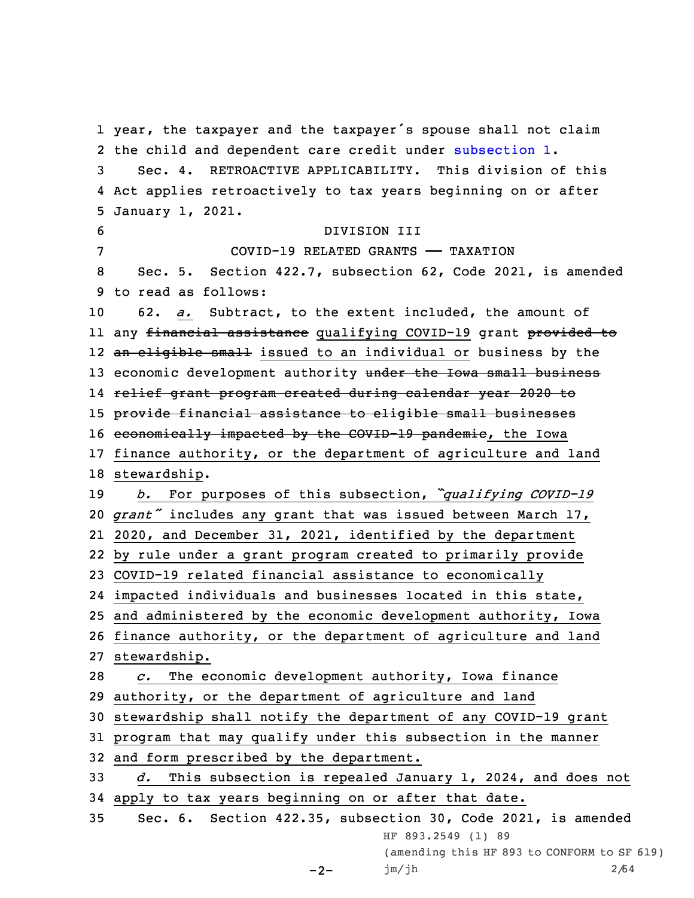year, the taxpayer and the taxpayer's spouse shall not claim the child and dependent care credit under [subsection](https://www.legis.iowa.gov/docs/code/422.12C.pdf) 1. Sec. 4. RETROACTIVE APPLICABILITY. This division of this Act applies retroactively to tax years beginning on or after January 1, 2021. DIVISION III COVID-19 RELATED GRANTS —— TAXATION Sec. 5. Section 422.7, subsection 62, Code 2021, is amended to read as follows: 62. *a.* Subtract, to the extent included, the amount of ll any <del>financial assistance</del> qualifying COVID-19 grant <del>provided to</del> 12 <del>an eligible small</del> issued to an individual or business by the 13 economic development authority under the Iowa small business relief grant program created during calendar year 2020 to provide financial assistance to eligible small businesses 16 economically impacted by the COVID-19 pandemic, the Iowa finance authority, or the department of agriculture and land stewardship. *b.* For purposes of this subsection, *"qualifying COVID-19 grant"* includes any grant that was issued between March 17, 2020, and December 31, 2021, identified by the department by rule under <sup>a</sup> grant program created to primarily provide COVID-19 related financial assistance to economically impacted individuals and businesses located in this state, and administered by the economic development authority, Iowa finance authority, or the department of agriculture and land stewardship. *c.* The economic development authority, Iowa finance authority, or the department of agriculture and land stewardship shall notify the department of any COVID-19 grant program that may qualify under this subsection in the manner and form prescribed by the department. *d.* This subsection is repealed January 1, 2024, and does not apply to tax years beginning on or after that date. Sec. 6. Section 422.35, subsection 30, Code 2021, is amended HF 893.2549 (1) 89 (amending this HF 893 to CONFORM to SF 619)

```
-2-
jm/jh 2/64
```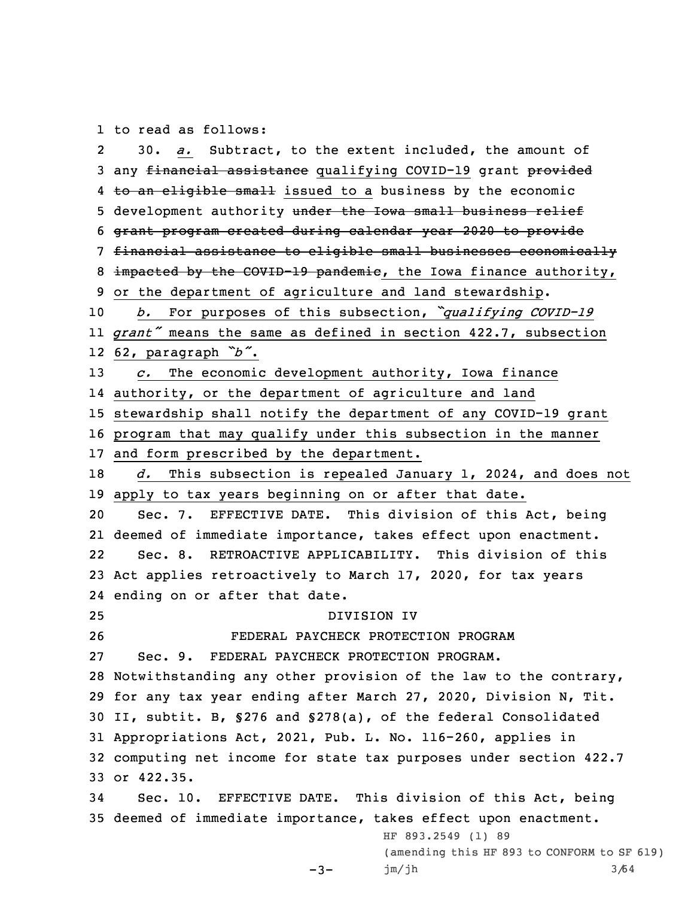1 to read as follows:

2 30. *a.* Subtract, to the extent included, the amount of 3 any financial assistance qualifying COVID-19 grant provided 4 <del>to an eligible small</del> issued to a business by the economic 5 development authority under the Iowa small business relief grant program created during calendar year 2020 to provide financial assistance to eligible small businesses economically 8 impacted by the COVID-19 pandemic, the Iowa finance authority, or the department of agriculture and land stewardship. *b.* For purposes of this subsection, *"qualifying COVID-19 grant"* means the same as defined in section 422.7, subsection 62, paragraph *"b"*. *c.* The economic development authority, Iowa finance authority, or the department of agriculture and land stewardship shall notify the department of any COVID-19 grant program that may qualify under this subsection in the manner and form prescribed by the department. *d.* This subsection is repealed January 1, 2024, and does not apply to tax years beginning on or after that date. Sec. 7. EFFECTIVE DATE. This division of this Act, being deemed of immediate importance, takes effect upon enactment. 22 Sec. 8. RETROACTIVE APPLICABILITY. This division of this Act applies retroactively to March 17, 2020, for tax years ending on or after that date. DIVISION IV FEDERAL PAYCHECK PROTECTION PROGRAM Sec. 9. FEDERAL PAYCHECK PROTECTION PROGRAM. Notwithstanding any other provision of the law to the contrary, for any tax year ending after March 27, 2020, Division N, Tit. II, subtit. B, §276 and §278(a), of the federal Consolidated Appropriations Act, 2021, Pub. L. No. 116-260, applies in computing net income for state tax purposes under section 422.7 or 422.35. Sec. 10. EFFECTIVE DATE. This division of this Act, being deemed of immediate importance, takes effect upon enactment.  $-3-$ HF 893.2549 (1) 89 (amending this HF 893 to CONFORM to SF 619) jm/jh 3/64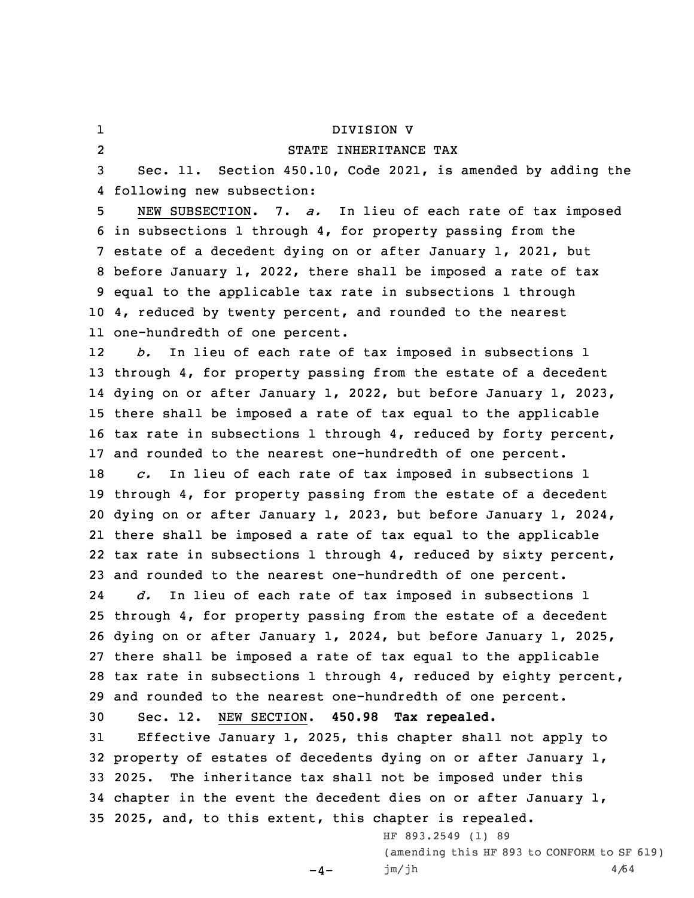## DIVISION V

2

1

## STATE INHERITANCE TAX

3 Sec. 11. Section 450.10, Code 2021, is amended by adding the 4 following new subsection:

 NEW SUBSECTION. 7. *a.* In lieu of each rate of tax imposed in subsections 1 through 4, for property passing from the estate of <sup>a</sup> decedent dying on or after January 1, 2021, but before January 1, 2022, there shall be imposed <sup>a</sup> rate of tax equal to the applicable tax rate in subsections 1 through 4, reduced by twenty percent, and rounded to the nearest one-hundredth of one percent.

12 *b.* In lieu of each rate of tax imposed in subsections 1 through 4, for property passing from the estate of <sup>a</sup> decedent dying on or after January 1, 2022, but before January 1, 2023, there shall be imposed <sup>a</sup> rate of tax equal to the applicable tax rate in subsections 1 through 4, reduced by forty percent, and rounded to the nearest one-hundredth of one percent.

 *c.* In lieu of each rate of tax imposed in subsections 1 through 4, for property passing from the estate of <sup>a</sup> decedent dying on or after January 1, 2023, but before January 1, 2024, there shall be imposed <sup>a</sup> rate of tax equal to the applicable tax rate in subsections 1 through 4, reduced by sixty percent, and rounded to the nearest one-hundredth of one percent.

24 *d.* In lieu of each rate of tax imposed in subsections 1 through 4, for property passing from the estate of <sup>a</sup> decedent dying on or after January 1, 2024, but before January 1, 2025, there shall be imposed <sup>a</sup> rate of tax equal to the applicable tax rate in subsections 1 through 4, reduced by eighty percent, and rounded to the nearest one-hundredth of one percent.

30 Sec. 12. NEW SECTION. **450.98 Tax repealed.**

 Effective January 1, 2025, this chapter shall not apply to property of estates of decedents dying on or after January 1, 2025. The inheritance tax shall not be imposed under this chapter in the event the decedent dies on or after January 1, 2025, and, to this extent, this chapter is repealed.

 $-4-$ 

HF 893.2549 (1) 89 (amending this HF 893 to CONFORM to SF 619)  $jm/jh$  4/64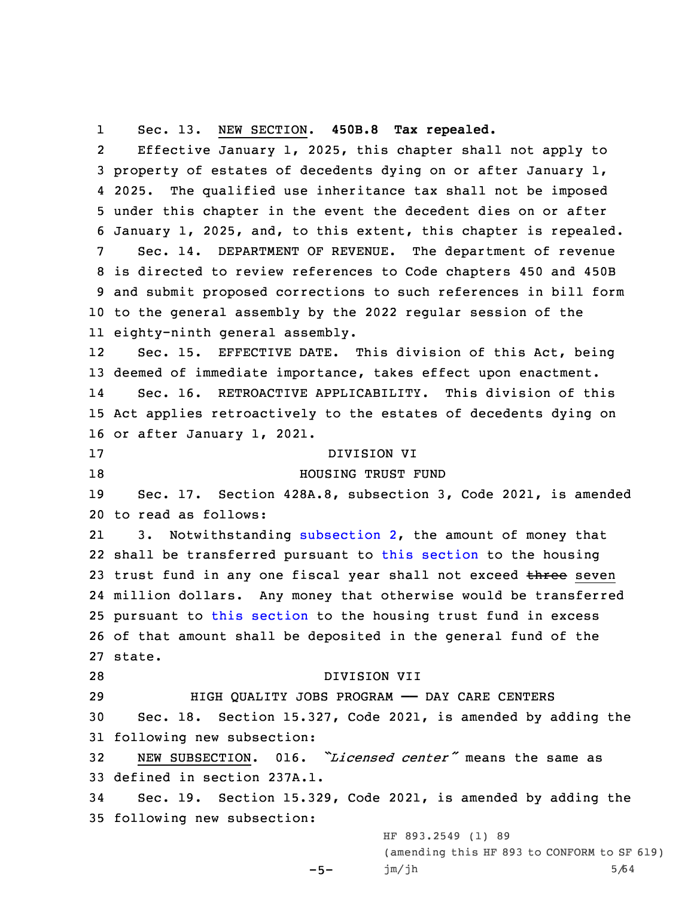1Sec. 13. NEW SECTION. **450B.8 Tax repealed.**

2 Effective January 1, 2025, this chapter shall not apply to property of estates of decedents dying on or after January 1, 4 2025. The qualified use inheritance tax shall not be imposed under this chapter in the event the decedent dies on or after January 1, 2025, and, to this extent, this chapter is repealed. Sec. 14. DEPARTMENT OF REVENUE. The department of revenue is directed to review references to Code chapters 450 and 450B and submit proposed corrections to such references in bill form to the general assembly by the 2022 regular session of the eighty-ninth general assembly. 12 Sec. 15. EFFECTIVE DATE. This division of this Act, being deemed of immediate importance, takes effect upon enactment. 14 Sec. 16. RETROACTIVE APPLICABILITY. This division of this Act applies retroactively to the estates of decedents dying on or after January 1, 2021. DIVISION VI **HOUSING TRUST FUND**  Sec. 17. Section 428A.8, subsection 3, Code 2021, is amended to read as follows: 21 3. Notwithstanding [subsection](https://www.legis.iowa.gov/docs/code/428A.8.pdf) 2, the amount of money that shall be transferred pursuant to this [section](https://www.legis.iowa.gov/docs/code/428A.8.pdf) to the housing 23 trust fund in any one fiscal year shall not exceed three seven million dollars. Any money that otherwise would be transferred pursuant to this [section](https://www.legis.iowa.gov/docs/code/428A.8.pdf) to the housing trust fund in excess of that amount shall be deposited in the general fund of the 27 state. DIVISION VII HIGH QUALITY JOBS PROGRAM —— DAY CARE CENTERS Sec. 18. Section 15.327, Code 2021, is amended by adding the following new subsection: NEW SUBSECTION. 016. *"Licensed center"* means the same as defined in section 237A.1. Sec. 19. Section 15.329, Code 2021, is amended by adding the following new subsection:

 $-5-$ 

HF 893.2549 (1) 89 (amending this HF 893 to CONFORM to SF 619)  $jm/jh$  5/64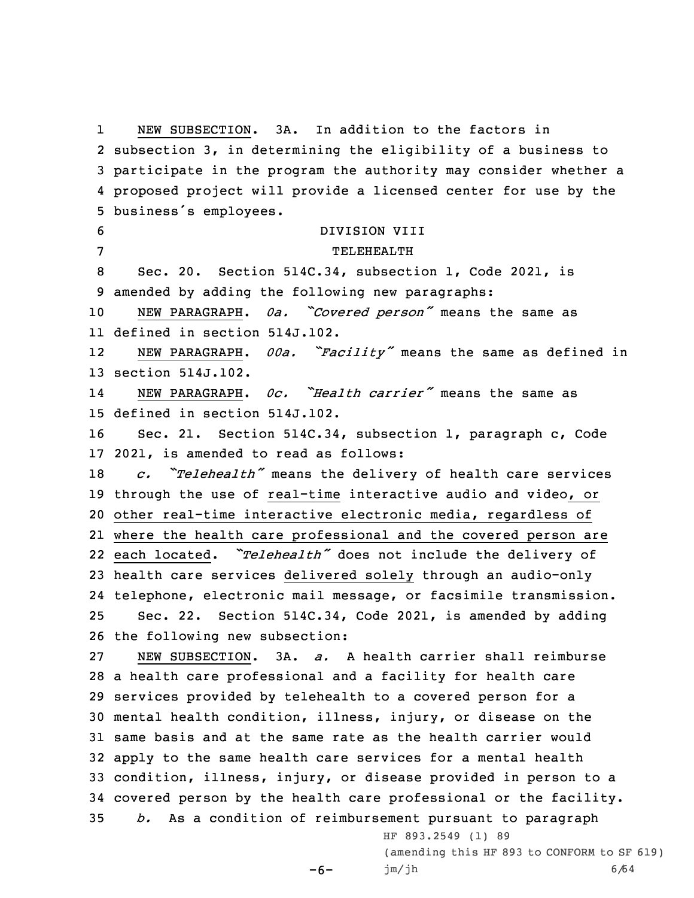1 NEW SUBSECTION. 3A. In addition to the factors in subsection 3, in determining the eligibility of <sup>a</sup> business to participate in the program the authority may consider whether <sup>a</sup> proposed project will provide <sup>a</sup> licensed center for use by the business's employees. DIVISION VIII 7 TELEHEALTH Sec. 20. Section 514C.34, subsection 1, Code 2021, is amended by adding the following new paragraphs: NEW PARAGRAPH. *0a. "Covered person"* means the same as defined in section 514J.102. 12 NEW PARAGRAPH. *00a. "Facility"* means the same as defined in section 514J.102. 14 NEW PARAGRAPH. *0c. "Health carrier"* means the same as defined in section 514J.102. Sec. 21. Section 514C.34, subsection 1, paragraph c, Code 2021, is amended to read as follows: *c. "Telehealth"* means the delivery of health care services through the use of real-time interactive audio and video, or other real-time interactive electronic media, regardless of where the health care professional and the covered person are 22 each located. "Telehealth" does not include the delivery of health care services delivered solely through an audio-only telephone, electronic mail message, or facsimile transmission. Sec. 22. Section 514C.34, Code 2021, is amended by adding the following new subsection: NEW SUBSECTION. 3A. *a.* A health carrier shall reimburse <sup>a</sup> health care professional and <sup>a</sup> facility for health care services provided by telehealth to <sup>a</sup> covered person for <sup>a</sup> mental health condition, illness, injury, or disease on the same basis and at the same rate as the health carrier would apply to the same health care services for <sup>a</sup> mental health condition, illness, injury, or disease provided in person to <sup>a</sup> covered person by the health care professional or the facility. *b.* As <sup>a</sup> condition of reimbursement pursuant to paragraph HF 893.2549 (1) 89 (amending this HF 893 to CONFORM to SF 619)

 $-6-$ 

jm/jh 6/64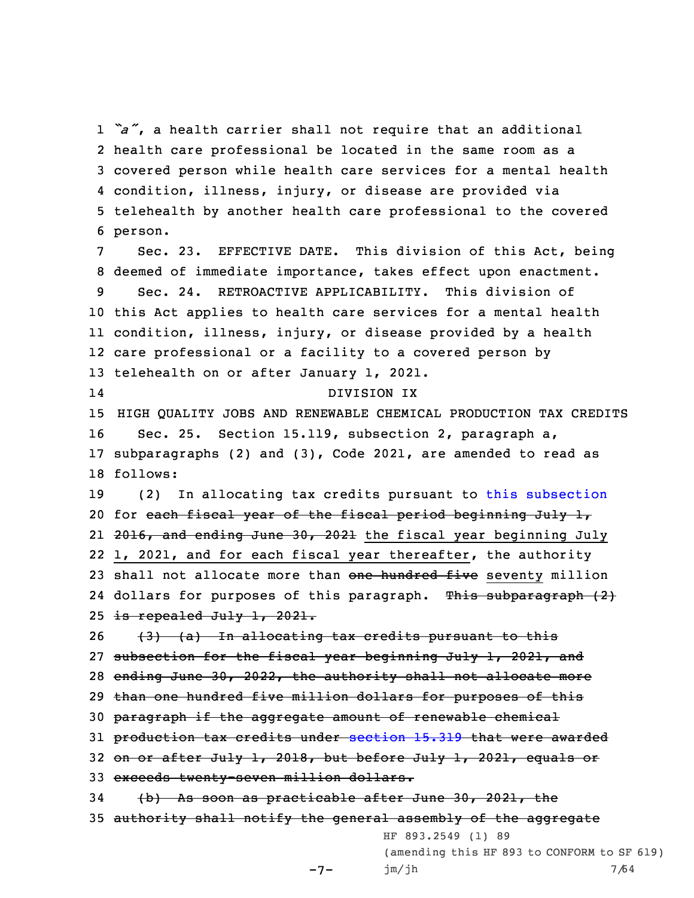*"a"*, <sup>a</sup> health carrier shall not require that an additional health care professional be located in the same room as <sup>a</sup> covered person while health care services for <sup>a</sup> mental health condition, illness, injury, or disease are provided via telehealth by another health care professional to the covered 6 person.

 Sec. 23. EFFECTIVE DATE. This division of this Act, being deemed of immediate importance, takes effect upon enactment. Sec. 24. RETROACTIVE APPLICABILITY. This division of this Act applies to health care services for <sup>a</sup> mental health condition, illness, injury, or disease provided by <sup>a</sup> health care professional or <sup>a</sup> facility to <sup>a</sup> covered person by telehealth on or after January 1, 2021. 14 DIVISION IX HIGH QUALITY JOBS AND RENEWABLE CHEMICAL PRODUCTION TAX CREDITS Sec. 25. Section 15.119, subsection 2, paragraph a, subparagraphs (2) and (3), Code 2021, are amended to read as 18 follows: (2) In allocating tax credits pursuant to this [subsection](https://www.legis.iowa.gov/docs/code/15.119.pdf) 20 for each fiscal year of the fiscal period beginning July  $1_r$ 21 <del>2016, and ending June 30, 2021</del> the fiscal year beginning July 1, 2021, and for each fiscal year thereafter, the authority 23 shall not allocate more than one hundred five seventy million 24 dollars for purposes of this paragraph. This subparagraph (2) 25 is repealed July  $1, 2021.$  $\left(3\right)$   $\left(4\right)$  In allocating tax credits pursuant to this

27 subsection for the fiscal year beginning July 1, 2021, and 28 ending June 30, 2022, the authority shall not allocate more 29 than one hundred five million dollars for purposes of this 30 paragraph if the aggregate amount of renewable chemical 31 production tax credits under [section](https://www.legis.iowa.gov/docs/code/15.319.pdf) 15.319 that were awarded 32 on or after July 1, 2018, but before July 1, 2021, equals or 33 exceeds twenty-seven million dollars. 34 (b) As soon as practicable after June 30, 2021, the 35 authority shall notify the general assembly of the aggregate HF 893.2549 (1) 89

 $-7-$ 

(amending this HF 893 to CONFORM to SF 619) jm/jh 7/64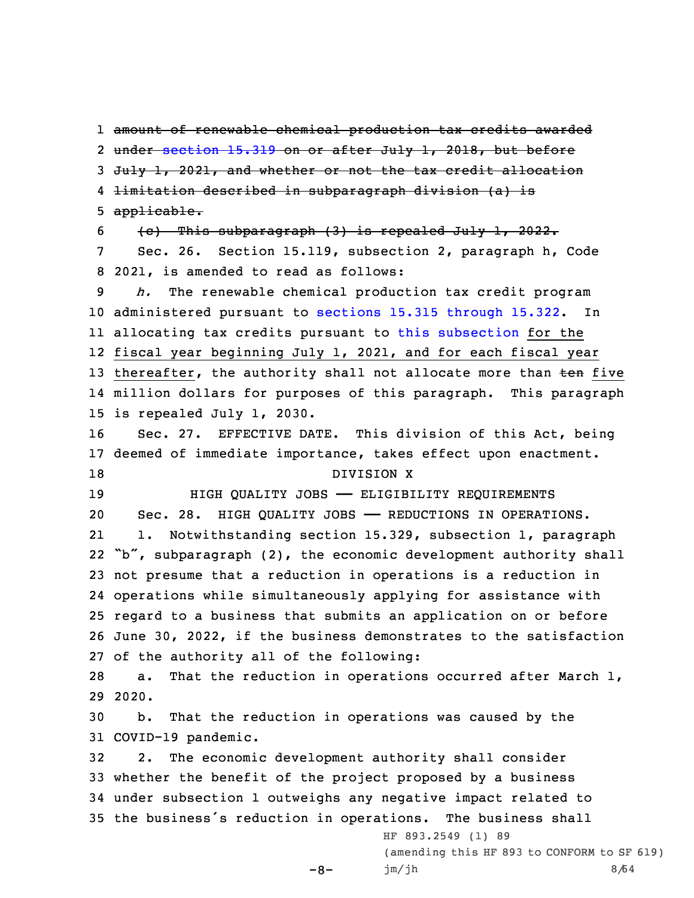amount of renewable chemical production tax credits awarded 2 <del>under [section](https://www.legis.iowa.gov/docs/code/15.319.pdf) 15.319 on or after July 1, 2018, but before</del> 3 July 1, 2021, and whether or not the tax credit allocation limitation described in subparagraph division (a) is applicable. (c) This subparagraph (3) is repealed July 1, 2022. Sec. 26. Section 15.119, subsection 2, paragraph h, Code 2021, is amended to read as follows: *h.* The renewable chemical production tax credit program administered pursuant to sections 15.315 [through](https://www.legis.iowa.gov/docs/code/15.315.pdf) 15.322. In allocating tax credits pursuant to this [subsection](https://www.legis.iowa.gov/docs/code/15.119.pdf) for the fiscal year beginning July 1, 2021, and for each fiscal year 13 thereafter, the authority shall not allocate more than ten five million dollars for purposes of this paragraph. This paragraph is repealed July 1, 2030. Sec. 27. EFFECTIVE DATE. This division of this Act, being deemed of immediate importance, takes effect upon enactment. 18 DIVISION X HIGH QUALITY JOBS —— ELIGIBILITY REQUIREMENTS Sec. 28. HIGH QUALITY JOBS —— REDUCTIONS IN OPERATIONS. 21 1. Notwithstanding section 15.329, subsection 1, paragraph "b", subparagraph (2), the economic development authority shall not presume that <sup>a</sup> reduction in operations is <sup>a</sup> reduction in operations while simultaneously applying for assistance with regard to <sup>a</sup> business that submits an application on or before June 30, 2022, if the business demonstrates to the satisfaction of the authority all of the following: a. That the reduction in operations occurred after March 1, 29 2020. b. That the reduction in operations was caused by the COVID-19 pandemic. 2. The economic development authority shall consider whether the benefit of the project proposed by <sup>a</sup> business under subsection 1 outweighs any negative impact related to the business's reduction in operations. The business shall HF 893.2549 (1) 89 (amending this HF 893 to CONFORM to SF 619)

```
-8-
```
jm/jh 8/64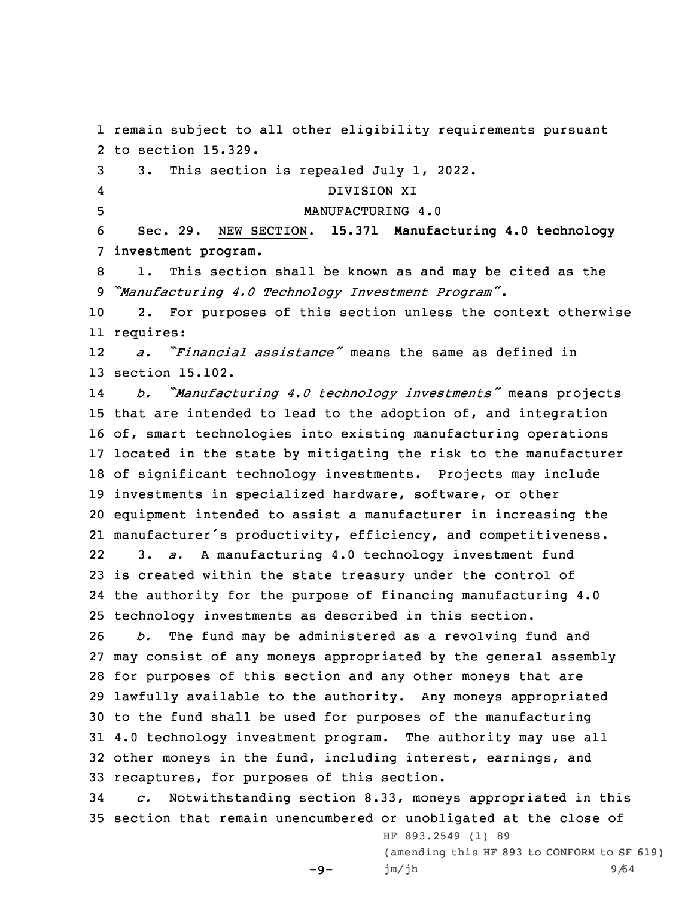remain subject to all other eligibility requirements pursuant to section 15.329. 3. This section is repealed July 1, 2022. 4 DIVISION XI MANUFACTURING 4.0 Sec. 29. NEW SECTION. **15.371 Manufacturing 4.0 technology investment program.** 1. This section shall be known as and may be cited as the *"Manufacturing 4.0 Technology Investment Program"*. 2. For purposes of this section unless the context otherwise requires: 12 *a. "Financial assistance"* means the same as defined in section 15.102. 14 *b. "Manufacturing 4.0 technology investments"* means projects that are intended to lead to the adoption of, and integration of, smart technologies into existing manufacturing operations located in the state by mitigating the risk to the manufacturer of significant technology investments. Projects may include investments in specialized hardware, software, or other equipment intended to assist <sup>a</sup> manufacturer in increasing the manufacturer's productivity, efficiency, and competitiveness. 22 3. *a.* <sup>A</sup> manufacturing 4.0 technology investment fund is created within the state treasury under the control of the authority for the purpose of financing manufacturing 4.0 technology investments as described in this section. *b.* The fund may be administered as <sup>a</sup> revolving fund and may consist of any moneys appropriated by the general assembly for purposes of this section and any other moneys that are lawfully available to the authority. Any moneys appropriated to the fund shall be used for purposes of the manufacturing 4.0 technology investment program. The authority may use all other moneys in the fund, including interest, earnings, and recaptures, for purposes of this section. *c.* Notwithstanding section 8.33, moneys appropriated in this section that remain unencumbered or unobligated at the close of

-9-

(amending this HF 893 to CONFORM to SF 619) jm/jh 9/64

HF 893.2549 (1) 89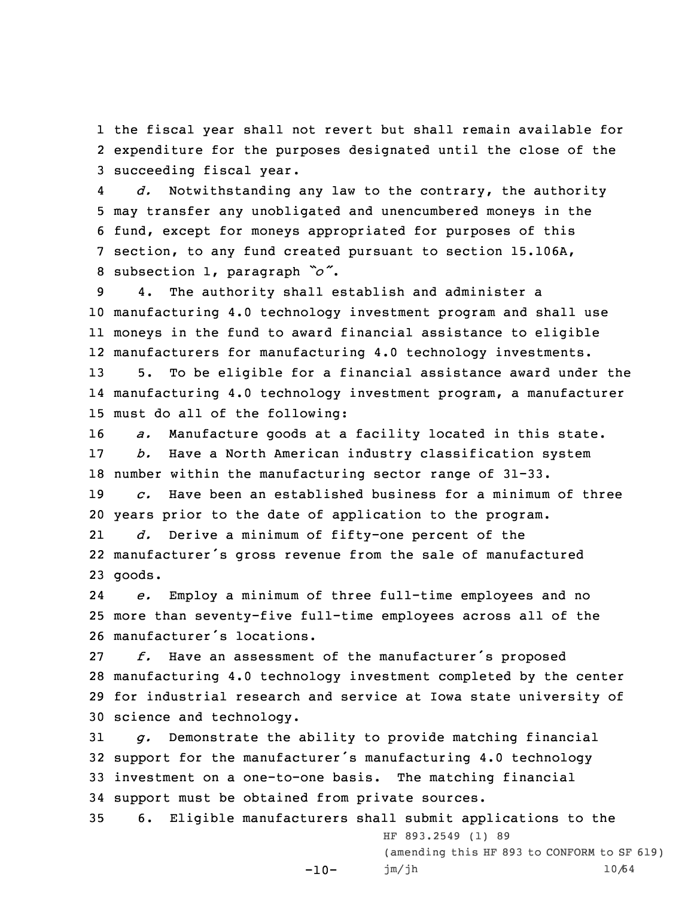1 the fiscal year shall not revert but shall remain available for 2 expenditure for the purposes designated until the close of the 3 succeeding fiscal year.

4 *d.* Notwithstanding any law to the contrary, the authority may transfer any unobligated and unencumbered moneys in the fund, except for moneys appropriated for purposes of this section, to any fund created pursuant to section 15.106A, subsection 1, paragraph *"o"*.

 4. The authority shall establish and administer <sup>a</sup> manufacturing 4.0 technology investment program and shall use moneys in the fund to award financial assistance to eligible manufacturers for manufacturing 4.0 technology investments. 5. To be eligible for <sup>a</sup> financial assistance award under the

14 manufacturing 4.0 technology investment program, <sup>a</sup> manufacturer 15 must do all of the following:

16 *a.* Manufacture goods at <sup>a</sup> facility located in this state. 17 *b.* Have <sup>a</sup> North American industry classification system 18 number within the manufacturing sector range of 31-33.

19 *c.* Have been an established business for <sup>a</sup> minimum of three 20 years prior to the date of application to the program.

21 *d.* Derive <sup>a</sup> minimum of fifty-one percent of the 22 manufacturer's gross revenue from the sale of manufactured 23 goods.

24 *e.* Employ <sup>a</sup> minimum of three full-time employees and no 25 more than seventy-five full-time employees across all of the 26 manufacturer's locations.

 *f.* Have an assessment of the manufacturer's proposed manufacturing 4.0 technology investment completed by the center for industrial research and service at Iowa state university of science and technology.

 *g.* Demonstrate the ability to provide matching financial support for the manufacturer's manufacturing 4.0 technology investment on <sup>a</sup> one-to-one basis. The matching financial support must be obtained from private sources.

35 6. Eligible manufacturers shall submit applications to the  $-10-$ HF 893.2549 (1) 89 (amending this HF 893 to CONFORM to SF 619) jm/jh 10/64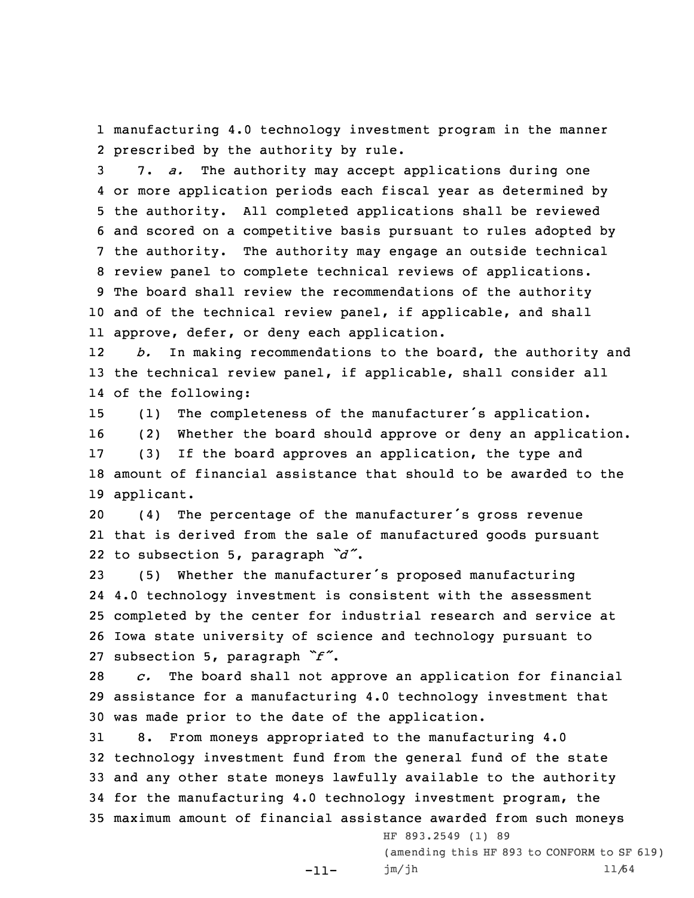1 manufacturing 4.0 technology investment program in the manner 2 prescribed by the authority by rule.

 7. *a.* The authority may accept applications during one or more application periods each fiscal year as determined by the authority. All completed applications shall be reviewed and scored on <sup>a</sup> competitive basis pursuant to rules adopted by the authority. The authority may engage an outside technical review panel to complete technical reviews of applications. The board shall review the recommendations of the authority and of the technical review panel, if applicable, and shall approve, defer, or deny each application.

12 *b.* In making recommendations to the board, the authority and 13 the technical review panel, if applicable, shall consider all 14 of the following:

 (1) The completeness of the manufacturer's application. (2) Whether the board should approve or deny an application. (3) If the board approves an application, the type and amount of financial assistance that should to be awarded to the applicant.

<sup>20</sup> (4) The percentage of the manufacturer's gross revenue 21 that is derived from the sale of manufactured goods pursuant 22 to subsection 5, paragraph *"d"*.

 (5) Whether the manufacturer's proposed manufacturing 4.0 technology investment is consistent with the assessment completed by the center for industrial research and service at Iowa state university of science and technology pursuant to subsection 5, paragraph *"f"*.

28 *c.* The board shall not approve an application for financial 29 assistance for <sup>a</sup> manufacturing 4.0 technology investment that 30 was made prior to the date of the application.

 8. From moneys appropriated to the manufacturing 4.0 technology investment fund from the general fund of the state and any other state moneys lawfully available to the authority for the manufacturing 4.0 technology investment program, the maximum amount of financial assistance awarded from such moneys

-11-

HF 893.2549 (1) 89 (amending this HF 893 to CONFORM to SF 619) jm/jh 11/64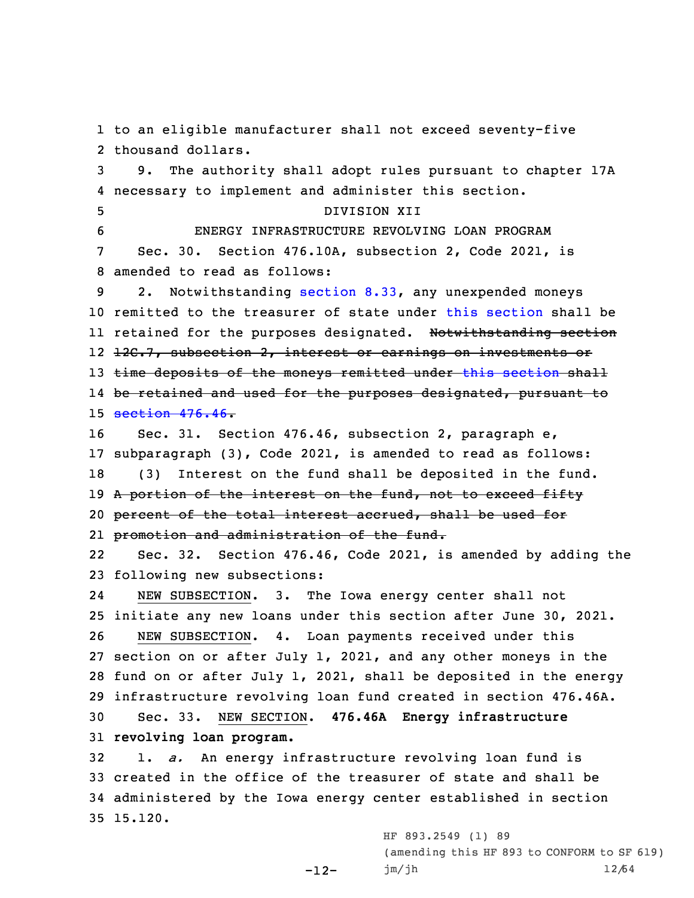to an eligible manufacturer shall not exceed seventy-five thousand dollars. 9. The authority shall adopt rules pursuant to chapter 17A necessary to implement and administer this section. DIVISION XII ENERGY INFRASTRUCTURE REVOLVING LOAN PROGRAM Sec. 30. Section 476.10A, subsection 2, Code 2021, is amended to read as follows: 2. Notwithstanding [section](https://www.legis.iowa.gov/docs/code/8.33.pdf) 8.33, any unexpended moneys remitted to the treasurer of state under this [section](https://www.legis.iowa.gov/docs/code/476.10A.pdf) shall be ll retained for the purposes designated. <del>Notwithstanding section</del> 12 <del>12C.7, subsection 2, interest or earnings on investments or</del> 13 time deposits of the moneys remitted under this [section](https://www.legis.iowa.gov/docs/code/476.10A.pdf) shall be retained and used for the purposes designated, pursuant to [section](https://www.legis.iowa.gov/docs/code/476.46.pdf) 476.46- Sec. 31. Section 476.46, subsection 2, paragraph e, subparagraph (3), Code 2021, is amended to read as follows: (3) Interest on the fund shall be deposited in the fund. 19 A portion of the interest on the fund, not to exceed fifty percent of the total interest accrued, shall be used for promotion and administration of the fund. 22 Sec. 32. Section 476.46, Code 2021, is amended by adding the following new subsections: 24 NEW SUBSECTION. 3. The Iowa energy center shall not initiate any new loans under this section after June 30, 2021. NEW SUBSECTION. 4. Loan payments received under this section on or after July 1, 2021, and any other moneys in the fund on or after July 1, 2021, shall be deposited in the energy infrastructure revolving loan fund created in section 476.46A. Sec. 33. NEW SECTION. **476.46A Energy infrastructure revolving loan program.** 1. *a.* An energy infrastructure revolving loan fund is created in the office of the treasurer of state and shall be administered by the Iowa energy center established in section

-12-

35 15.120.

HF 893.2549 (1) 89 (amending this HF 893 to CONFORM to SF 619) jm/jh 12/64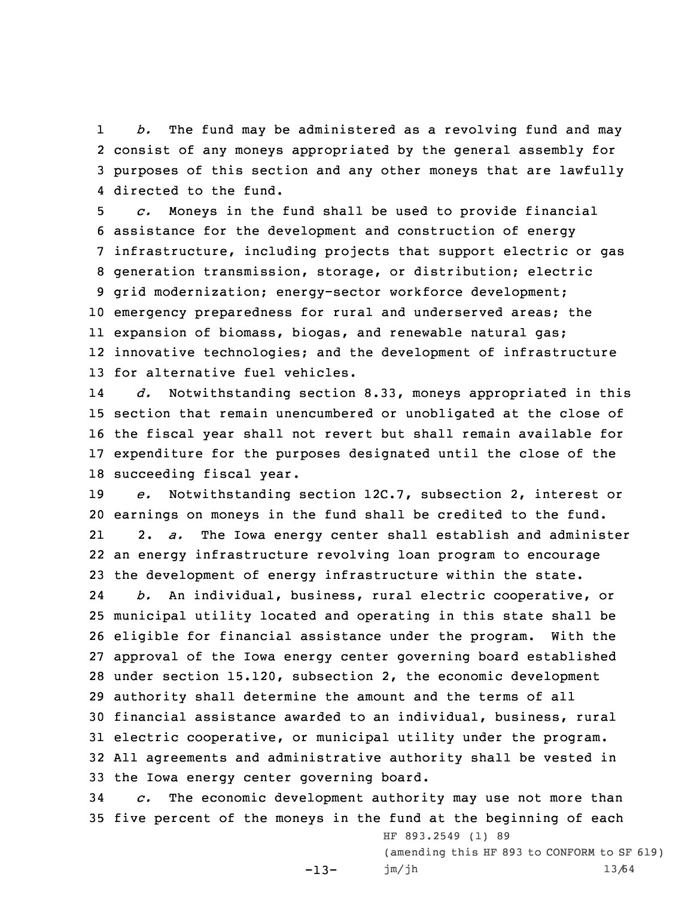1 *b.* The fund may be administered as <sup>a</sup> revolving fund and may 2 consist of any moneys appropriated by the general assembly for 3 purposes of this section and any other moneys that are lawfully 4 directed to the fund.

 *c.* Moneys in the fund shall be used to provide financial assistance for the development and construction of energy infrastructure, including projects that support electric or gas generation transmission, storage, or distribution; electric grid modernization; energy-sector workforce development; emergency preparedness for rural and underserved areas; the expansion of biomass, biogas, and renewable natural gas; innovative technologies; and the development of infrastructure for alternative fuel vehicles.

14 *d.* Notwithstanding section 8.33, moneys appropriated in this section that remain unencumbered or unobligated at the close of the fiscal year shall not revert but shall remain available for expenditure for the purposes designated until the close of the succeeding fiscal year.

19 *e.* Notwithstanding section 12C.7, subsection 2, interest or 20 earnings on moneys in the fund shall be credited to the fund. 21 2. *a.* The Iowa energy center shall establish and administer 22 an energy infrastructure revolving loan program to encourage 23 the development of energy infrastructure within the state. 24*b.* An individual, business, rural electric cooperative, or

 municipal utility located and operating in this state shall be eligible for financial assistance under the program. With the approval of the Iowa energy center governing board established under section 15.120, subsection 2, the economic development authority shall determine the amount and the terms of all financial assistance awarded to an individual, business, rural electric cooperative, or municipal utility under the program. All agreements and administrative authority sha11 be vested in the Iowa energy center governing board.

34 *c.* The economic development authority may use not more than 35 five percent of the moneys in the fund at the beginning of each

 $-13-$ 

HF 893.2549 (1) 89 (amending this HF 893 to CONFORM to SF 619) jm/jh 13/64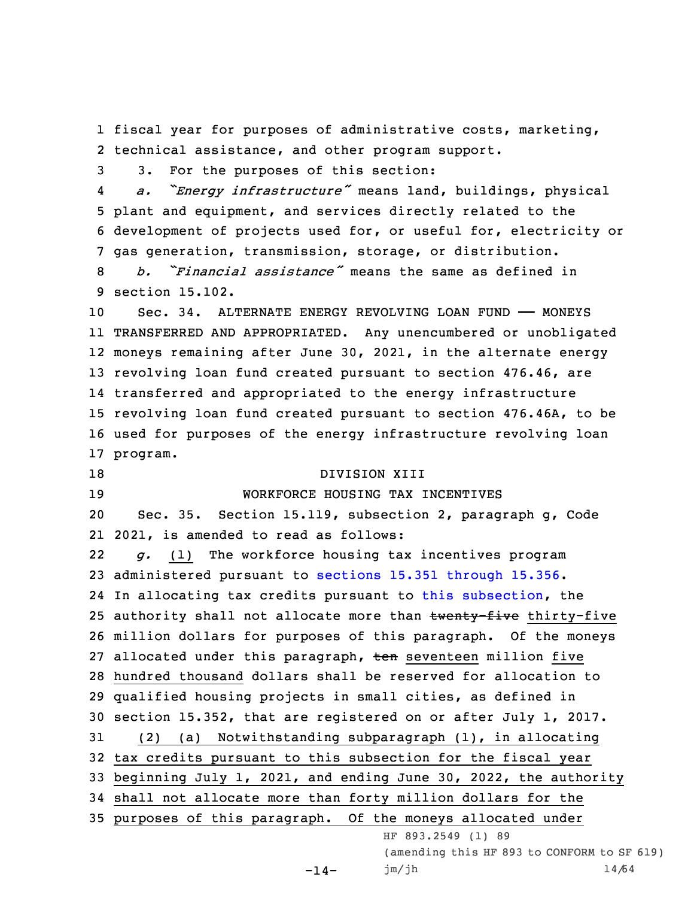1 fiscal year for purposes of administrative costs, marketing, 2 technical assistance, and other program support.

3 3. For the purposes of this section:

4 *a. "Energy infrastructure"* means land, buildings, physical 5 plant and equipment, and services directly related to the 6 development of projects used for, or useful for, electricity or 7 gas generation, transmission, storage, or distribution.

8 *b. "Financial assistance"* means the same as defined in 9 section 15.102.

 Sec. 34. ALTERNATE ENERGY REVOLVING LOAN FUND —— MONEYS TRANSFERRED AND APPROPRIATED. Any unencumbered or unobligated moneys remaining after June 30, 2021, in the alternate energy revolving loan fund created pursuant to section 476.46, are transferred and appropriated to the energy infrastructure revolving loan fund created pursuant to section 476.46A, to be used for purposes of the energy infrastructure revolving loan 17 program.

18 DIVISION XIII

## 19 WORKFORCE HOUSING TAX INCENTIVES

20 Sec. 35. Section 15.119, subsection 2, paragraph g, Code 21 2021, is amended to read as follows:

22 *g.* (1) The workforce housing tax incentives program administered pursuant to sections 15.351 [through](https://www.legis.iowa.gov/docs/code/15.351.pdf) 15.356. In allocating tax credits pursuant to this [subsection](https://www.legis.iowa.gov/docs/code/15.119.pdf), the 25 authority shall not allocate more than twenty-five thirty-five million dollars for purposes of this paragraph. Of the moneys 27 allocated under this paragraph, ten seventeen million five hundred thousand dollars shall be reserved for allocation to qualified housing projects in small cities, as defined in section 15.352, that are registered on or after July 1, 2017. (2) (a) Notwithstanding subparagraph (1), in allocating tax credits pursuant to this subsection for the fiscal year beginning July 1, 2021, and ending June 30, 2022, the authority shall not allocate more than forty million dollars for the purposes of this paragraph. Of the moneys allocated under HF 893.2549 (1) 89 (amending this HF 893 to CONFORM to SF 619)

-14-

jm/jh 14/64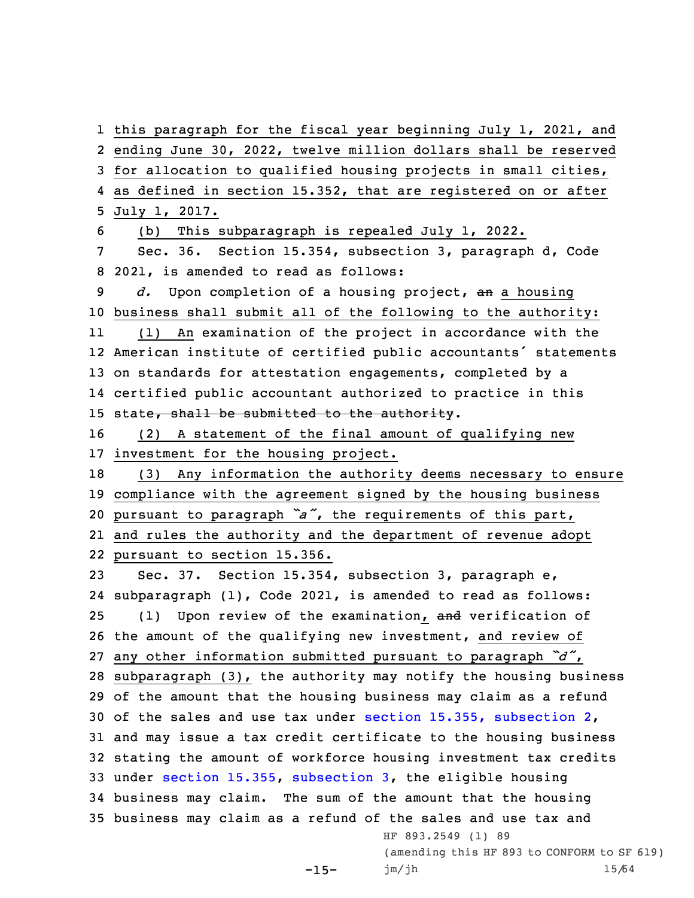this paragraph for the fiscal year beginning July 1, 2021, and ending June 30, 2022, twelve million dollars shall be reserved for allocation to qualified housing projects in small cities, as defined in section 15.352, that are registered on or after July 1, 2017. (b) This subparagraph is repealed July 1, 2022. Sec. 36. Section 15.354, subsection 3, paragraph d, Code 2021, is amended to read as follows: *d.* Upon completion of <sup>a</sup> housing project, an <sup>a</sup> housing business shall submit all of the following to the authority: 11 (1) An examination of the project in accordance with the American institute of certified public accountants' statements on standards for attestation engagements, completed by <sup>a</sup> certified public accountant authorized to practice in this 15 state, shall be submitted to the authority. (2) <sup>A</sup> statement of the final amount of qualifying new investment for the housing project. (3) Any information the authority deems necessary to ensure compliance with the agreement signed by the housing business pursuant to paragraph *"a"*, the requirements of this part, and rules the authority and the department of revenue adopt pursuant to section 15.356. Sec. 37. Section 15.354, subsection 3, paragraph e, subparagraph (1), Code 2021, is amended to read as follows: 25 (1) Upon review of the examination, and verification of the amount of the qualifying new investment, and review of any other information submitted pursuant to paragraph *"d"*, subparagraph (3), the authority may notify the housing business of the amount that the housing business may claim as <sup>a</sup> refund of the sales and use tax under section 15.355, [subsection](https://www.legis.iowa.gov/docs/code/15.355.pdf) 2, and may issue <sup>a</sup> tax credit certificate to the housing business stating the amount of workforce housing investment tax credits under section [15.355](https://www.legis.iowa.gov/docs/code/15.355.pdf), [subsection](https://www.legis.iowa.gov/docs/code/15.354.pdf) 3, the eligible housing business may claim. The sum of the amount that the housing business may claim as <sup>a</sup> refund of the sales and use tax and HF 893.2549 (1) 89 (amending this HF 893 to CONFORM to SF 619) jm/jh 15/64

 $-15-$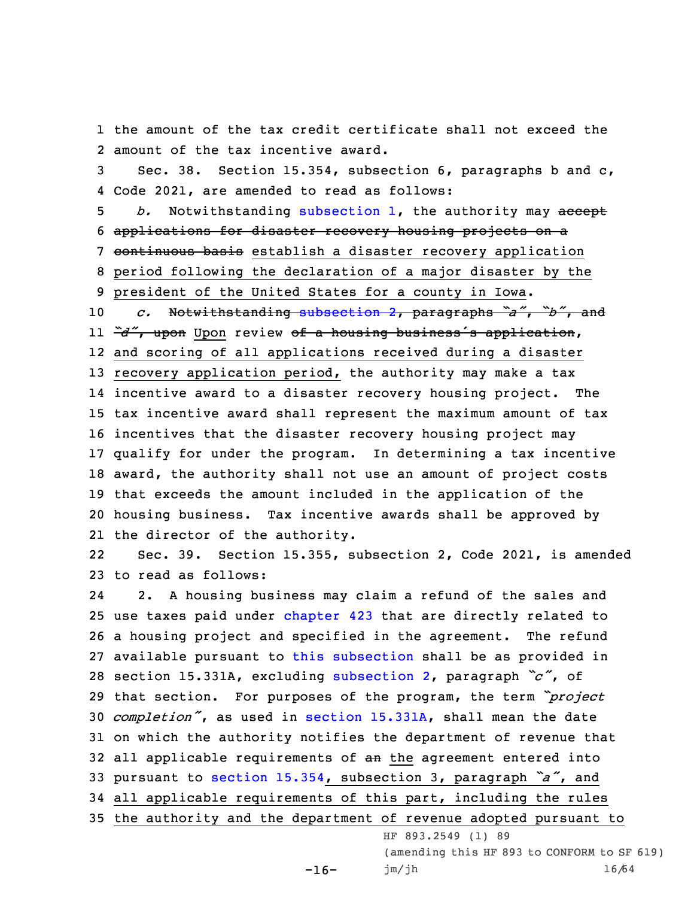1 the amount of the tax credit certificate shall not exceed the 2 amount of the tax incentive award.

3 Sec. 38. Section 15.354, subsection 6, paragraphs b and c, 4 Code 2021, are amended to read as follows:

5 *b.* Notwithstanding [subsection](https://www.legis.iowa.gov/docs/code/15.354.pdf) 1, the authority may accept 6 applications for disaster recovery housing projects on <sup>a</sup> 7 continuous basis establish a disaster recovery application

8 period following the declaration of <sup>a</sup> major disaster by the

9 president of the United States for <sup>a</sup> county in Iowa.

 *c.* Notwithstanding [subsection](https://www.legis.iowa.gov/docs/code/15.354.pdf) 2, paragraphs *"a"*, *"b"*, and *"d"*, upon Upon review of <sup>a</sup> housing business's application, and scoring of all applications received during <sup>a</sup> disaster recovery application period, the authority may make <sup>a</sup> tax incentive award to <sup>a</sup> disaster recovery housing project. The tax incentive award shall represent the maximum amount of tax incentives that the disaster recovery housing project may qualify for under the program. In determining <sup>a</sup> tax incentive award, the authority shall not use an amount of project costs that exceeds the amount included in the application of the housing business. Tax incentive awards shall be approved by the director of the authority.

22 Sec. 39. Section 15.355, subsection 2, Code 2021, is amended 23 to read as follows:

24 2. <sup>A</sup> housing business may claim <sup>a</sup> refund of the sales and use taxes paid under [chapter](https://www.legis.iowa.gov/docs/code//423.pdf) 423 that are directly related to <sup>a</sup> housing project and specified in the agreement. The refund available pursuant to this [subsection](https://www.legis.iowa.gov/docs/code/15.355.pdf) shall be as provided in section 15.331A, excluding [subsection](https://www.legis.iowa.gov/docs/code/15.355.pdf) 2, paragraph *"c"*, of that section. For purposes of the program, the term *"project completion"*, as used in section [15.331A](https://www.legis.iowa.gov/docs/code/15.331A.pdf), shall mean the date on which the authority notifies the department of revenue that 32 all applicable requirements of an the agreement entered into pursuant to section [15.354](https://www.legis.iowa.gov/docs/code/15.354.pdf), subsection 3, paragraph *"a"*, and all applicable requirements of this part, including the rules the authority and the department of revenue adopted pursuant to

 $-16-$ 

HF 893.2549 (1) 89 (amending this HF 893 to CONFORM to SF 619)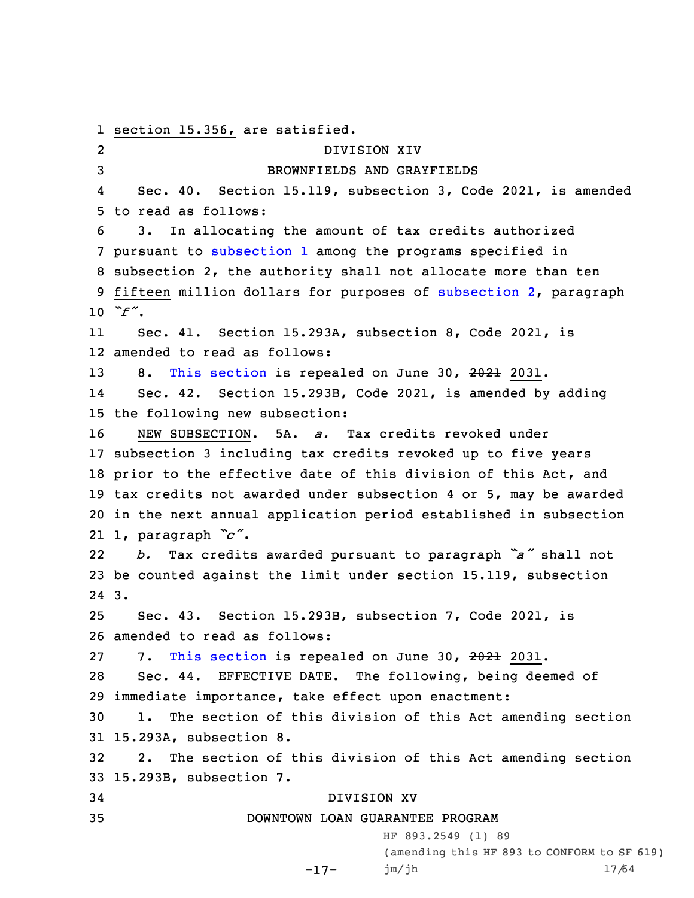1 section 15.356, are satisfied. 2 DIVISION XIV 3 BROWNFIELDS AND GRAYFIELDS 4 Sec. 40. Section 15.119, subsection 3, Code 2021, is amended 5 to read as follows: 6 3. In allocating the amount of tax credits authorized 7 pursuant to [subsection](https://www.legis.iowa.gov/docs/code/15.119.pdf) 1 among the programs specified in 8 subsection 2, the authority shall not allocate more than ten 9 fifteen million dollars for purposes of [subsection](https://www.legis.iowa.gov/docs/code/15.119.pdf) 2, paragraph 10 *"f"*. 11 Sec. 41. Section 15.293A, subsection 8, Code 2021, is 12 amended to read as follows: 13 8. This [section](https://www.legis.iowa.gov/docs/code/15.293A.pdf) is repealed on June 30, 2021 2031. 14 Sec. 42. Section 15.293B, Code 2021, is amended by adding 15 the following new subsection: 16 NEW SUBSECTION. 5A. *a.* Tax credits revoked under 17 subsection 3 including tax credits revoked up to five years 18 prior to the effective date of this division of this Act, and 19 tax credits not awarded under subsection 4 or 5, may be awarded 20 in the next annual application period established in subsection 21 1, paragraph *"c"*. 22 *b.* Tax credits awarded pursuant to paragraph *"a"* shall not 23 be counted against the limit under section 15.119, subsection 24 3. 25 Sec. 43. Section 15.293B, subsection 7, Code 2021, is 26 amended to read as follows: 27 7. This [section](https://www.legis.iowa.gov/docs/code/15.293B.pdf) is repealed on June 30, 2021 2031. 28 Sec. 44. EFFECTIVE DATE. The following, being deemed of 29 immediate importance, take effect upon enactment: 30 1. The section of this division of this Act amending section 31 15.293A, subsection 8. 32 2. The section of this division of this Act amending section 33 15.293B, subsection 7. 34 DIVISION XV 35 DOWNTOWN LOAN GUARANTEE PROGRAM HF 893.2549 (1) 89 (amending this HF 893 to CONFORM to SF 619)

```
-17-
 jm/jh 17/64
```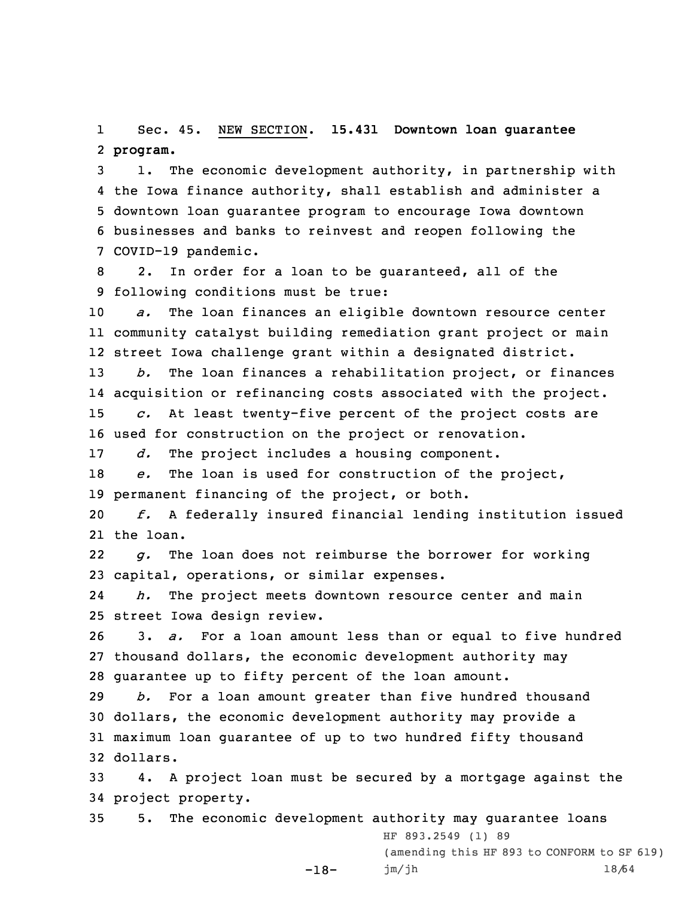1 Sec. 45. NEW SECTION. **15.431 Downtown loan guarantee** 2 **program.**

 1. The economic development authority, in partnership with the Iowa finance authority, shall establish and administer <sup>a</sup> downtown loan guarantee program to encourage Iowa downtown businesses and banks to reinvest and reopen following the COVID-19 pandemic.

8 2. In order for <sup>a</sup> loan to be guaranteed, all of the 9 following conditions must be true:

10 *a.* The loan finances an eligible downtown resource center 11 community catalyst building remediation grant project or main 12 street Iowa challenge grant within <sup>a</sup> designated district.

 *b.* The loan finances <sup>a</sup> rehabilitation project, or finances acquisition or refinancing costs associated with the project. *c.* At least twenty-five percent of the project costs are used for construction on the project or renovation.

17 *d.* The project includes <sup>a</sup> housing component.

18 *e.* The loan is used for construction of the project, 19 permanent financing of the project, or both.

20 *f.* <sup>A</sup> federally insured financial lending institution issued 21 the loan.

22 *g.* The loan does not reimburse the borrower for working 23 capital, operations, or similar expenses.

24 *h.* The project meets downtown resource center and main 25 street Iowa design review.

26 3. *a.* For <sup>a</sup> loan amount less than or equal to five hundred 27 thousand dollars, the economic development authority may 28 guarantee up to fifty percent of the loan amount.

 *b.* For <sup>a</sup> loan amount greater than five hundred thousand dollars, the economic development authority may provide <sup>a</sup> maximum loan guarantee of up to two hundred fifty thousand 32 dollars.

33 4. <sup>A</sup> project loan must be secured by <sup>a</sup> mortgage against the 34 project property.

35 5. The economic development authority may guarantee loans -18- HF 893.2549 (1) 89 (amending this HF 893 to CONFORM to SF 619) jm/jh 18/64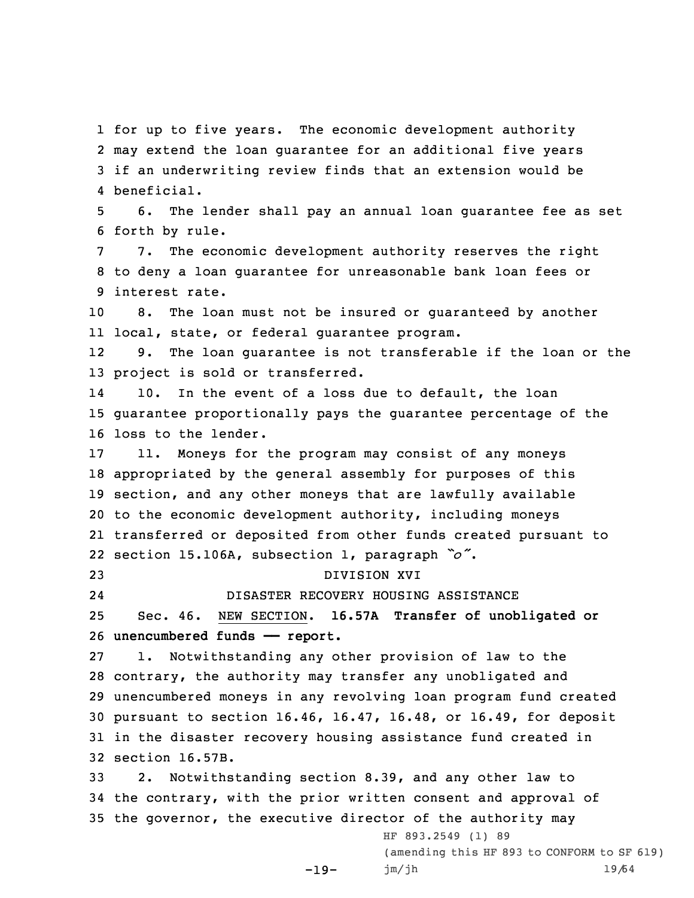for up to five years. The economic development authority may extend the loan guarantee for an additional five years if an underwriting review finds that an extension would be beneficial.

5 6. The lender shall pay an annual loan guarantee fee as set 6 forth by rule.

7 7. The economic development authority reserves the right 8 to deny <sup>a</sup> loan guarantee for unreasonable bank loan fees or 9 interest rate.

10 8. The loan must not be insured or guaranteed by another 11 local, state, or federal guarantee program.

12 9. The loan guarantee is not transferable if the loan or the 13 project is sold or transferred.

14 10. In the event of <sup>a</sup> loss due to default, the loan 15 guarantee proportionally pays the guarantee percentage of the 16 loss to the lender.

 11. Moneys for the program may consist of any moneys appropriated by the general assembly for purposes of this section, and any other moneys that are lawfully available to the economic development authority, including moneys transferred or deposited from other funds created pursuant to section 15.106A, subsection 1, paragraph *"o"*.

23 DIVISION XVI 24

DISASTER RECOVERY HOUSING ASSISTANCE

25 Sec. 46. NEW SECTION. **16.57A Transfer of unobligated or** 26 **unencumbered funds —— report.**

 1. Notwithstanding any other provision of law to the contrary, the authority may transfer any unobligated and unencumbered moneys in any revolving loan program fund created pursuant to section 16.46, 16.47, 16.48, or 16.49, for deposit in the disaster recovery housing assistance fund created in section 16.57B.

33 2. Notwithstanding section 8.39, and any other law to 34 the contrary, with the prior written consent and approval of 35 the governor, the executive director of the authority may

-19-

(amending this HF 893 to CONFORM to SF 619) jm/jh 19/64

HF 893.2549 (1) 89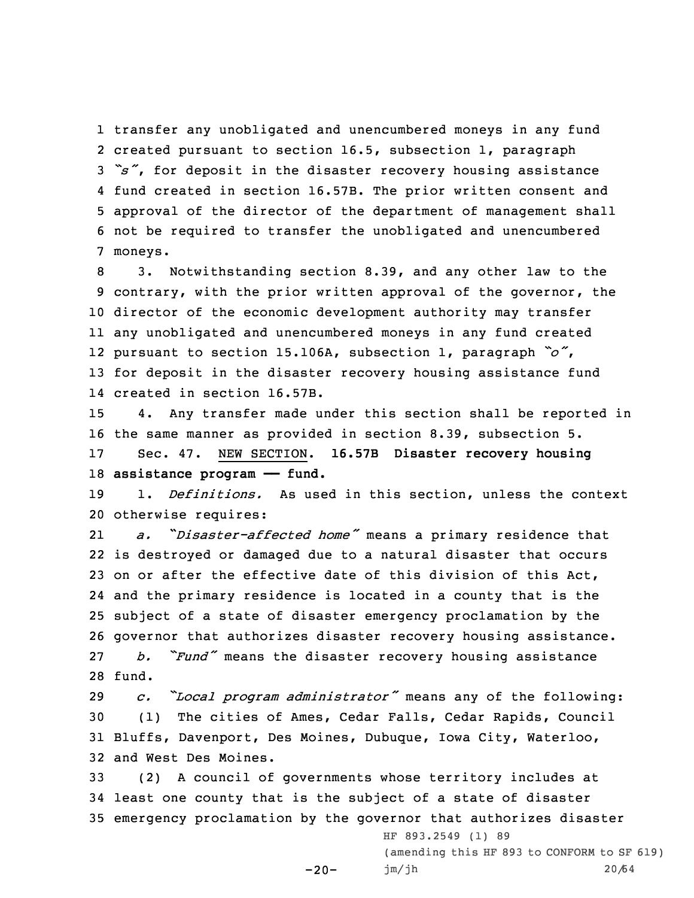transfer any unobligated and unencumbered moneys in any fund created pursuant to section 16.5, subsection 1, paragraph *"s"*, for deposit in the disaster recovery housing assistance fund created in section 16.57B. The prior written consent and approval of the director of the department of management shall not be required to transfer the unobligated and unencumbered 7 moneys.

 3. Notwithstanding section 8.39, and any other law to the contrary, with the prior written approval of the governor, the director of the economic development authority may transfer any unobligated and unencumbered moneys in any fund created pursuant to section 15.106A, subsection 1, paragraph *"o"*, for deposit in the disaster recovery housing assistance fund created in section 16.57B.

 4. Any transfer made under this section shall be reported in the same manner as provided in section 8.39, subsection 5. Sec. 47. NEW SECTION. **16.57B Disaster recovery housing assistance program —— fund.**

19 1. *Definitions.* As used in this section, unless the context 20 otherwise requires:

21 *a.* "*Disaster-affected home"* means <sup>a</sup> primary residence that is destroyed or damaged due to <sup>a</sup> natural disaster that occurs on or after the effective date of this division of this Act, and the primary residence is located in <sup>a</sup> county that is the subject of <sup>a</sup> state of disaster emergency proclamation by the governor that authorizes disaster recovery housing assistance. *b. "Fund"* means the disaster recovery housing assistance 28 fund.

 *c. "Local program administrator"* means any of the following: (1) The cities of Ames, Cedar Falls, Cedar Rapids, Council Bluffs, Davenport, Des Moines, Dubuque, Iowa City, Waterloo, and West Des Moines.

33 (2) <sup>A</sup> council of governments whose territory includes at 34 least one county that is the subject of <sup>a</sup> state of disaster 35 emergency proclamation by the governor that authorizes disaster

 $-20-$ 

HF 893.2549 (1) 89 (amending this HF 893 to CONFORM to SF 619) jm/jh 20/64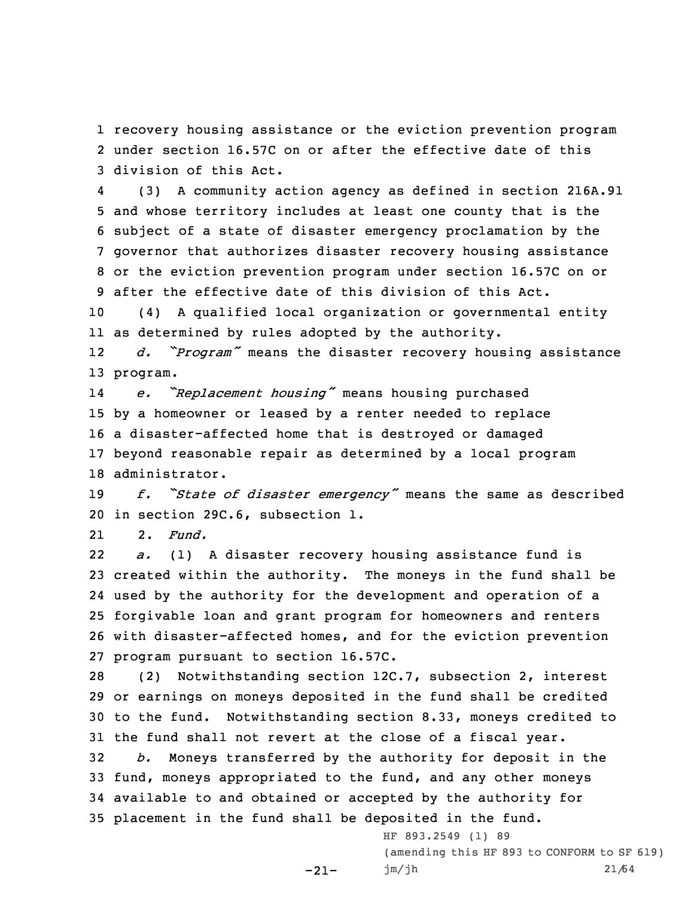1 recovery housing assistance or the eviction prevention program 2 under section 16.57C on or after the effective date of this 3 division of this Act.

4 (3) <sup>A</sup> community action agency as defined in section 216A.91 and whose territory includes at least one county that is the subject of <sup>a</sup> state of disaster emergency proclamation by the governor that authorizes disaster recovery housing assistance or the eviction prevention program under section 16.57C on or after the effective date of this division of this Act.

10 (4) <sup>A</sup> qualified local organization or governmental entity 11 as determined by rules adopted by the authority.

12 *d. "Program"* means the disaster recovery housing assistance 13 program.

14 *e. "Replacement housing"* means housing purchased by <sup>a</sup> homeowner or leased by <sup>a</sup> renter needed to replace <sup>a</sup> disaster-affected home that is destroyed or damaged beyond reasonable repair as determined by <sup>a</sup> local program administrator.

<sup>19</sup> *f. "State of disaster emergency"* means the same as described 20 in section 29C.6, subsection 1.

212. *Fund.*

22 *a.* (1) <sup>A</sup> disaster recovery housing assistance fund is created within the authority. The moneys in the fund shall be used by the authority for the development and operation of <sup>a</sup> forgivable loan and grant program for homeowners and renters with disaster-affected homes, and for the eviction prevention program pursuant to section 16.57C.

 (2) Notwithstanding section 12C.7, subsection 2, interest or earnings on moneys deposited in the fund shall be credited to the fund. Notwithstanding section 8.33, moneys credited to the fund shall not revert at the close of <sup>a</sup> fiscal year. *b.* Moneys transferred by the authority for deposit in the fund, moneys appropriated to the fund, and any other moneys available to and obtained or accepted by the authority for placement in the fund shall be deposited in the fund.

-21-

HF 893.2549 (1) 89 (amending this HF 893 to CONFORM to SF 619) jm/jh 21/64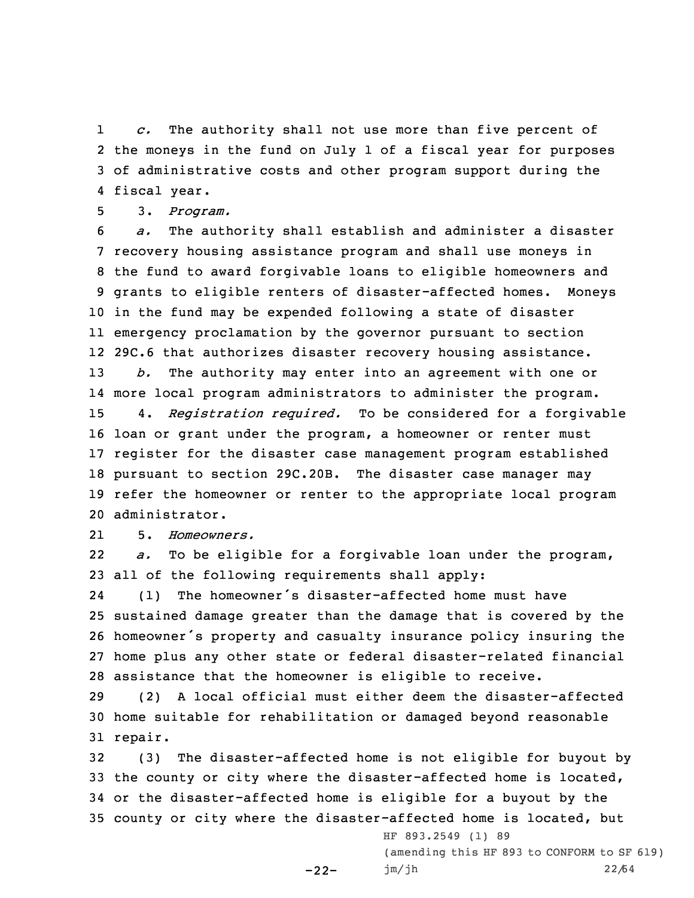1 *c.* The authority shall not use more than five percent of 2 the moneys in the fund on July 1 of <sup>a</sup> fiscal year for purposes 3 of administrative costs and other program support during the 4 fiscal year.

5 3. *Program.*

 *a.* The authority shall establish and administer <sup>a</sup> disaster recovery housing assistance program and shall use moneys in the fund to award forgivable loans to eligible homeowners and grants to eligible renters of disaster-affected homes. Moneys in the fund may be expended following <sup>a</sup> state of disaster emergency proclamation by the governor pursuant to section 29C.6 that authorizes disaster recovery housing assistance. *b.* The authority may enter into an agreement with one or more local program administrators to administer the program. 4. *Registration required.* To be considered for <sup>a</sup> forgivable loan or grant under the program, <sup>a</sup> homeowner or renter must register for the disaster case management program established pursuant to section 29C.20B. The disaster case manager may refer the homeowner or renter to the appropriate local program administrator.

215. *Homeowners.*

22 *a.* To be eligible for <sup>a</sup> forgivable loan under the program, 23 all of the following requirements shall apply:

24 (1) The homeowner's disaster-affected home must have sustained damage greater than the damage that is covered by the homeowner's property and casualty insurance policy insuring the home plus any other state or federal disaster-related financial assistance that the homeowner is eligible to receive.

29 (2) <sup>A</sup> local official must either deem the disaster-affected 30 home suitable for rehabilitation or damaged beyond reasonable 31 repair.

 (3) The disaster-affected home is not eligible for buyout by the county or city where the disaster-affected home is located, or the disaster-affected home is eligible for <sup>a</sup> buyout by the county or city where the disaster-affected home is located, but

-22-

HF 893.2549 (1) 89 (amending this HF 893 to CONFORM to SF 619) jm/jh 22/64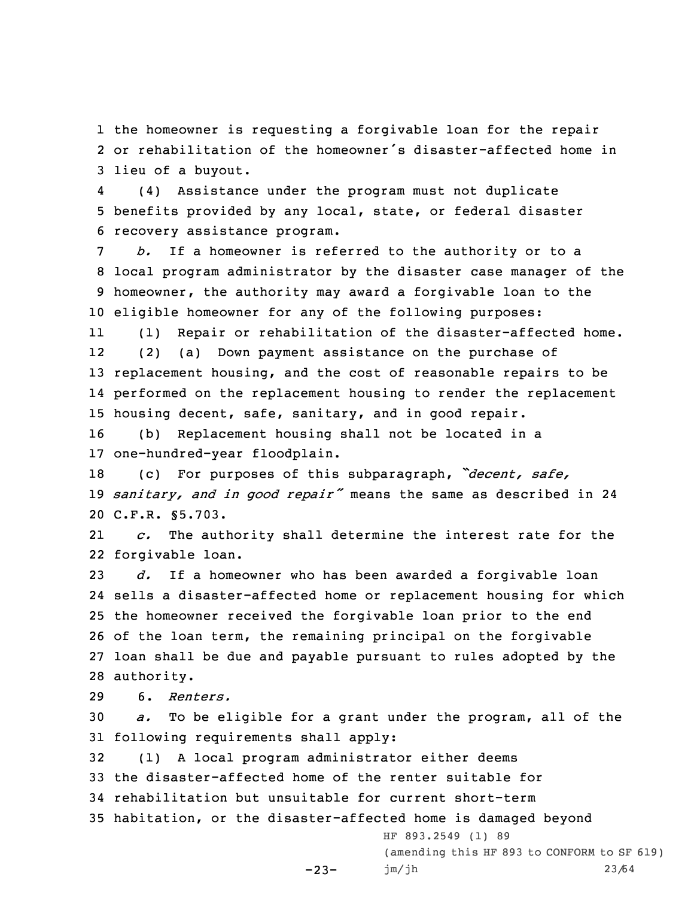1 the homeowner is requesting <sup>a</sup> forgivable loan for the repair 2 or rehabilitation of the homeowner's disaster-affected home in 3 lieu of <sup>a</sup> buyout.

4 (4) Assistance under the program must not duplicate 5 benefits provided by any local, state, or federal disaster 6 recovery assistance program.

 *b.* If <sup>a</sup> homeowner is referred to the authority or to <sup>a</sup> local program administrator by the disaster case manager of the homeowner, the authority may award <sup>a</sup> forgivable loan to the eligible homeowner for any of the following purposes:

11 (1) Repair or rehabilitation of the disaster-affected home. 12 (2) (a) Down payment assistance on the purchase of 13 replacement housing, and the cost of reasonable repairs to be 14 performed on the replacement housing to render the replacement 15 housing decent, safe, sanitary, and in good repair.

16 (b) Replacement housing shall not be located in <sup>a</sup> 17 one-hundred-year floodplain.

<sup>18</sup> (c) For purposes of this subparagraph, *"decent, safe,* <sup>19</sup> *sanitary, and in good repair"* means the same as described in <sup>24</sup> 20 C.F.R. §5.703.

21 *c.* The authority shall determine the interest rate for the 22 forgivable loan.

 *d.* If <sup>a</sup> homeowner who has been awarded <sup>a</sup> forgivable loan sells <sup>a</sup> disaster-affected home or replacement housing for which the homeowner received the forgivable loan prior to the end of the loan term, the remaining principal on the forgivable loan shall be due and payable pursuant to rules adopted by the authority.

29 6. *Renters.*

30 *a.* To be eligible for <sup>a</sup> grant under the program, all of the 31 following requirements shall apply:

 (1) <sup>A</sup> local program administrator either deems the disaster-affected home of the renter suitable for rehabilitation but unsuitable for current short-term habitation, or the disaster-affected home is damaged beyond

 $-23-$ 

(amending this HF 893 to CONFORM to SF 619) jm/jh 23/64

HF 893.2549 (1) 89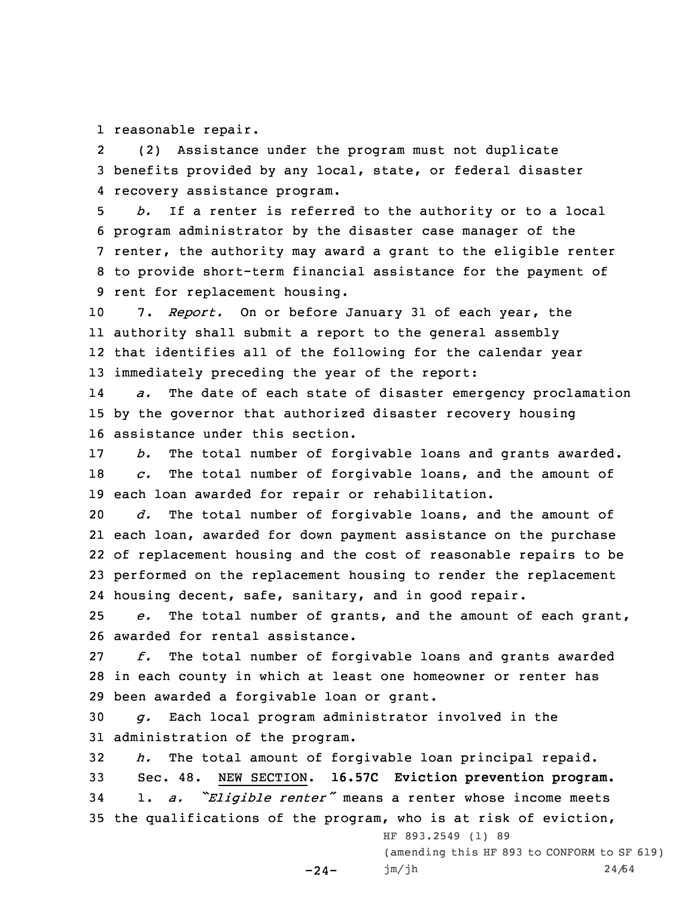1 reasonable repair.

2 (2) Assistance under the program must not duplicate 3 benefits provided by any local, state, or federal disaster 4 recovery assistance program.

 *b.* If <sup>a</sup> renter is referred to the authority or to <sup>a</sup> local program administrator by the disaster case manager of the renter, the authority may award <sup>a</sup> grant to the eligible renter to provide short-term financial assistance for the payment of rent for replacement housing.

 7. *Report.* On or before January 31 of each year, the authority shall submit <sup>a</sup> report to the general assembly that identifies all of the following for the calendar year immediately preceding the year of the report:

14 *a.* The date of each state of disaster emergency proclamation 15 by the governor that authorized disaster recovery housing 16 assistance under this section.

17 *b.* The total number of forgivable loans and grants awarded. 18 *c.* The total number of forgivable loans, and the amount of 19 each loan awarded for repair or rehabilitation.

 *d.* The total number of forgivable loans, and the amount of each loan, awarded for down payment assistance on the purchase of replacement housing and the cost of reasonable repairs to be performed on the replacement housing to render the replacement housing decent, safe, sanitary, and in good repair.

25 *e.* The total number of grants, and the amount of each grant, 26 awarded for rental assistance.

27 *f.* The total number of forgivable loans and grants awarded 28 in each county in which at least one homeowner or renter has 29 been awarded <sup>a</sup> forgivable loan or grant.

30 *g.* Each local program administrator involved in the 31 administration of the program.

-24-

32 *h.* The total amount of forgivable loan principal repaid. 33 Sec. 48. NEW SECTION. **16.57C Eviction prevention program.**

<sup>34</sup> 1. *a. "Eligible renter"* means <sup>a</sup> renter whose income meets 35 the qualifications of the program, who is at risk of eviction,

HF 893.2549 (1) 89

(amending this HF 893 to CONFORM to SF 619) jm/jh 24/64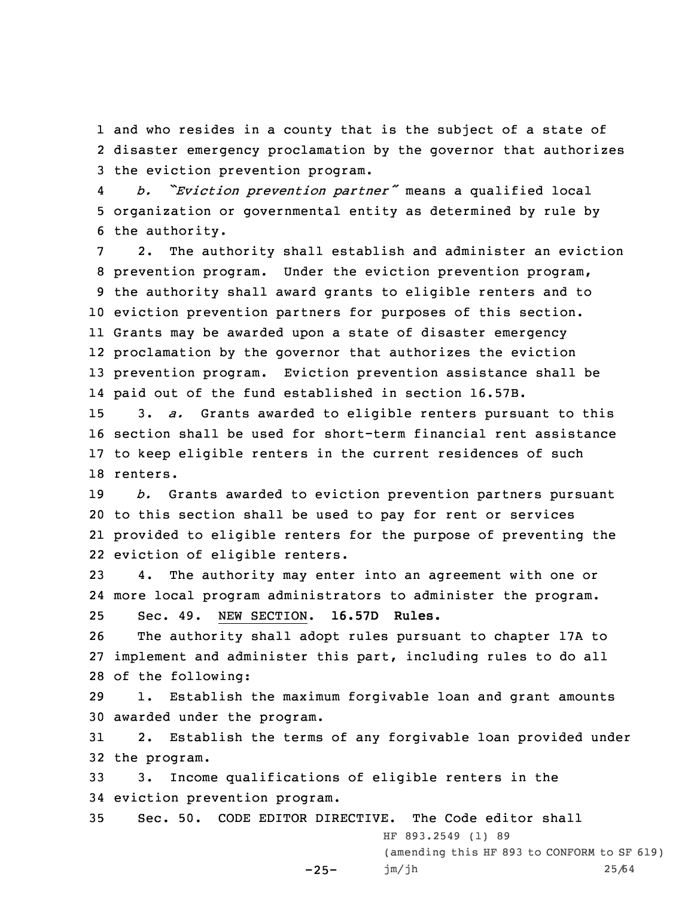1 and who resides in <sup>a</sup> county that is the subject of <sup>a</sup> state of 2 disaster emergency proclamation by the governor that authorizes 3 the eviction prevention program.

4 *b. "Eviction prevention partner"* means <sup>a</sup> qualified local 5 organization or governmental entity as determined by rule by 6 the authority.

 2. The authority shall establish and administer an eviction prevention program. Under the eviction prevention program, the authority shall award grants to eligible renters and to eviction prevention partners for purposes of this section. Grants may be awarded upon <sup>a</sup> state of disaster emergency proclamation by the governor that authorizes the eviction prevention program. Eviction prevention assistance shall be paid out of the fund established in section 16.57B.

 3. *a.* Grants awarded to eligible renters pursuant to this section shall be used for short-term financial rent assistance to keep eligible renters in the current residences of such 18 renters.

 *b.* Grants awarded to eviction prevention partners pursuant to this section shall be used to pay for rent or services provided to eligible renters for the purpose of preventing the eviction of eligible renters.

23 4. The authority may enter into an agreement with one or 24 more local program administrators to administer the program.

25 Sec. 49. NEW SECTION. **16.57D Rules.**

26 The authority shall adopt rules pursuant to chapter 17A to 27 implement and administer this part, including rules to do all 28 of the following:

29 1. Establish the maximum forgivable loan and grant amounts 30 awarded under the program.

31 2. Establish the terms of any forgivable loan provided under 32 the program.

33 3. Income qualifications of eligible renters in the 34 eviction prevention program.

 $-25-$ 

35 Sec. 50. CODE EDITOR DIRECTIVE. The Code editor shall HF 893.2549 (1) 89

> (amending this HF 893 to CONFORM to SF 619) jm/jh 25/64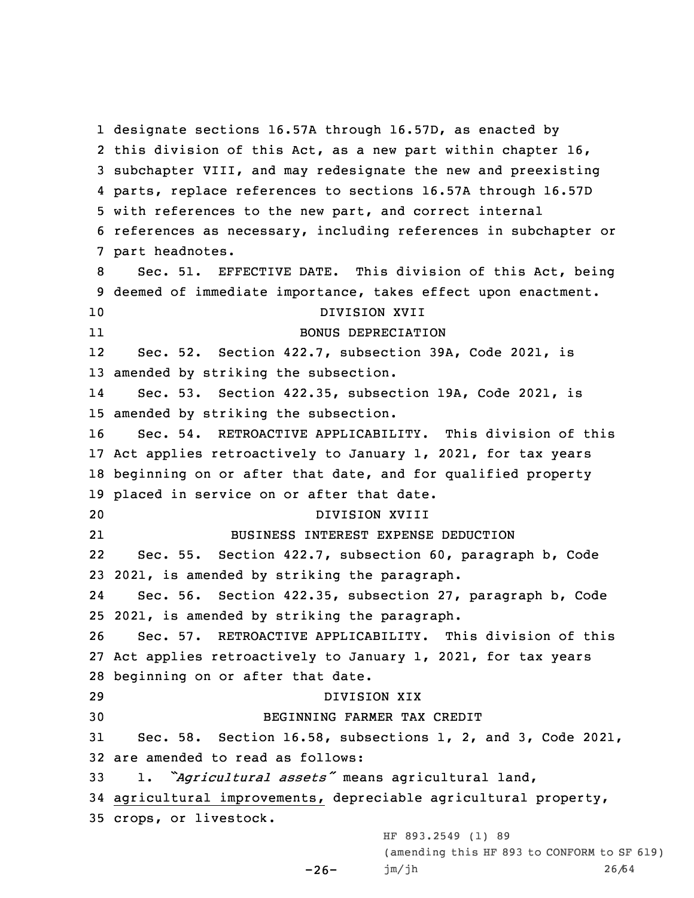designate sections 16.57A through 16.57D, as enacted by this division of this Act, as <sup>a</sup> new part within chapter 16, subchapter VIII, and may redesignate the new and preexisting parts, replace references to sections 16.57A through 16.57D with references to the new part, and correct internal references as necessary, including references in subchapter or part headnotes. Sec. 51. EFFECTIVE DATE. This division of this Act, being deemed of immediate importance, takes effect upon enactment. DIVISION XVII 11 BONUS DEPRECIATION 12 Sec. 52. Section 422.7, subsection 39A, Code 2021, is amended by striking the subsection. 14 Sec. 53. Section 422.35, subsection 19A, Code 2021, is amended by striking the subsection. Sec. 54. RETROACTIVE APPLICABILITY. This division of this Act applies retroactively to January 1, 2021, for tax years beginning on or after that date, and for qualified property placed in service on or after that date. DIVISION XVIII 21 BUSINESS INTEREST EXPENSE DEDUCTION 22 Sec. 55. Section 422.7, subsection 60, paragraph b, Code 2021, is amended by striking the paragraph. 24 Sec. 56. Section 422.35, subsection 27, paragraph b, Code 2021, is amended by striking the paragraph. Sec. 57. RETROACTIVE APPLICABILITY. This division of this Act applies retroactively to January 1, 2021, for tax years beginning on or after that date. DIVISION XIX BEGINNING FARMER TAX CREDIT Sec. 58. Section 16.58, subsections 1, 2, and 3, Code 2021, are amended to read as follows: 1. *"Agricultural assets"* means agricultural land, agricultural improvements, depreciable agricultural property, crops, or livestock. HF 893.2549 (1) 89

 $-26-$ 

(amending this HF 893 to CONFORM to SF 619) jm/jh 26/64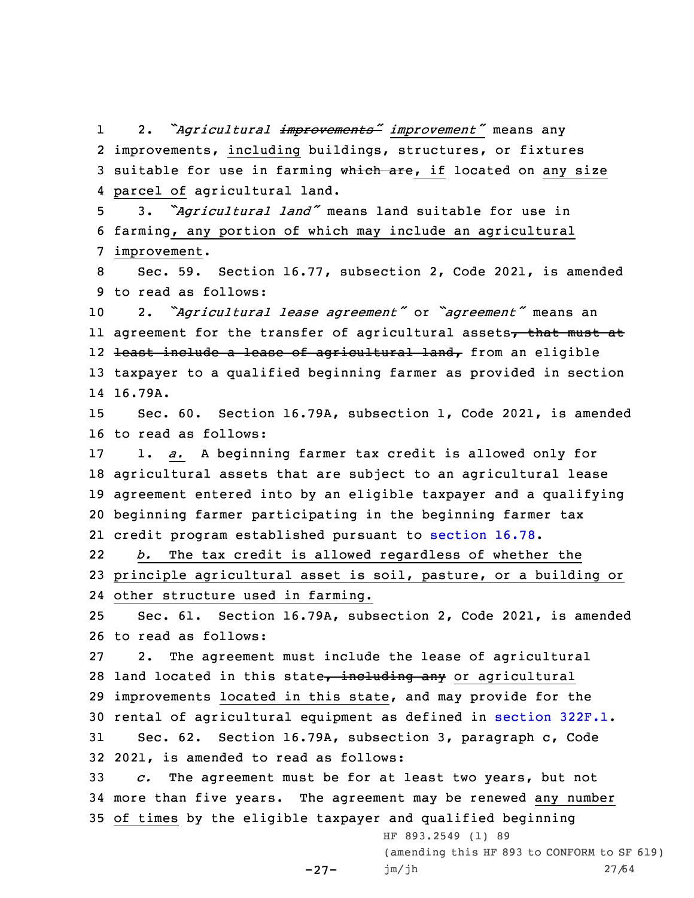1 2. *"Agricultural improvements" improvement"* means any 2 improvements, including buildings, structures, or fixtures 3 suitable for use in farming which are, if located on any size 4 parcel of agricultural land.

<sup>5</sup> 3. *"Agricultural land"* means land suitable for use in 6 farming, any portion of which may include an agricultural 7 improvement.

8 Sec. 59. Section 16.77, subsection 2, Code 2021, is amended 9 to read as follows:

<sup>10</sup> 2. *"Agricultural lease agreement"* or *"agreement"* means an ll agreement for the transfer of agricultural assets<del>, that must at</del> l2 <del>least include a lease of agricultural land,</del> from an eligible 13 taxpayer to <sup>a</sup> qualified beginning farmer as provided in section 14 16.79A.

15 Sec. 60. Section 16.79A, subsection 1, Code 2021, is amended 16 to read as follows:

 1. *a.* <sup>A</sup> beginning farmer tax credit is allowed only for agricultural assets that are subject to an agricultural lease agreement entered into by an eligible taxpayer and <sup>a</sup> qualifying beginning farmer participating in the beginning farmer tax credit program established pursuant to [section](https://www.legis.iowa.gov/docs/code/16.78.pdf) 16.78.

22 *b.* The tax credit is allowed regardless of whether the 23 principle agricultural asset is soil, pasture, or <sup>a</sup> building or 24 other structure used in farming.

25 Sec. 61. Section 16.79A, subsection 2, Code 2021, is amended 26 to read as follows:

 2. The agreement must include the lease of agricultural 28 land located in this state, including any or agricultural improvements located in this state, and may provide for the rental of agricultural equipment as defined in [section](https://www.legis.iowa.gov/docs/code/322F.1.pdf) 322F.1. Sec. 62. Section 16.79A, subsection 3, paragraph c, Code 2021, is amended to read as follows:

33 *c.* The agreement must be for at least two years, but not 34 more than five years. The agreement may be renewed any number 35 of times by the eligible taxpayer and qualified beginning

-27-

HF 893.2549 (1) 89 (amending this HF 893 to CONFORM to SF 619) jm/jh 27/64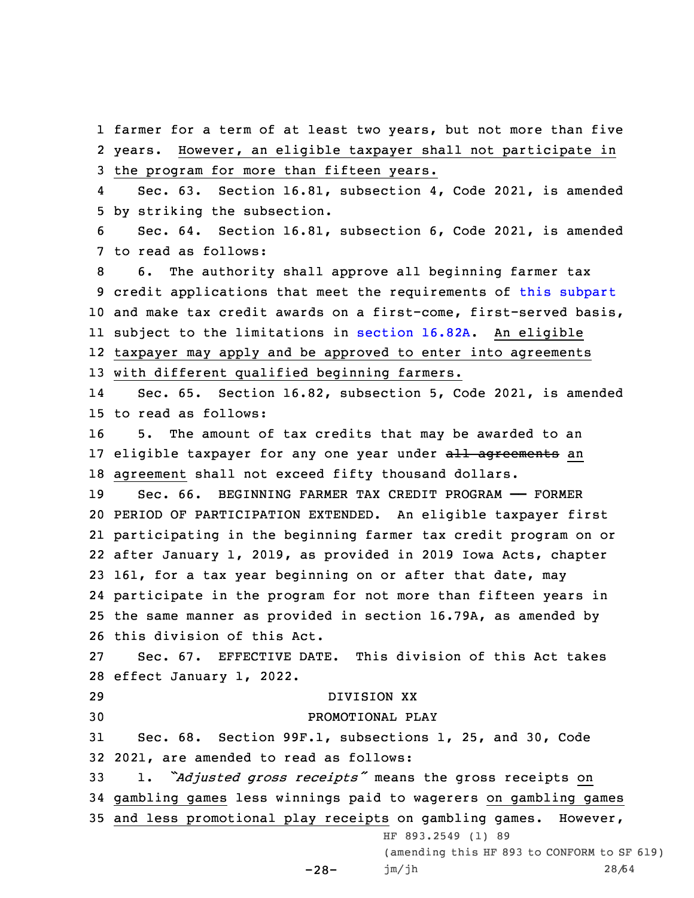1 farmer for <sup>a</sup> term of at least two years, but not more than five 2 years. However, an eligible taxpayer shall not participate in 3 the program for more than fifteen years.

4 Sec. 63. Section 16.81, subsection 4, Code 2021, is amended 5 by striking the subsection.

6 Sec. 64. Section 16.81, subsection 6, Code 2021, is amended 7 to read as follows:

 6. The authority shall approve all beginning farmer tax credit applications that meet the requirements of this [subpart](https://www.legis.iowa.gov/docs/code//16.pdf) and make tax credit awards on <sup>a</sup> first-come, first-served basis, subject to the limitations in [section](https://www.legis.iowa.gov/docs/code/16.82A.pdf) 16.82A. An eligible taxpayer may apply and be approved to enter into agreements with different qualified beginning farmers.

14 Sec. 65. Section 16.82, subsection 5, Code 2021, is amended 15 to read as follows:

16 5. The amount of tax credits that may be awarded to an 17 eligible taxpayer for any one year under all agreements an 18 agreement shall not exceed fifty thousand dollars.

 Sec. 66. BEGINNING FARMER TAX CREDIT PROGRAM —— FORMER PERIOD OF PARTICIPATION EXTENDED. An eligible taxpayer first participating in the beginning farmer tax credit program on or after January 1, 2019, as provided in 2019 Iowa Acts, chapter 161, for <sup>a</sup> tax year beginning on or after that date, may participate in the program for not more than fifteen years in the same manner as provided in section 16.79A, as amended by this division of this Act.

27 Sec. 67. EFFECTIVE DATE. This division of this Act takes 28 effect January 1, 2022.

 DIVISION XX PROMOTIONAL PLAY Sec. 68. Section 99F.1, subsections 1, 25, and 30, Code 2021, are amended to read as follows: 1. *"Adjusted gross receipts"* means the gross receipts on gambling games less winnings paid to wagerers on gambling games and less promotional play receipts on gambling games. However, HF 893.2549 (1) 89

> $-28-$ (amending this HF 893 to CONFORM to SF 619) jm/jh 28/64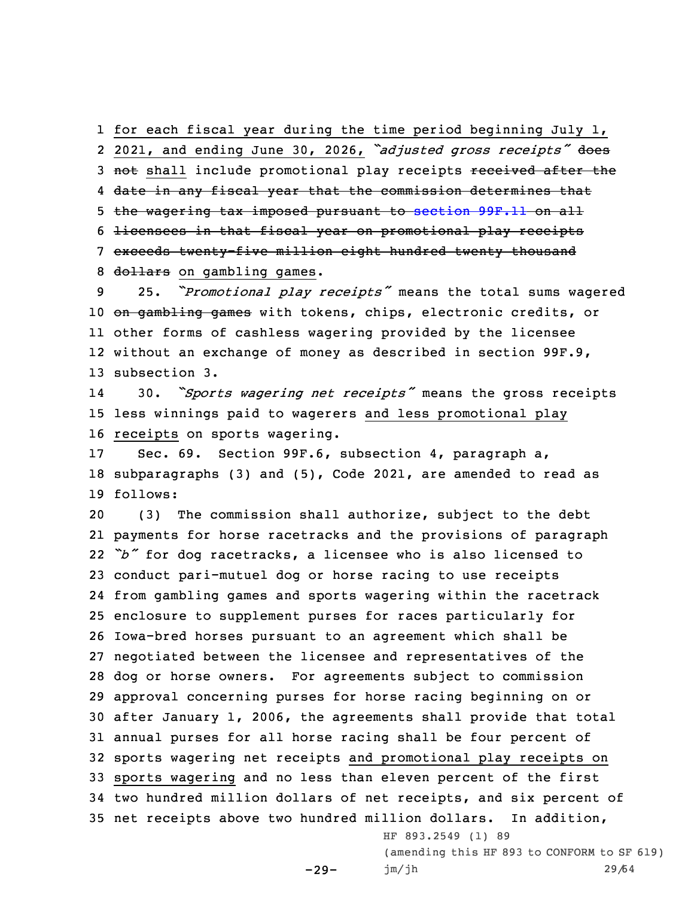1 for each fiscal year during the time period beginning July 1, 2 2021, and ending June 30, 2026, *"adjusted gross receipts"* does 3 not shall include promotional play receipts received after the

4 date in any fiscal year that the commission determines that

5 the wagering tax imposed pursuant to [section](https://www.legis.iowa.gov/docs/code/99F.11.pdf) 99F.11 on all

6 licensees in that fiscal year on promotional play receipts

7 exceeds twenty-five million eight hundred twenty thousand 8 dollars on gambling games.

 25. *"Promotional play receipts"* means the total sums wagered 10 on gambling games with tokens, chips, electronic credits, or other forms of cashless wagering provided by the licensee without an exchange of money as described in section 99F.9, subsection 3.

14 30. *"Sports wagering net receipts"* means the gross receipts 15 less winnings paid to wagerers and less promotional play 16 receipts on sports wagering.

17 Sec. 69. Section 99F.6, subsection 4, paragraph a, 18 subparagraphs (3) and (5), Code 2021, are amended to read as 19 follows:

 (3) The commission shall authorize, subject to the debt payments for horse racetracks and the provisions of paragraph *"b"* for dog racetracks, <sup>a</sup> licensee who is also licensed to conduct pari-mutuel dog or horse racing to use receipts from gambling games and sports wagering within the racetrack enclosure to supplement purses for races particularly for Iowa-bred horses pursuant to an agreement which shall be negotiated between the licensee and representatives of the dog or horse owners. For agreements subject to commission approval concerning purses for horse racing beginning on or after January 1, 2006, the agreements shall provide that total annual purses for all horse racing shall be four percent of sports wagering net receipts and promotional play receipts on sports wagering and no less than eleven percent of the first two hundred million dollars of net receipts, and six percent of net receipts above two hundred million dollars. In addition,

 $-29-$ 

HF 893.2549 (1) 89 (amending this HF 893 to CONFORM to SF 619) jm/jh 29/64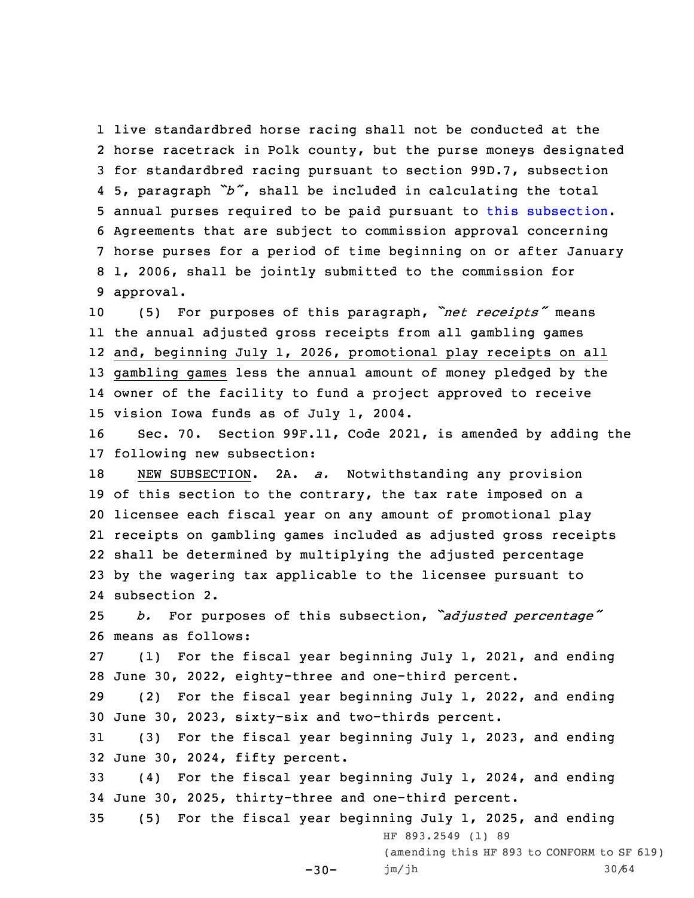live standardbred horse racing shall not be conducted at the horse racetrack in Polk county, but the purse moneys designated for standardbred racing pursuant to section 99D.7, subsection 5, paragraph *"b"*, shall be included in calculating the total annual purses required to be paid pursuant to this [subsection](https://www.legis.iowa.gov/docs/code/99F.6.pdf). Agreements that are subject to commission approval concerning horse purses for <sup>a</sup> period of time beginning on or after January 1, 2006, shall be jointly submitted to the commission for approval.

 (5) For purposes of this paragraph, *"net receipts"* means the annual adjusted gross receipts from all gambling games and, beginning July 1, 2026, promotional play receipts on all gambling games less the annual amount of money pledged by the owner of the facility to fund <sup>a</sup> project approved to receive vision Iowa funds as of July 1, 2004.

16 Sec. 70. Section 99F.11, Code 2021, is amended by adding the 17 following new subsection:

 NEW SUBSECTION. 2A. *a.* Notwithstanding any provision 19 of this section to the contrary, the tax rate imposed on a licensee each fiscal year on any amount of promotional play receipts on gambling games included as adjusted gross receipts shall be determined by multiplying the adjusted percentage by the wagering tax applicable to the licensee pursuant to subsection 2.

<sup>25</sup> *b.* For purposes of this subsection, *"adjusted percentage"* 26 means as follows:

27 (1) For the fiscal year beginning July 1, 2021, and ending 28 June 30, 2022, eighty-three and one-third percent.

29 (2) For the fiscal year beginning July 1, 2022, and ending 30 June 30, 2023, sixty-six and two-thirds percent.

31 (3) For the fiscal year beginning July 1, 2023, and ending 32 June 30, 2024, fifty percent.

33 (4) For the fiscal year beginning July 1, 2024, and ending 34 June 30, 2025, thirty-three and one-third percent.

35 (5) For the fiscal year beginning July 1, 2025, and ending

 $-30-$ 

HF 893.2549 (1) 89

(amending this HF 893 to CONFORM to SF 619) jm/jh 30/64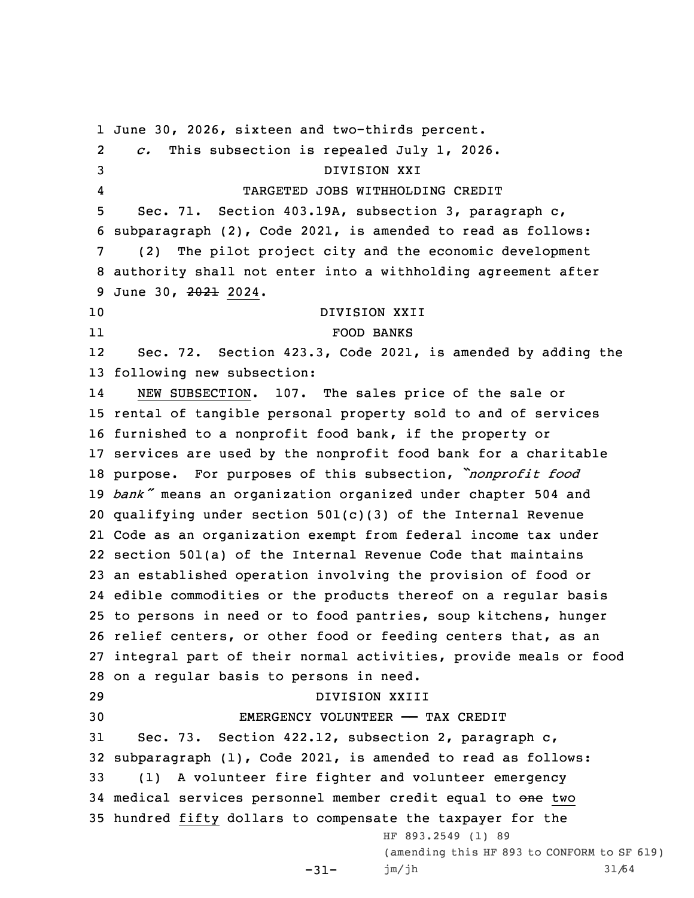June 30, 2026, sixteen and two-thirds percent. 2 *c.* This subsection is repealed July 1, 2026. DIVISION XXI 4 TARGETED JOBS WITHHOLDING CREDIT Sec. 71. Section 403.19A, subsection 3, paragraph c, subparagraph (2), Code 2021, is amended to read as follows: (2) The pilot project city and the economic development authority shall not enter into <sup>a</sup> withholding agreement after 9 June 30, 2021 2024. DIVISION XXII 11 FOOD BANKS 12 Sec. 72. Section 423.3, Code 2021, is amended by adding the following new subsection: 14 NEW SUBSECTION. 107. The sales price of the sale or rental of tangible personal property sold to and of services furnished to <sup>a</sup> nonprofit food bank, if the property or services are used by the nonprofit food bank for <sup>a</sup> charitable purpose. For purposes of this subsection, *"nonprofit food bank"* means an organization organized under chapter <sup>504</sup> and qualifying under section 501(c)(3) of the Internal Revenue Code as an organization exempt from federal income tax under section 501(a) of the Internal Revenue Code that maintains an established operation involving the provision of food or edible commodities or the products thereof on <sup>a</sup> regular basis to persons in need or to food pantries, soup kitchens, hunger relief centers, or other food or feeding centers that, as an integral part of their normal activities, provide meals or food on <sup>a</sup> regular basis to persons in need. DIVISION XXIII EMERGENCY VOLUNTEER —— TAX CREDIT Sec. 73. Section 422.12, subsection 2, paragraph c, subparagraph (1), Code 2021, is amended to read as follows: (1) <sup>A</sup> volunteer fire fighter and volunteer emergency 34 medical services personnel member credit equal to one two hundred fifty dollars to compensate the taxpayer for the -31- HF 893.2549 (1) 89 (amending this HF 893 to CONFORM to SF 619) jm/jh 31/64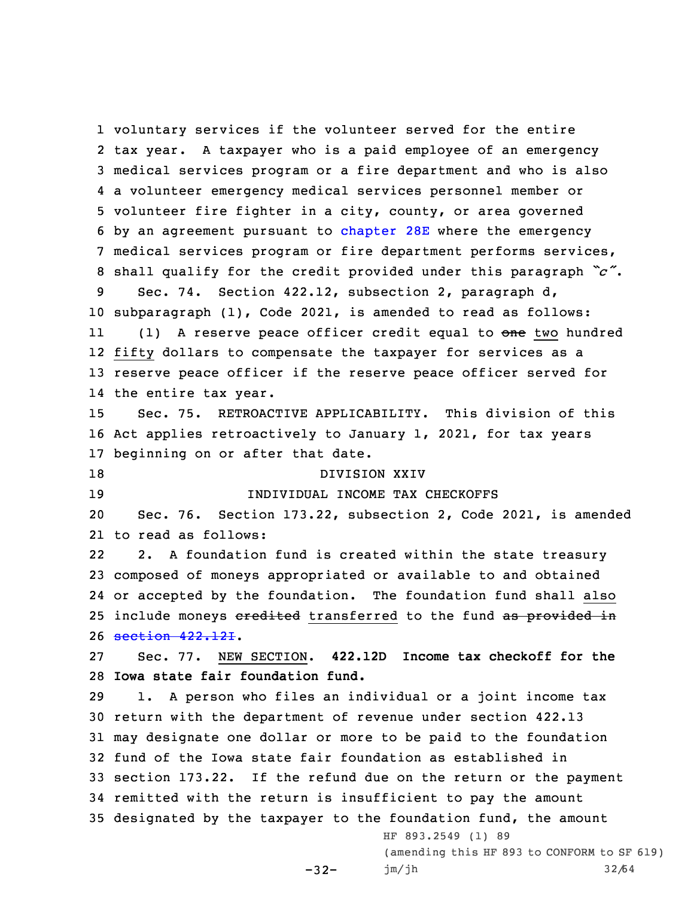voluntary services if the volunteer served for the entire tax year. <sup>A</sup> taxpayer who is <sup>a</sup> paid employee of an emergency medical services program or <sup>a</sup> fire department and who is also <sup>a</sup> volunteer emergency medical services personnel member or volunteer fire fighter in <sup>a</sup> city, county, or area governed by an agreement pursuant to [chapter](https://www.legis.iowa.gov/docs/code//28E.pdf) 28E where the emergency medical services program or fire department performs services, shall qualify for the credit provided under this paragraph *"c"*. Sec. 74. Section 422.12, subsection 2, paragraph d, subparagraph (1), Code 2021, is amended to read as follows: 11(1) A reserve peace officer credit equal to one two hundred fifty dollars to compensate the taxpayer for services as <sup>a</sup> reserve peace officer if the reserve peace officer served for the entire tax year. Sec. 75. RETROACTIVE APPLICABILITY. This division of this Act applies retroactively to January 1, 2021, for tax years beginning on or after that date. DIVISION XXIV INDIVIDUAL INCOME TAX CHECKOFFS Sec. 76. Section 173.22, subsection 2, Code 2021, is amended to read as follows: 22 2. <sup>A</sup> foundation fund is created within the state treasury composed of moneys appropriated or available to and obtained or accepted by the foundation. The foundation fund shall also 25 include moneys eredited transferred to the fund as provided in section [422.12I](https://www.legis.iowa.gov/docs/code/422.12I.pdf). Sec. 77. NEW SECTION. **422.12D Income tax checkoff for the Iowa state fair foundation fund.** 1. <sup>A</sup> person who files an individual or <sup>a</sup> joint income tax return with the department of revenue under section 422.13 may designate one dollar or more to be paid to the foundation fund of the Iowa state fair foundation as established in section 173.22. If the refund due on the return or the payment remitted with the return is insufficient to pay the amount designated by the taxpayer to the foundation fund, the amount HF 893.2549 (1) 89 (amending this HF 893 to CONFORM to SF 619)

 $-32-$ 

jm/jh 32/64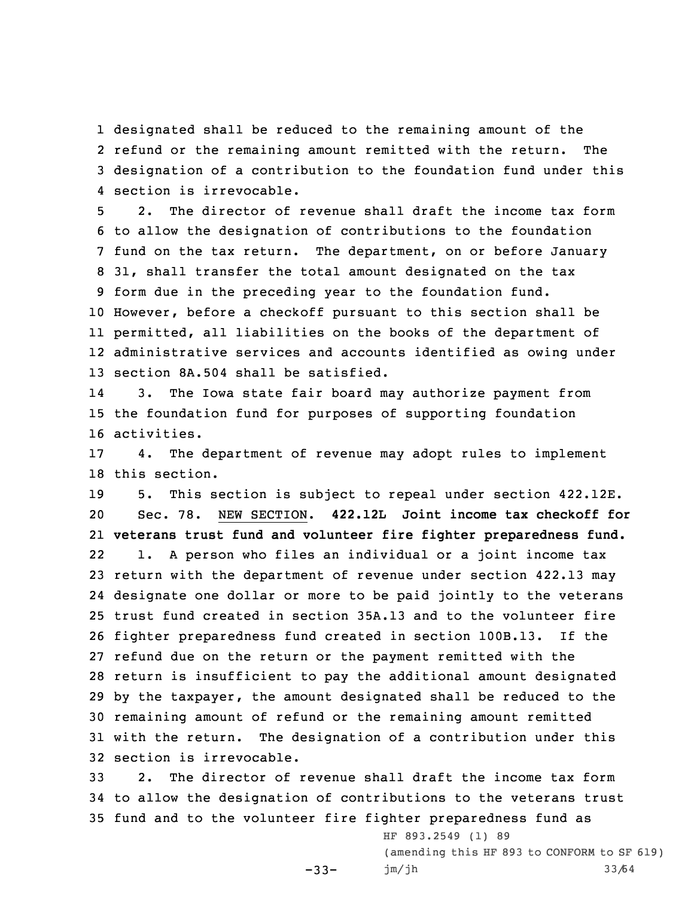designated shall be reduced to the remaining amount of the refund or the remaining amount remitted with the return. The designation of <sup>a</sup> contribution to the foundation fund under this section is irrevocable.

 2. The director of revenue shall draft the income tax form to allow the designation of contributions to the foundation fund on the tax return. The department, on or before January 31, shall transfer the total amount designated on the tax form due in the preceding year to the foundation fund. However, before <sup>a</sup> checkoff pursuant to this section shall be permitted, all liabilities on the books of the department of administrative services and accounts identified as owing under section 8A.504 shall be satisfied.

14 3. The Iowa state fair board may authorize payment from 15 the foundation fund for purposes of supporting foundation 16 activities.

17 4. The department of revenue may adopt rules to implement 18 this section.

 5. This section is subject to repeal under section 422.12E. Sec. 78. NEW SECTION. **422.12L Joint income tax checkoff for veterans trust fund and volunteer fire fighter preparedness fund.** 22 1. <sup>A</sup> person who files an individual or <sup>a</sup> joint income tax return with the department of revenue under section 422.13 may designate one dollar or more to be paid jointly to the veterans trust fund created in section 35A.13 and to the volunteer fire fighter preparedness fund created in section 100B.13. If the refund due on the return or the payment remitted with the return is insufficient to pay the additional amount designated by the taxpayer, the amount designated shall be reduced to the remaining amount of refund or the remaining amount remitted with the return. The designation of <sup>a</sup> contribution under this section is irrevocable.

33 2. The director of revenue shall draft the income tax form 34 to allow the designation of contributions to the veterans trust 35 fund and to the volunteer fire fighter preparedness fund as

 $-33-$ 

HF 893.2549 (1) 89 (amending this HF 893 to CONFORM to SF 619) jm/jh 33/64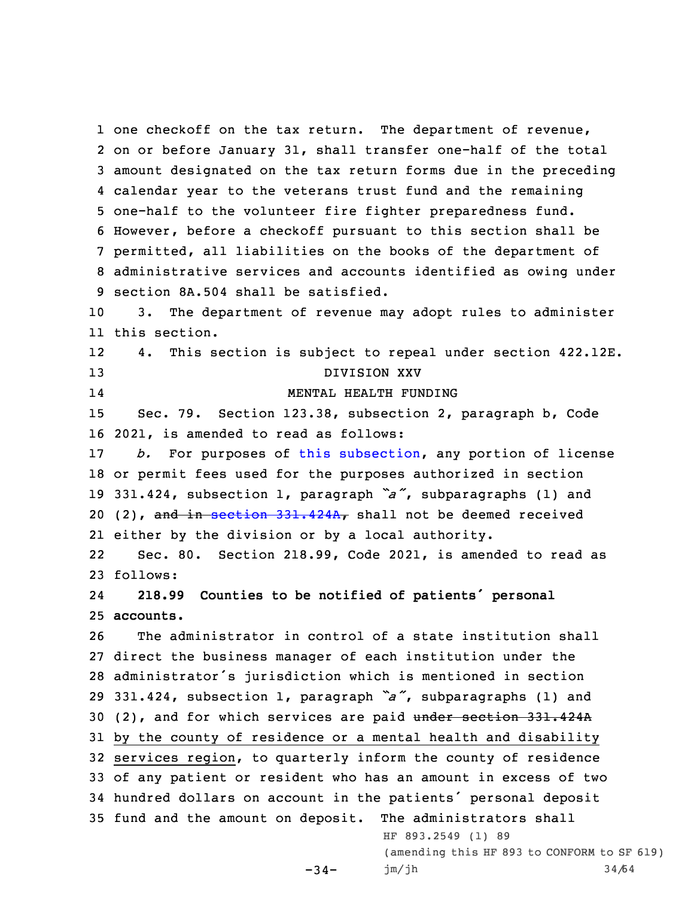one checkoff on the tax return. The department of revenue, on or before January 31, shall transfer one-half of the total amount designated on the tax return forms due in the preceding calendar year to the veterans trust fund and the remaining one-half to the volunteer fire fighter preparedness fund. However, before <sup>a</sup> checkoff pursuant to this section shall be permitted, all liabilities on the books of the department of administrative services and accounts identified as owing under section 8A.504 shall be satisfied. 3. The department of revenue may adopt rules to administer this section. 12 4. This section is subject to repeal under section 422.12E. DIVISION XXV 14 MENTAL HEALTH FUNDING Sec. 79. Section 123.38, subsection 2, paragraph b, Code 2021, is amended to read as follows: *b.* For purposes of this [subsection](https://www.legis.iowa.gov/docs/code/123.38.pdf), any portion of license or permit fees used for the purposes authorized in section 331.424, subsection 1, paragraph *"a"*, subparagraphs (1) and 20 (2), and in section  $331.424A_r$  $331.424A_r$  shall not be deemed received either by the division or by <sup>a</sup> local authority. 22 Sec. 80. Section 218.99, Code 2021, is amended to read as 23 follows: 24 **218.99 Counties to be notified of patients' personal accounts.** The administrator in control of <sup>a</sup> state institution shall direct the business manager of each institution under the administrator's jurisdiction which is mentioned in section 331.424, subsection 1, paragraph *"a"*, subparagraphs (1) and (2), and for which services are paid under section 331.424A by the county of residence or <sup>a</sup> mental health and disability services region, to quarterly inform the county of residence of any patient or resident who has an amount in excess of two hundred dollars on account in the patients' personal deposit fund and the amount on deposit. The administrators shall HF 893.2549 (1) 89 (amending this HF 893 to CONFORM to SF 619)

 $-34-$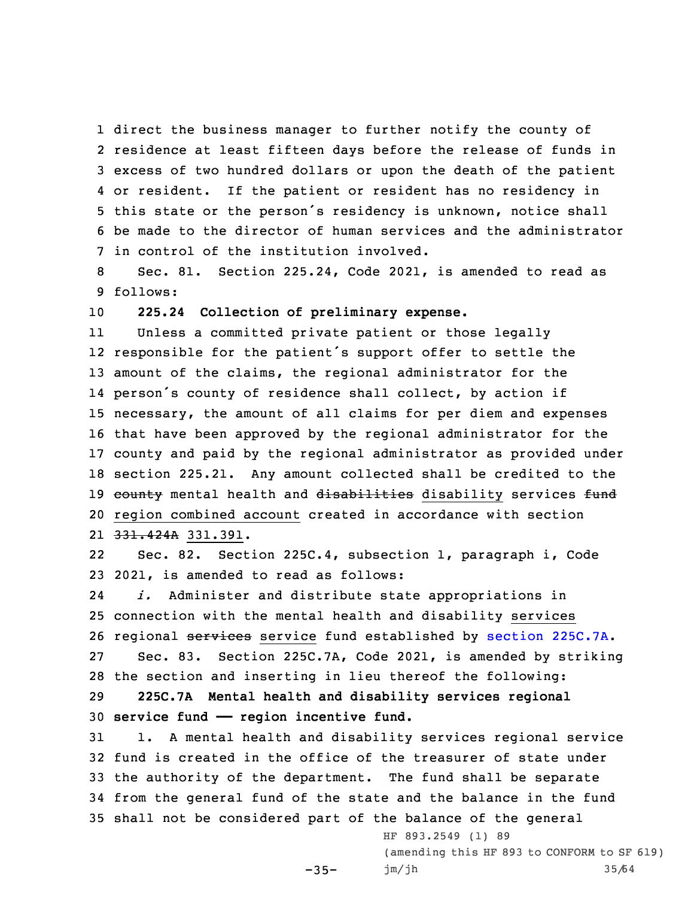direct the business manager to further notify the county of residence at least fifteen days before the release of funds in excess of two hundred dollars or upon the death of the patient or resident. If the patient or resident has no residency in this state or the person's residency is unknown, notice shall be made to the director of human services and the administrator in control of the institution involved.

8 Sec. 81. Section 225.24, Code 2021, is amended to read as 9 follows:

10 **225.24 Collection of preliminary expense.**

11 Unless <sup>a</sup> committed private patient or those legally responsible for the patient's support offer to settle the amount of the claims, the regional administrator for the person's county of residence shall collect, by action if necessary, the amount of all claims for per diem and expenses that have been approved by the regional administrator for the county and paid by the regional administrator as provided under section 225.21. Any amount collected shall be credited to the 19 county mental health and disabilities disability services fund region combined account created in accordance with section 21 <del>331.424A</del> 331.391.

22 Sec. 82. Section 225C.4, subsection 1, paragraph i, Code 23 2021, is amended to read as follows:

24 *i.* Administer and distribute state appropriations in 25 connection with the mental health and disability services 26 regional services service fund established by section [225C.7A](https://www.legis.iowa.gov/docs/code/225C.7A.pdf). 27 Sec. 83. Section 225C.7A, Code 2021, is amended by striking 28 the section and inserting in lieu thereof the following:

29 **225C.7A Mental health and disability services regional** 30 **service fund —— region incentive fund.**

 $-35-$ 

 1. <sup>A</sup> mental health and disability services regional service fund is created in the office of the treasurer of state under the authority of the department. The fund shall be separate from the general fund of the state and the balance in the fund shall not be considered part of the balance of the general

> HF 893.2549 (1) 89 (amending this HF 893 to CONFORM to SF 619) jm/jh 35/64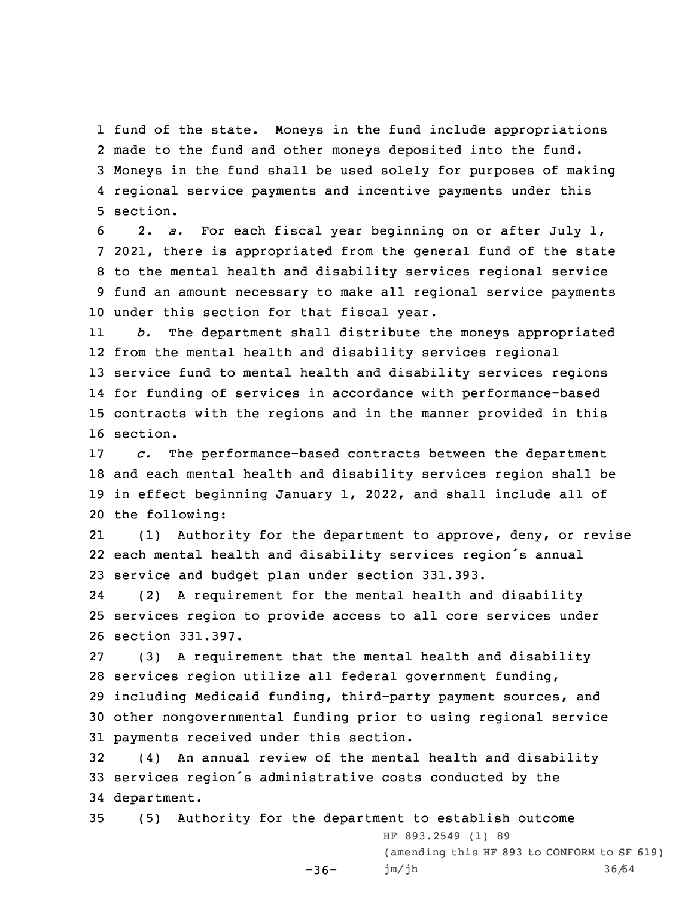fund of the state. Moneys in the fund include appropriations made to the fund and other moneys deposited into the fund. Moneys in the fund shall be used solely for purposes of making regional service payments and incentive payments under this 5 section.

 2. *a.* For each fiscal year beginning on or after July 1, 2021, there is appropriated from the general fund of the state to the mental health and disability services regional service fund an amount necessary to make all regional service payments under this section for that fiscal year.

11 *b.* The department shall distribute the moneys appropriated 12 from the mental health and disability services regional 13 service fund to mental health and disability services regions 14 for funding of services in accordance with performance-based 15 contracts with the regions and in the manner provided in this 16 section.

 *c.* The performance-based contracts between the department and each mental health and disability services region shall be in effect beginning January 1, 2022, and shall include all of the following:

21 (1) Authority for the department to approve, deny, or revise 22 each mental health and disability services region's annual 23 service and budget plan under section 331.393.

24 (2) <sup>A</sup> requirement for the mental health and disability 25 services region to provide access to all core services under 26 section 331.397.

 (3) <sup>A</sup> requirement that the mental health and disability services region utilize all federal government funding, including Medicaid funding, third-party payment sources, and other nongovernmental funding prior to using regional service payments received under this section.

32 (4) An annual review of the mental health and disability <sup>33</sup> services region's administrative costs conducted by the 34 department.

35 (5) Authority for the department to establish outcome -36- HF 893.2549 (1) 89 (amending this HF 893 to CONFORM to SF 619) jm/jh 36/64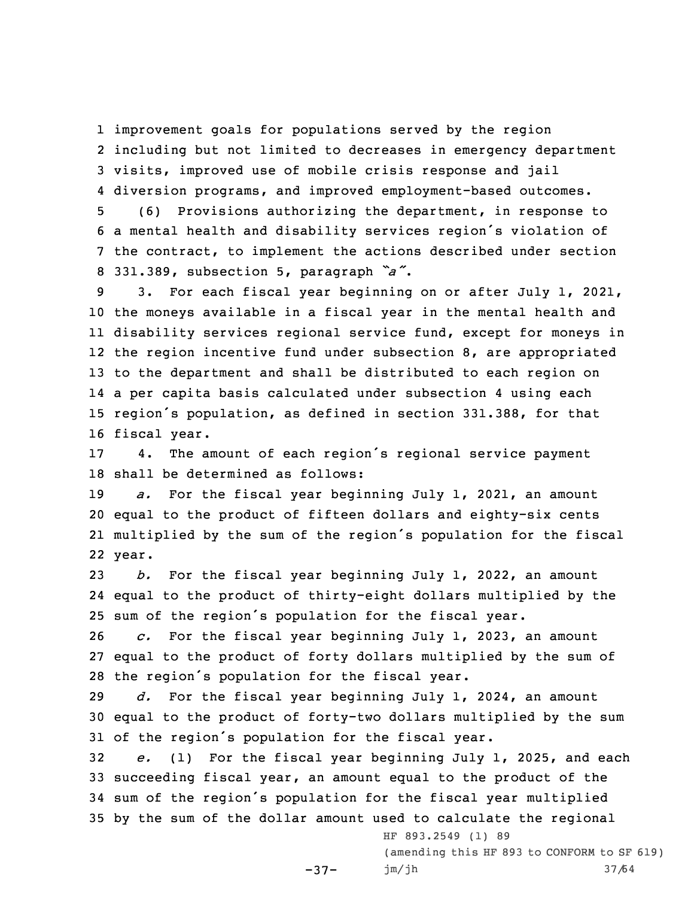improvement goals for populations served by the region including but not limited to decreases in emergency department visits, improved use of mobile crisis response and jail diversion programs, and improved employment-based outcomes.

 (6) Provisions authorizing the department, in response to <sup>a</sup> mental health and disability services region's violation of the contract, to implement the actions described under section 331.389, subsection 5, paragraph *"a"*.

 3. For each fiscal year beginning on or after July 1, 2021, the moneys available in <sup>a</sup> fiscal year in the mental health and disability services regional service fund, except for moneys in the region incentive fund under subsection 8, are appropriated to the department and shall be distributed to each region on <sup>a</sup> per capita basis calculated under subsection 4 using each region's population, as defined in section 331.388, for that fiscal year.

<sup>17</sup> 4. The amount of each region's regional service payment 18 shall be determined as follows:

 *a.* For the fiscal year beginning July 1, 2021, an amount equal to the product of fifteen dollars and eighty-six cents multiplied by the sum of the region's population for the fiscal 22 year.

23 *b.* For the fiscal year beginning July 1, 2022, an amount 24 equal to the product of thirty-eight dollars multiplied by the <sup>25</sup> sum of the region's population for the fiscal year.

26 *c.* For the fiscal year beginning July 1, 2023, an amount 27 equal to the product of forty dollars multiplied by the sum of <sup>28</sup> the region's population for the fiscal year.

29 *d.* For the fiscal year beginning July 1, 2024, an amount 30 equal to the product of forty-two dollars multiplied by the sum <sup>31</sup> of the region's population for the fiscal year.

 *e.* (1) For the fiscal year beginning July 1, 2025, and each succeeding fiscal year, an amount equal to the product of the sum of the region's population for the fiscal year multiplied by the sum of the dollar amount used to calculate the regional

-37-

HF 893.2549 (1) 89 (amending this HF 893 to CONFORM to SF 619) jm/jh 37/64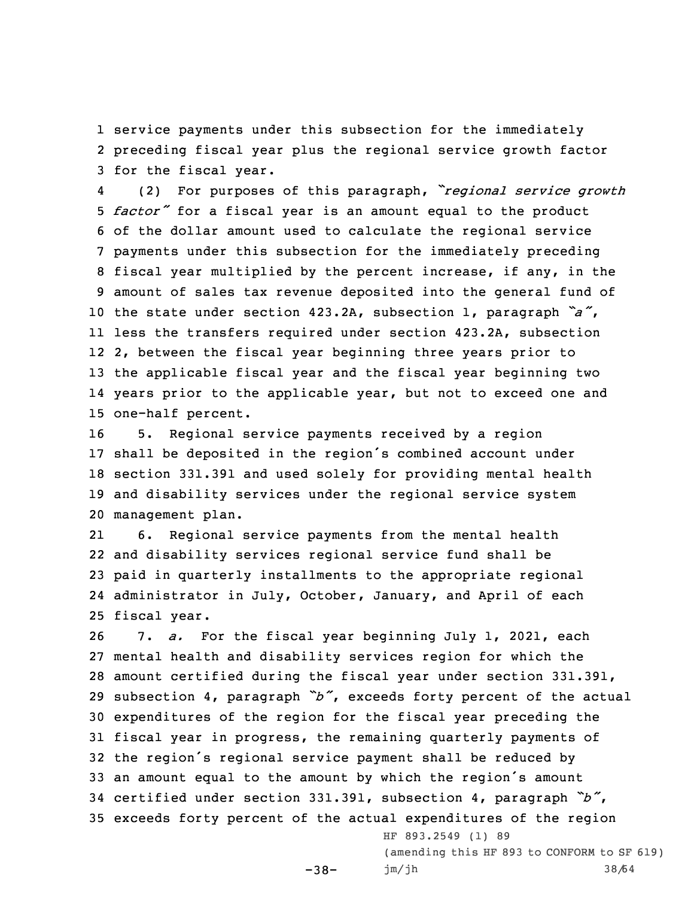1 service payments under this subsection for the immediately 2 preceding fiscal year plus the regional service growth factor 3 for the fiscal year.

4 (2) For purposes of this paragraph, *"regional service growth factor"* for <sup>a</sup> fiscal year is an amount equal to the product of the dollar amount used to calculate the regional service payments under this subsection for the immediately preceding fiscal year multiplied by the percent increase, if any, in the amount of sales tax revenue deposited into the general fund of the state under section 423.2A, subsection 1, paragraph *"a"*, less the transfers required under section 423.2A, subsection 2, between the fiscal year beginning three years prior to the applicable fiscal year and the fiscal year beginning two years prior to the applicable year, but not to exceed one and one-half percent.

 5. Regional service payments received by <sup>a</sup> region shall be deposited in the region's combined account under section 331.391 and used solely for providing mental health and disability services under the regional service system management plan.

21 6. Regional service payments from the mental health and disability services regional service fund shall be paid in quarterly installments to the appropriate regional administrator in July, October, January, and April of each fiscal year.

 7. *a.* For the fiscal year beginning July 1, 2021, each mental health and disability services region for which the amount certified during the fiscal year under section 331.391, subsection 4, paragraph *"b"*, exceeds forty percent of the actual expenditures of the region for the fiscal year preceding the fiscal year in progress, the remaining quarterly payments of the region's regional service payment shall be reduced by an amount equal to the amount by which the region's amount certified under section 331.391, subsection 4, paragraph *"b"*, exceeds forty percent of the actual expenditures of the region

 $-38-$ 

HF 893.2549 (1) 89 (amending this HF 893 to CONFORM to SF 619) jm/jh 38/64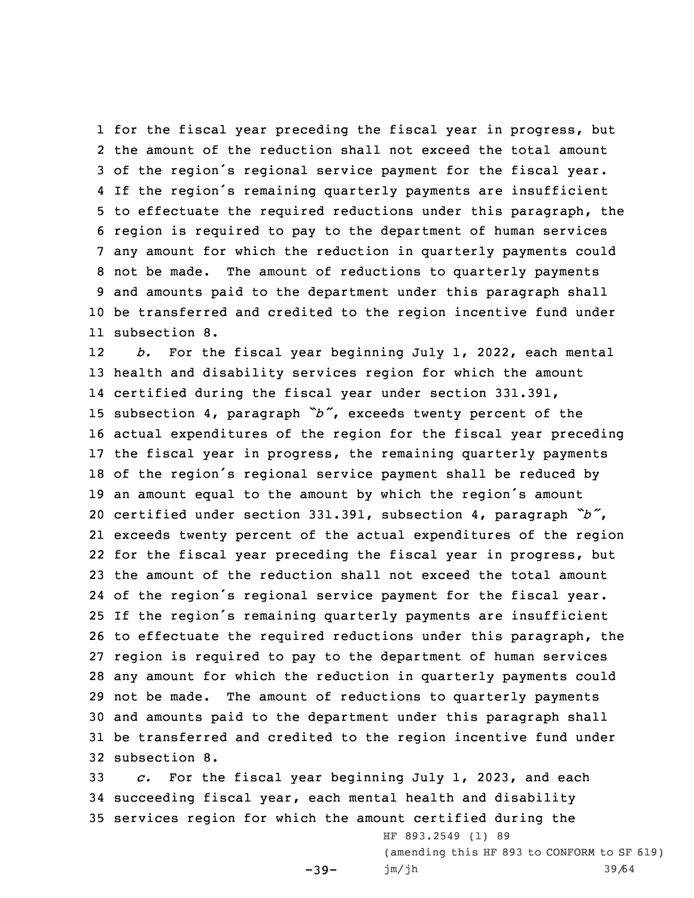for the fiscal year preceding the fiscal year in progress, but the amount of the reduction shall not exceed the total amount of the region's regional service payment for the fiscal year. If the region's remaining quarterly payments are insufficient to effectuate the required reductions under this paragraph, the region is required to pay to the department of human services any amount for which the reduction in quarterly payments could not be made. The amount of reductions to quarterly payments and amounts paid to the department under this paragraph shall be transferred and credited to the region incentive fund under subsection 8.

12 *b.* For the fiscal year beginning July 1, 2022, each mental health and disability services region for which the amount certified during the fiscal year under section 331.391, subsection 4, paragraph *"b"*, exceeds twenty percent of the actual expenditures of the region for the fiscal year preceding the fiscal year in progress, the remaining quarterly payments of the region's regional service payment shall be reduced by an amount equal to the amount by which the region's amount certified under section 331.391, subsection 4, paragraph *"b"*, exceeds twenty percent of the actual expenditures of the region for the fiscal year preceding the fiscal year in progress, but the amount of the reduction shall not exceed the total amount of the region's regional service payment for the fiscal year. If the region's remaining quarterly payments are insufficient to effectuate the required reductions under this paragraph, the region is required to pay to the department of human services any amount for which the reduction in quarterly payments could not be made. The amount of reductions to quarterly payments and amounts paid to the department under this paragraph shall be transferred and credited to the region incentive fund under subsection 8.

33 *c.* For the fiscal year beginning July 1, 2023, and each 34 succeeding fiscal year, each mental health and disability 35 services region for which the amount certified during the

 $-39-$ 

HF 893.2549 (1) 89 (amending this HF 893 to CONFORM to SF 619) jm/jh 39/64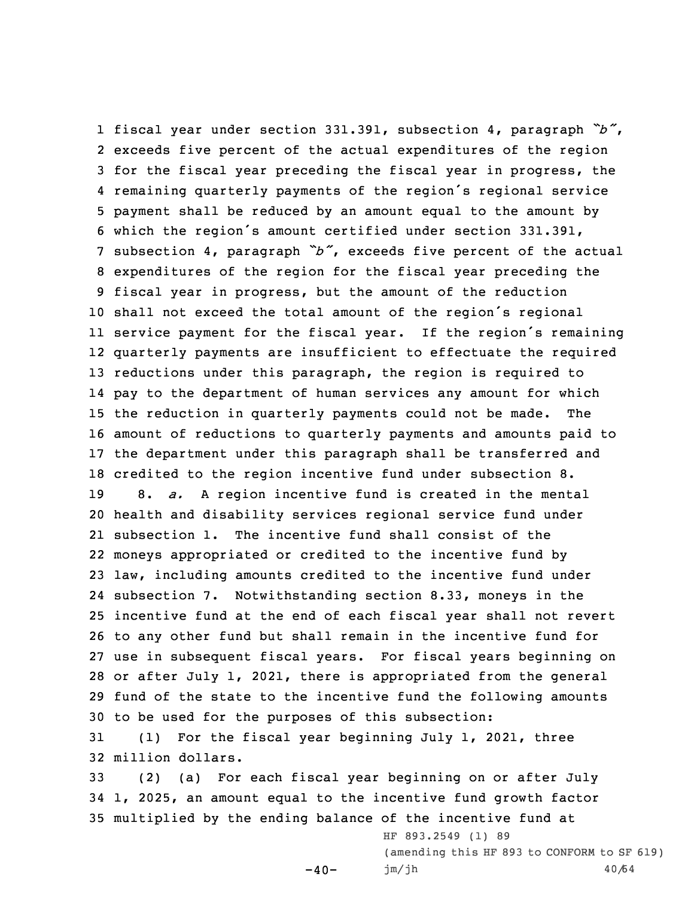fiscal year under section 331.391, subsection 4, paragraph *"b"*, exceeds five percent of the actual expenditures of the region for the fiscal year preceding the fiscal year in progress, the remaining quarterly payments of the region's regional service payment shall be reduced by an amount equal to the amount by which the region's amount certified under section 331.391, subsection 4, paragraph *"b"*, exceeds five percent of the actual expenditures of the region for the fiscal year preceding the fiscal year in progress, but the amount of the reduction shall not exceed the total amount of the region's regional service payment for the fiscal year. If the region's remaining quarterly payments are insufficient to effectuate the required reductions under this paragraph, the region is required to pay to the department of human services any amount for which the reduction in quarterly payments could not be made. The amount of reductions to quarterly payments and amounts paid to the department under this paragraph shall be transferred and credited to the region incentive fund under subsection 8. 8. *a.* <sup>A</sup> region incentive fund is created in the mental health and disability services regional service fund under subsection 1. The incentive fund shall consist of the moneys appropriated or credited to the incentive fund by law, including amounts credited to the incentive fund under subsection 7. Notwithstanding section 8.33, moneys in the incentive fund at the end of each fiscal year shall not revert to any other fund but shall remain in the incentive fund for use in subsequent fiscal years. For fiscal years beginning on or after July 1, 2021, there is appropriated from the general fund of the state to the incentive fund the following amounts to be used for the purposes of this subsection: (1) For the fiscal year beginning July 1, 2021, three

32 million dollars.

33 (2) (a) For each fiscal year beginning on or after July 34 1, 2025, an amount equal to the incentive fund growth factor 35 multiplied by the ending balance of the incentive fund at

 $-40-$ 

HF 893.2549 (1) 89 (amending this HF 893 to CONFORM to SF 619) jm/jh 40/64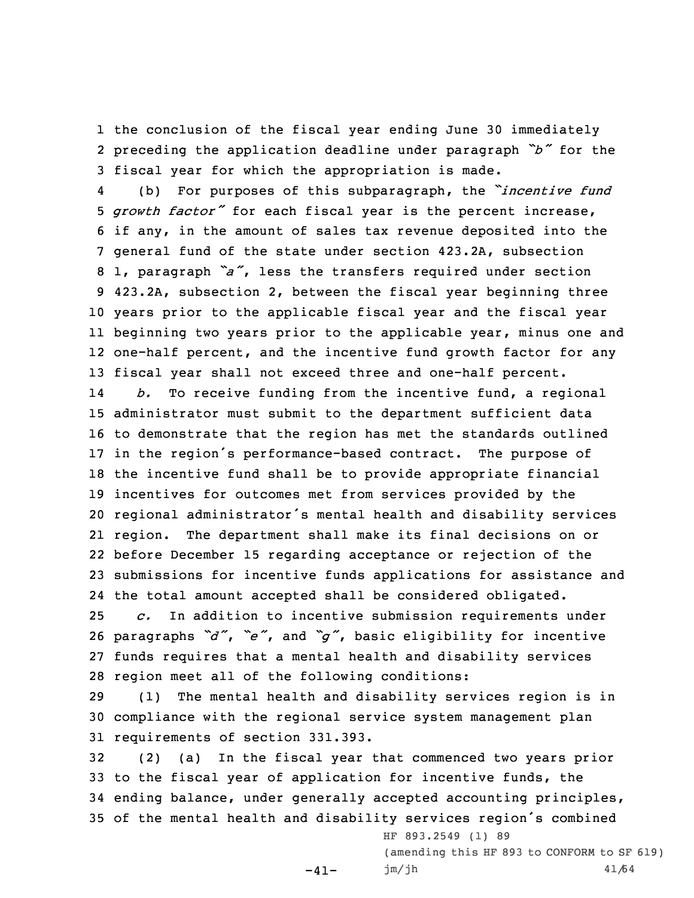1 the conclusion of the fiscal year ending June 30 immediately 2 preceding the application deadline under paragraph *"b"* for the 3 fiscal year for which the appropriation is made.

4 (b) For purposes of this subparagraph, the *"incentive fund growth factor"* for each fiscal year is the percent increase, if any, in the amount of sales tax revenue deposited into the general fund of the state under section 423.2A, subsection 1, paragraph *"a"*, less the transfers required under section 423.2A, subsection 2, between the fiscal year beginning three years prior to the applicable fiscal year and the fiscal year beginning two years prior to the applicable year, minus one and one-half percent, and the incentive fund growth factor for any fiscal year shall not exceed three and one-half percent. 14 *b.* To receive funding from the incentive fund, <sup>a</sup> regional administrator must submit to the department sufficient data to demonstrate that the region has met the standards outlined in the region's performance-based contract. The purpose of the incentive fund shall be to provide appropriate financial incentives for outcomes met from services provided by the regional administrator's mental health and disability services 21 region. The department shall make its final decisions on or before December 15 regarding acceptance or rejection of the submissions for incentive funds applications for assistance and the total amount accepted shall be considered obligated. *c.* In addition to incentive submission requirements under paragraphs *"d"*, *"e"*, and *"g"*, basic eligibility for incentive

27 funds requires that <sup>a</sup> mental health and disability services 28 region meet all of the following conditions:

29 (1) The mental health and disability services region is in 30 compliance with the regional service system management plan 31 requirements of section 331.393.

 (2) (a) In the fiscal year that commenced two years prior to the fiscal year of application for incentive funds, the ending balance, under generally accepted accounting principles, of the mental health and disability services region's combined

-41-

HF 893.2549 (1) 89 (amending this HF 893 to CONFORM to SF 619) jm/jh 41/64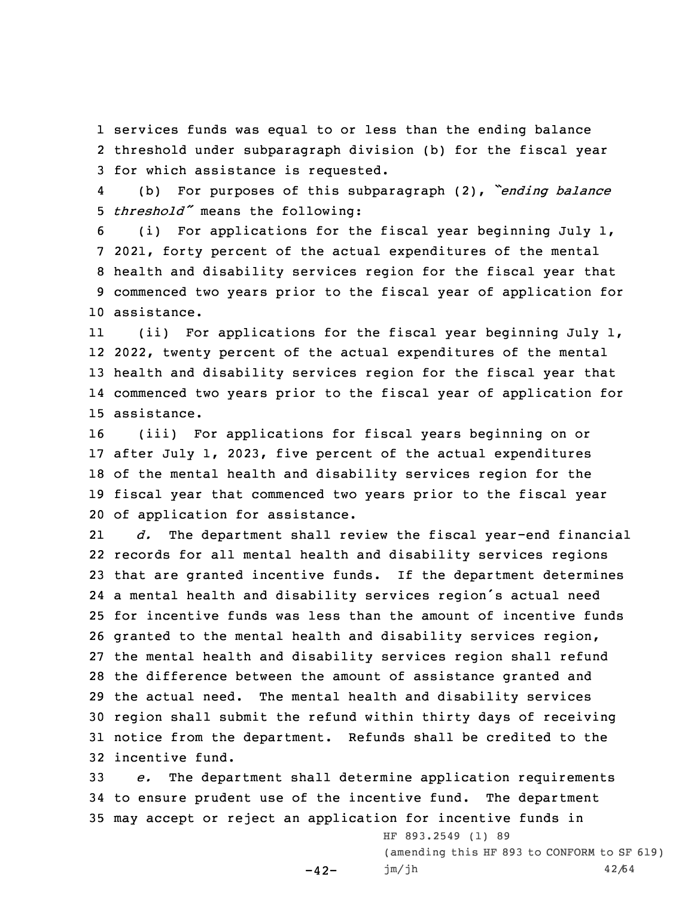1 services funds was equal to or less than the ending balance 2 threshold under subparagraph division (b) for the fiscal year 3 for which assistance is requested.

4 (b) For purposes of this subparagraph (2), *"ending balance* <sup>5</sup> *threshold"* means the following:

 (i) For applications for the fiscal year beginning July 1, 2021, forty percent of the actual expenditures of the mental health and disability services region for the fiscal year that commenced two years prior to the fiscal year of application for assistance.

11 (ii) For applications for the fiscal year beginning July 1, 2022, twenty percent of the actual expenditures of the mental health and disability services region for the fiscal year that commenced two years prior to the fiscal year of application for assistance.

 (iii) For applications for fiscal years beginning on or after July 1, 2023, five percent of the actual expenditures of the mental health and disability services region for the fiscal year that commenced two years prior to the fiscal year of application for assistance.

21 *d.* The department shall review the fiscal year-end financial records for all mental health and disability services regions that are granted incentive funds. If the department determines <sup>a</sup> mental health and disability services region's actual need for incentive funds was less than the amount of incentive funds granted to the mental health and disability services region, the mental health and disability services region shall refund the difference between the amount of assistance granted and the actual need. The mental health and disability services region shall submit the refund within thirty days of receiving notice from the department. Refunds shall be credited to the incentive fund.

33 *e.* The department shall determine application requirements 34 to ensure prudent use of the incentive fund. The department 35 may accept or reject an application for incentive funds in

-42-

HF 893.2549 (1) 89 (amending this HF 893 to CONFORM to SF 619) jm/jh 42/64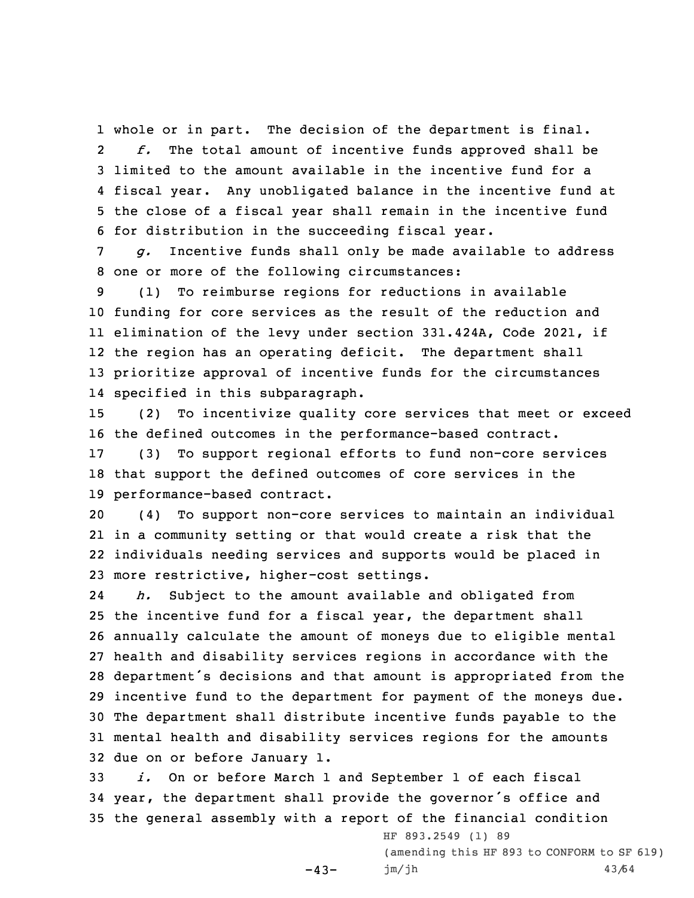whole or in part. The decision of the department is final. 2 *f.* The total amount of incentive funds approved shall be limited to the amount available in the incentive fund for <sup>a</sup> fiscal year. Any unobligated balance in the incentive fund at the close of <sup>a</sup> fiscal year shall remain in the incentive fund for distribution in the succeeding fiscal year.

7 *g.* Incentive funds shall only be made available to address 8 one or more of the following circumstances:

 (1) To reimburse regions for reductions in available funding for core services as the result of the reduction and elimination of the levy under section 331.424A, Code 2021, if the region has an operating deficit. The department shall prioritize approval of incentive funds for the circumstances specified in this subparagraph.

15 (2) To incentivize quality core services that meet or exceed 16 the defined outcomes in the performance-based contract.

17 (3) To support regional efforts to fund non-core services 18 that support the defined outcomes of core services in the 19 performance-based contract.

 (4) To support non-core services to maintain an individual in <sup>a</sup> community setting or that would create <sup>a</sup> risk that the individuals needing services and supports would be placed in more restrictive, higher-cost settings.

24 *h.* Subject to the amount available and obligated from the incentive fund for <sup>a</sup> fiscal year, the department shall annually calculate the amount of moneys due to eligible mental health and disability services regions in accordance with the department's decisions and that amount is appropriated from the incentive fund to the department for payment of the moneys due. The department shall distribute incentive funds payable to the mental health and disability services regions for the amounts due on or before January 1.

33 *i.* On or before March 1 and September 1 of each fiscal <sup>34</sup> year, the department shall provide the governor's office and 35 the general assembly with <sup>a</sup> report of the financial condition

 $-43-$ 

HF 893.2549 (1) 89 (amending this HF 893 to CONFORM to SF 619) jm/jh 43/64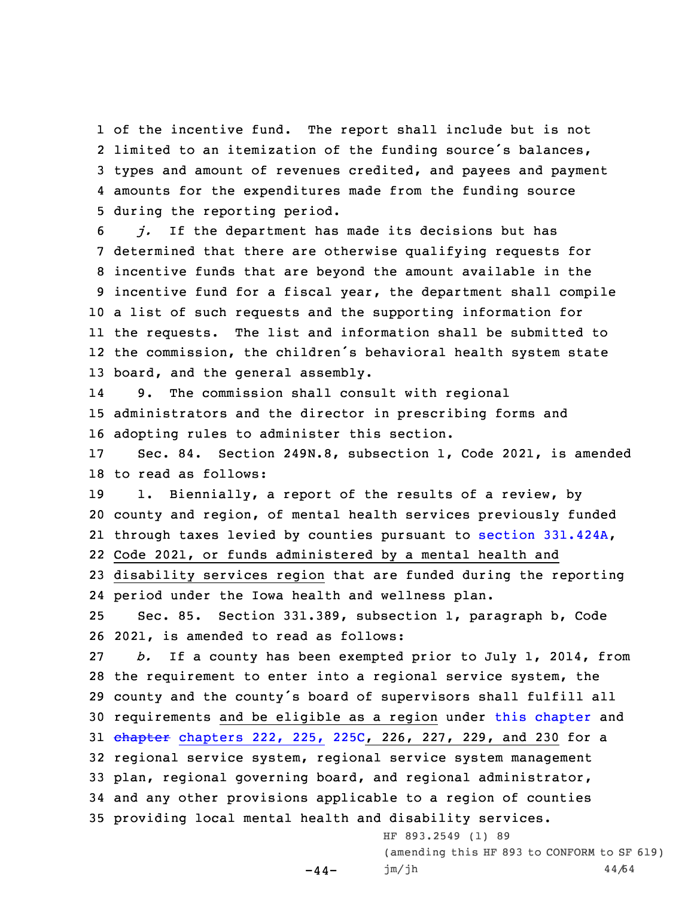of the incentive fund. The report shall include but is not limited to an itemization of the funding source's balances, types and amount of revenues credited, and payees and payment amounts for the expenditures made from the funding source during the reporting period.

 *j.* If the department has made its decisions but has determined that there are otherwise qualifying requests for incentive funds that are beyond the amount available in the incentive fund for <sup>a</sup> fiscal year, the department shall compile <sup>a</sup> list of such requests and the supporting information for the requests. The list and information shall be submitted to the commission, the children's behavioral health system state board, and the general assembly.

14 9. The commission shall consult with regional 15 administrators and the director in prescribing forms and 16 adopting rules to administer this section.

17 Sec. 84. Section 249N.8, subsection 1, Code 2021, is amended 18 to read as follows:

19 1. Biennially, a report of the results of a review, by county and region, of mental health services previously funded through taxes levied by counties pursuant to section [331.424A](https://www.legis.iowa.gov/docs/code/331.424A.pdf), Code 2021, or funds administered by <sup>a</sup> mental health and disability services region that are funded during the reporting

24 period under the Iowa health and wellness plan.

25 Sec. 85. Section 331.389, subsection 1, paragraph b, Code 26 2021, is amended to read as follows:

 *b.* If <sup>a</sup> county has been exempted prior to July 1, 2014, from the requirement to enter into <sup>a</sup> regional service system, the county and the county's board of supervisors shall fulfill all requirements and be eligible as <sup>a</sup> region under this [chapter](https://www.legis.iowa.gov/docs/code//331.pdf) and 31 chapter [chapters](https://www.legis.iowa.gov/docs/code//225C.pdf) 222, 225, 225C, 226, 227, 229, and 230 for a regional service system, regional service system management plan, regional governing board, and regional administrator, and any other provisions applicable to <sup>a</sup> region of counties providing local mental health and disability services.

-44-

HF 893.2549 (1) 89 (amending this HF 893 to CONFORM to SF 619) jm/jh 44/64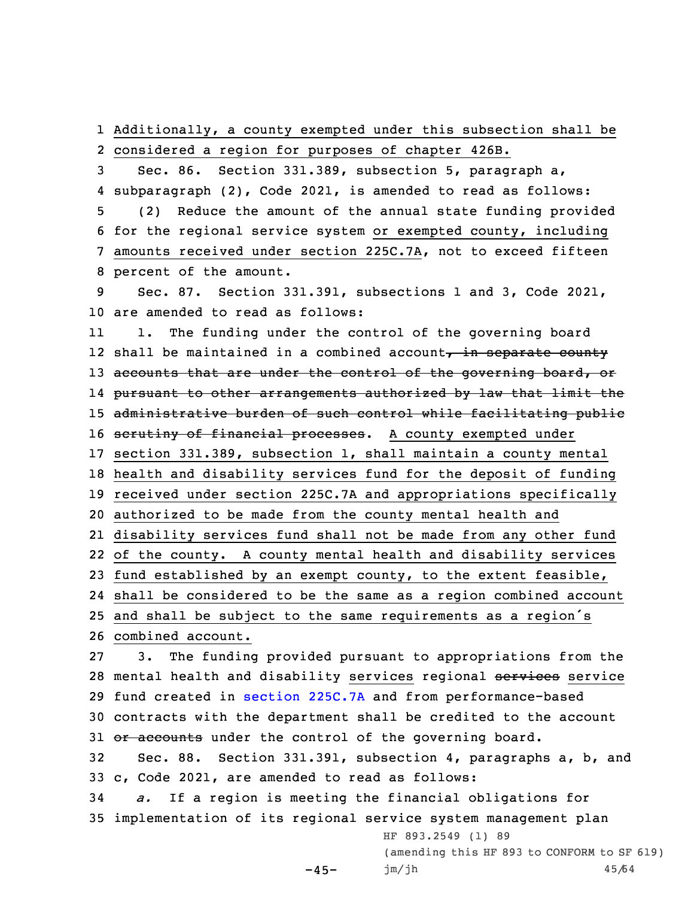1 Additionally, <sup>a</sup> county exempted under this subsection shall be 2 considered <sup>a</sup> region for purposes of chapter 426B.

 Sec. 86. Section 331.389, subsection 5, paragraph a, subparagraph (2), Code 2021, is amended to read as follows: (2) Reduce the amount of the annual state funding provided for the regional service system or exempted county, including amounts received under section 225C.7A, not to exceed fifteen percent of the amount.

9 Sec. 87. Section 331.391, subsections 1 and 3, Code 2021, 10 are amended to read as follows:

11 1. The funding under the control of the governing board 12 shall be maintained in a combined account<del>, in separate county</del> 13 accounts that are under the control of the governing board, or pursuant to other arrangements authorized by law that limit the 15 administrative burden of such control while facilitating public 16 serutiny of financial processes. A county exempted under section 331.389, subsection 1, shall maintain <sup>a</sup> county mental health and disability services fund for the deposit of funding received under section 225C.7A and appropriations specifically authorized to be made from the county mental health and disability services fund shall not be made from any other fund of the county. <sup>A</sup> county mental health and disability services fund established by an exempt county, to the extent feasible, shall be considered to be the same as <sup>a</sup> region combined account and shall be subject to the same requirements as <sup>a</sup> region's combined account. 3. The funding provided pursuant to appropriations from the

28 mental health and disability services regional services service 29 fund created in section [225C.7A](https://www.legis.iowa.gov/docs/code/225C.7A.pdf) and from performance-based 30 contracts with the department shall be credited to the account 31 or accounts under the control of the governing board.

32 Sec. 88. Section 331.391, subsection 4, paragraphs a, b, and 33 c, Code 2021, are amended to read as follows:

34 *a.* If <sup>a</sup> region is meeting the financial obligations for 35 implementation of its regional service system management plan

 $-45-$ 

(amending this HF 893 to CONFORM to SF 619) jm/jh 45/64

HF 893.2549 (1) 89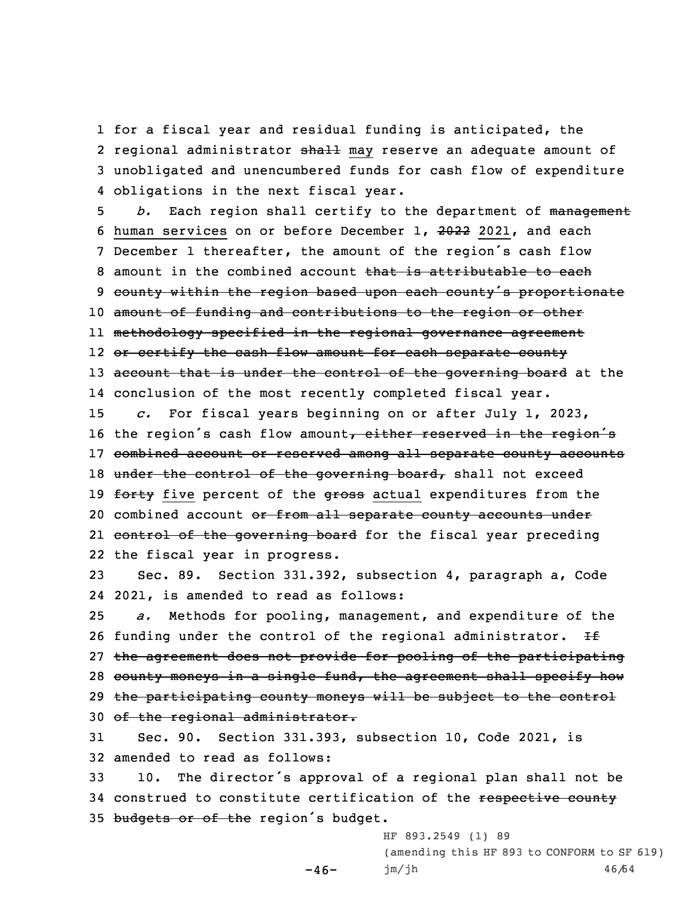for <sup>a</sup> fiscal year and residual funding is anticipated, the 2 regional administrator <del>shall</del> may reserve an adequate amount of unobligated and unencumbered funds for cash flow of expenditure obligations in the next fiscal year.

5 *b.* Each region shall certify to the department of management 6 human services on or before December 1, 2022 2021, and each <sup>7</sup> December <sup>1</sup> thereafter, the amount of the region's cash flow 8 amount in the combined account that is attributable to each 9 county within the region based upon each county's proportionate 10 amount of funding and contributions to the region or other 11 methodology specified in the regional governance agreement 12 <del>or certify the cash flow amount for each separate county</del> 13 account that is under the control of the governing board at the 14 conclusion of the most recently completed fiscal year.

15 *c.* For fiscal years beginning on or after July 1, 2023, 16 the region's cash flow amount, either reserved in the region's 17 combined account or reserved among all separate county accounts 18 under the control of the governing board, shall not exceed 19 forty five percent of the gross actual expenditures from the 20 combined account or from all separate county accounts under 21 <del>control of the governing board</del> for the fiscal year preceding 22 the fiscal year in progress.

23 Sec. 89. Section 331.392, subsection 4, paragraph a, Code 24 2021, is amended to read as follows:

 *a.* Methods for pooling, management, and expenditure of the 26 funding under the control of the regional administrator.  $H \oplus$  the agreement does not provide for pooling of the participating 28 county moneys in a single fund, the agreement shall specify how the participating county moneys will be subject to the control of the regional administrator.

31 Sec. 90. Section 331.393, subsection 10, Code 2021, is 32 amended to read as follows:

 $-46-$ 

<sup>33</sup> 10. The director's approval of <sup>a</sup> regional plan shall not be 34 construed to constitute certification of the respective county 35 budgets or of the region's budget.

> HF 893.2549 (1) 89 (amending this HF 893 to CONFORM to SF 619) jm/jh 46/64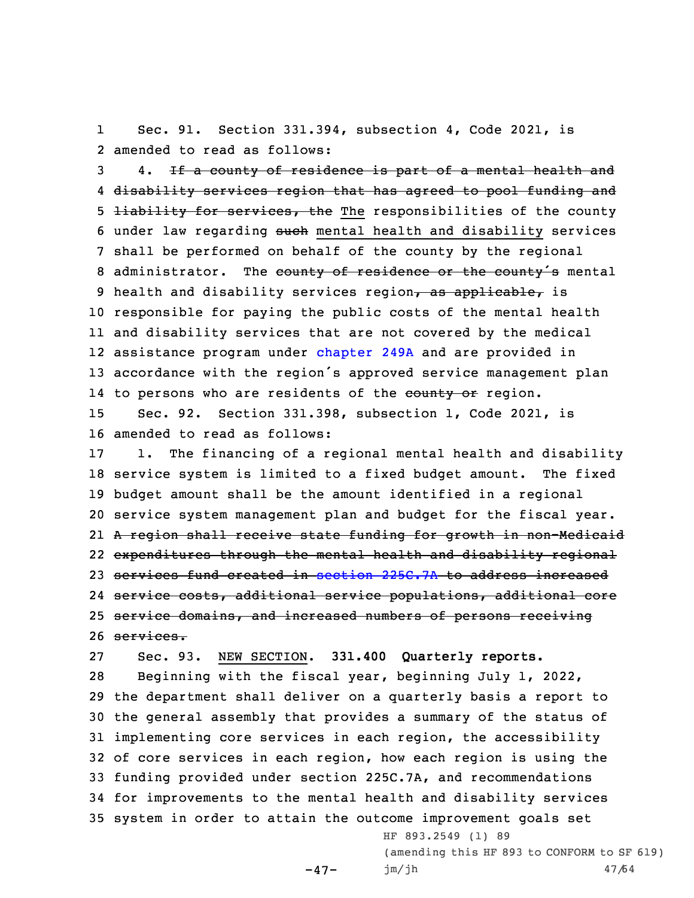1 Sec. 91. Section 331.394, subsection 4, Code 2021, is 2 amended to read as follows:

 4. If <sup>a</sup> county of residence is part of <sup>a</sup> mental health and disability services region that has agreed to pool funding and 5 <del>liability for services, the</del> The responsibilities of the county 6 under law regarding such mental health and disability services shall be performed on behalf of the county by the regional 8 administrator. The county of residence or the county's mental 9 health and disability services region, as applicable, is responsible for paying the public costs of the mental health and disability services that are not covered by the medical assistance program under [chapter](https://www.legis.iowa.gov/docs/code//249A.pdf) 249A and are provided in accordance with the region's approved service management plan 14 to persons who are residents of the <del>county or</del> region. Sec. 92. Section 331.398, subsection 1, Code 2021, is amended to read as follows:

 1. The financing of <sup>a</sup> regional mental health and disability service system is limited to <sup>a</sup> fixed budget amount. The fixed budget amount shall be the amount identified in <sup>a</sup> regional service system management plan and budget for the fiscal year. <sup>A</sup> region shall receive state funding for growth in non-Medicaid expenditures through the mental health and disability regional services fund created in section [225C.7A](https://www.legis.iowa.gov/docs/code/225C.7A.pdf) to address increased service costs, additional service populations, additional core 25 service domains, and increased numbers of persons receiving services.

27 Sec. 93. NEW SECTION. **331.400 Quarterly reports.**

 $-47-$ 

 Beginning with the fiscal year, beginning July 1, 2022, the department shall deliver on <sup>a</sup> quarterly basis <sup>a</sup> report to the general assembly that provides <sup>a</sup> summary of the status of implementing core services in each region, the accessibility of core services in each region, how each region is using the funding provided under section 225C.7A, and recommendations for improvements to the mental health and disability services system in order to attain the outcome improvement goals set

> HF 893.2549 (1) 89 (amending this HF 893 to CONFORM to SF 619) jm/jh 47/64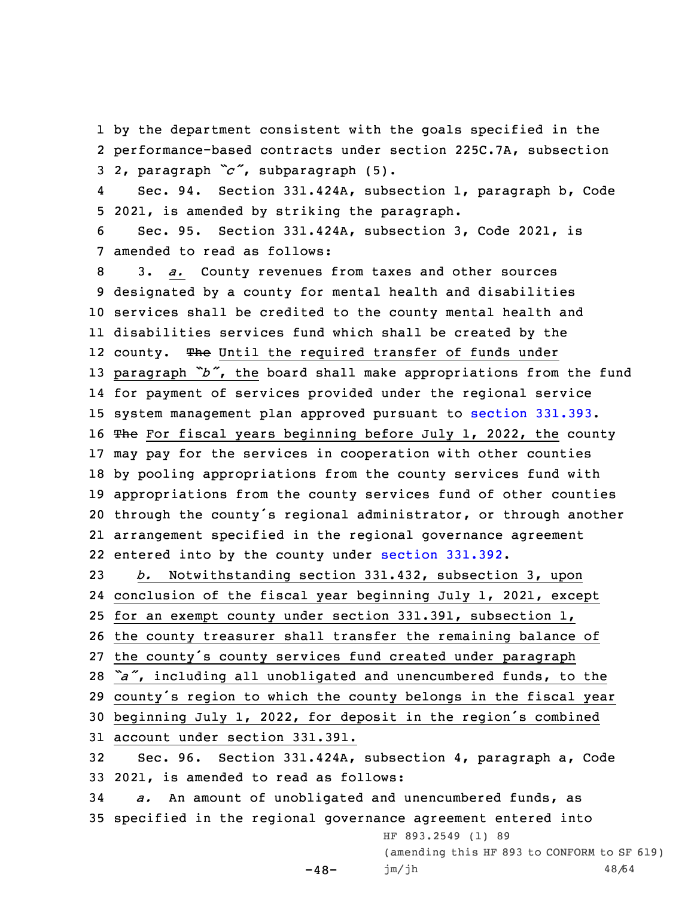1 by the department consistent with the goals specified in the 2 performance-based contracts under section 225C.7A, subsection <sup>3</sup> 2, paragraph *"c"*, subparagraph (5).

4 Sec. 94. Section 331.424A, subsection 1, paragraph b, Code 5 2021, is amended by striking the paragraph.

6 Sec. 95. Section 331.424A, subsection 3, Code 2021, is 7 amended to read as follows:

 3. *a.* County revenues from taxes and other sources designated by <sup>a</sup> county for mental health and disabilities services shall be credited to the county mental health and disabilities services fund which shall be created by the 12 county. The Until the required transfer of funds under paragraph *"b"*, the board shall make appropriations from the fund for payment of services provided under the regional service system management plan approved pursuant to section [331.393](https://www.legis.iowa.gov/docs/code/331.393.pdf). 16 The For fiscal years beginning before July 1, 2022, the county may pay for the services in cooperation with other counties by pooling appropriations from the county services fund with appropriations from the county services fund of other counties through the county's regional administrator, or through another arrangement specified in the regional governance agreement entered into by the county under section [331.392](https://www.legis.iowa.gov/docs/code/331.392.pdf). *b.* Notwithstanding section 331.432, subsection 3, upon

 conclusion of the fiscal year beginning July 1, 2021, except for an exempt county under section 331.391, subsection 1, the county treasurer shall transfer the remaining balance of the county's county services fund created under paragraph *"a"*, including all unobligated and unencumbered funds, to the county's region to which the county belongs in the fiscal year beginning July 1, 2022, for deposit in the region's combined account under section 331.391.

32 Sec. 96. Section 331.424A, subsection 4, paragraph a, Code 33 2021, is amended to read as follows:

34 *a.* An amount of unobligated and unencumbered funds, as 35 specified in the regional governance agreement entered into HF 893.2549 (1) 89

 $-48-$ 

(amending this HF 893 to CONFORM to SF 619) jm/jh 48/64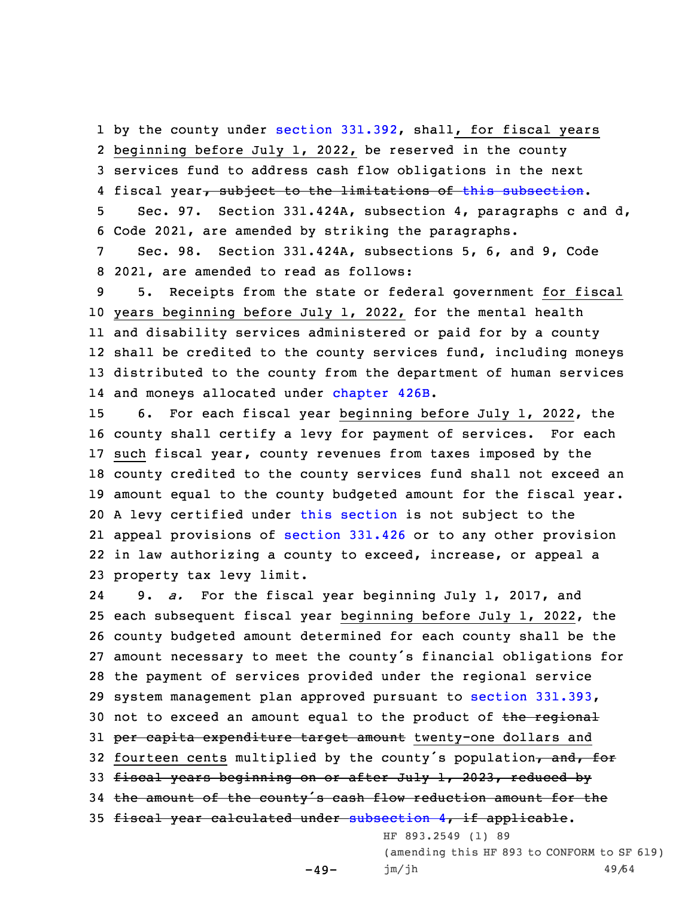1 by the county under section [331.392](https://www.legis.iowa.gov/docs/code/331.392.pdf), shall, for fiscal years 2 beginning before July 1, 2022, be reserved in the county 3 services fund to address cash flow obligations in the next

4 fiscal year<del>, subject to the limitations of this [subsection](https://www.legis.iowa.gov/docs/code/331.424A.pdf)</del>.

5 Sec. 97. Section 331.424A, subsection 4, paragraphs <sup>c</sup> and d, 6 Code 2021, are amended by striking the paragraphs.

7 Sec. 98. Section 331.424A, subsections 5, 6, and 9, Code 8 2021, are amended to read as follows:

 5. Receipts from the state or federal government for fiscal years beginning before July 1, 2022, for the mental health and disability services administered or paid for by <sup>a</sup> county shall be credited to the county services fund, including moneys distributed to the county from the department of human services 14 and moneys allocated under [chapter](https://www.legis.iowa.gov/docs/code//426B.pdf) 426B.

 6. For each fiscal year beginning before July 1, 2022, the county shall certify <sup>a</sup> levy for payment of services. For each such fiscal year, county revenues from taxes imposed by the county credited to the county services fund shall not exceed an amount equal to the county budgeted amount for the fiscal year. <sup>A</sup> levy certified under this [section](https://www.legis.iowa.gov/docs/code/331.424A.pdf) is not subject to the appeal provisions of [section](https://www.legis.iowa.gov/docs/code/331.426.pdf) 331.426 or to any other provision in law authorizing <sup>a</sup> county to exceed, increase, or appeal <sup>a</sup> property tax levy limit.

24 9. *a.* For the fiscal year beginning July 1, 2017, and 25 each subsequent fiscal year beginning before July 1, 2022, the 26 county budgeted amount determined for each county shall be the 27 amount necessary to meet the county's financial obligations for 28 the payment of services provided under the regional service 29 system management plan approved pursuant to section [331.393](https://www.legis.iowa.gov/docs/code/331.393.pdf), 30 not to exceed an amount equal to the product of the regional 31 per capita expenditure target amount twenty-one dollars and 32 fourteen cents multiplied by the county's population, and, for 33 fiscal years beginning on or after July 1, 2023, reduced by <sup>34</sup> the amount of the county's cash flow reduction amount for the 35 fiscal year calculated under [subsection](https://www.legis.iowa.gov/docs/code/331.424A.pdf) 4, if applicable. HF 893.2549 (1) 89

 $-49-$ 

(amending this HF 893 to CONFORM to SF 619) jm/jh 49/64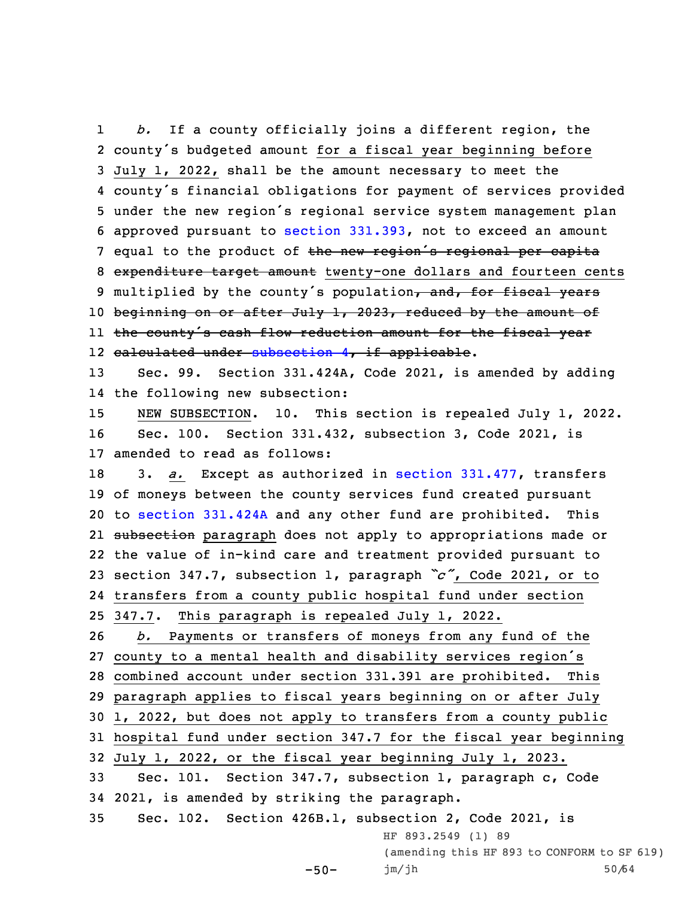1 *b.* If <sup>a</sup> county officially joins <sup>a</sup> different region, the county's budgeted amount for <sup>a</sup> fiscal year beginning before July 1, 2022, shall be the amount necessary to meet the county's financial obligations for payment of services provided under the new region's regional service system management plan approved pursuant to section [331.393](https://www.legis.iowa.gov/docs/code/331.393.pdf), not to exceed an amount 7 equal to the product of the new region's regional per capita 8 expenditure target amount twenty-one dollars and fourteen cents 9 multiplied by the county's population, and, for fiscal years 10 beginning on or after July 1, 2023, reduced by the amount of the county's cash flow reduction amount for the fiscal year 12 <del>calculated under [subsection](https://www.legis.iowa.gov/docs/code/331.424A.pdf) 4, if applicable</del>. Sec. 99. Section 331.424A, Code 2021, is amended by adding the following new subsection: NEW SUBSECTION. 10. This section is repealed July 1, 2022. Sec. 100. Section 331.432, subsection 3, Code 2021, is amended to read as follows: 3. *a.* Except as authorized in section [331.477](https://www.legis.iowa.gov/docs/code/331.477.pdf), transfers of moneys between the county services fund created pursuant to section [331.424A](https://www.legis.iowa.gov/docs/code/331.424A.pdf) and any other fund are prohibited. This 21 <del>subsection</del> paragraph does not apply to appropriations made or the value of in-kind care and treatment provided pursuant to section 347.7, subsection 1, paragraph *"c"*, Code 2021, or to transfers from <sup>a</sup> county public hospital fund under section 347.7. This paragraph is repealed July 1, 2022. *b.* Payments or transfers of moneys from any fund of the county to <sup>a</sup> mental health and disability services region's combined account under section 331.391 are prohibited. This paragraph applies to fiscal years beginning on or after July 1, 2022, but does not apply to transfers from <sup>a</sup> county public hospital fund under section 347.7 for the fiscal year beginning July 1, 2022, or the fiscal year beginning July 1, 2023. Sec. 101. Section 347.7, subsection 1, paragraph c, Code 2021, is amended by striking the paragraph. Sec. 102. Section 426B.1, subsection 2, Code 2021, is HF 893.2549 (1) 89 (amending this HF 893 to CONFORM to SF 619)

```
-50-jm/jh 50/64
```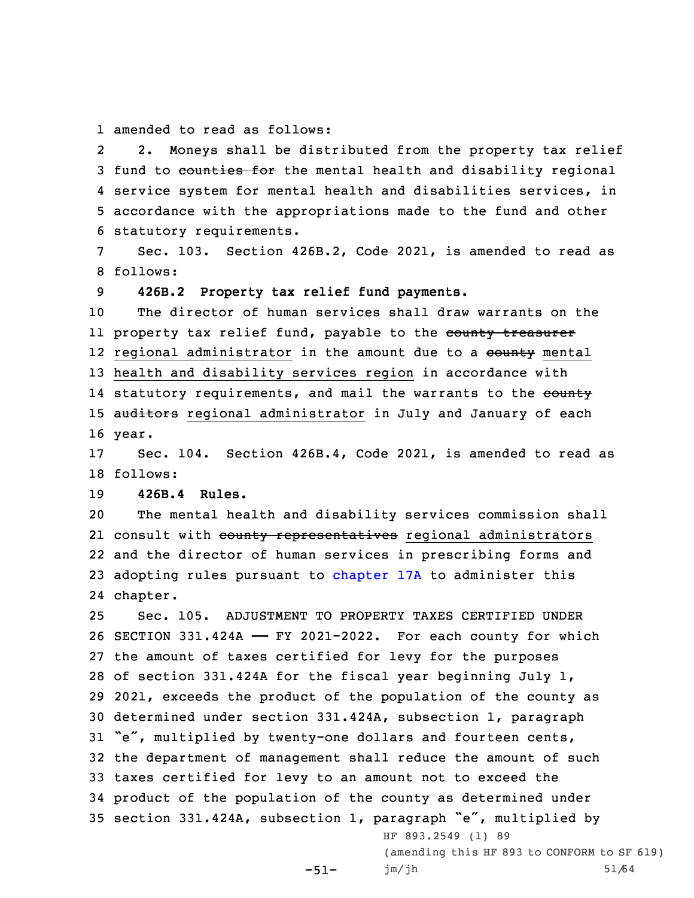1 amended to read as follows:

2 2. Moneys shall be distributed from the property tax relief 3 fund to counties for the mental health and disability regional 4 service system for mental health and disabilities services, in 5 accordance with the appropriations made to the fund and other 6 statutory requirements.

7 Sec. 103. Section 426B.2, Code 2021, is amended to read as 8 follows:

9 **426B.2 Property tax relief fund payments.**

10 The director of human services shall draw warrants on the ll property tax relief fund, payable to the <del>county treasurer</del> 12 regional administrator in the amount due to a <del>county</del> mental 13 health and disability services region in accordance with 14 statutory requirements, and mail the warrants to the <del>county</del> 15 auditors regional administrator in July and January of each 16 year.

17 Sec. 104. Section 426B.4, Code 2021, is amended to read as 18 follows:

## 19 **426B.4 Rules.**

20 The mental health and disability services commission shall 21 consult with <del>county representatives</del> regional administrators 22 and the director of human services in prescribing forms and 23 adopting rules pursuant to [chapter](https://www.legis.iowa.gov/docs/code//17A.pdf) 17A to administer this 24 chapter.

 Sec. 105. ADJUSTMENT TO PROPERTY TAXES CERTIFIED UNDER SECTION 331.424A —— FY 2021-2022. For each county for which the amount of taxes certified for levy for the purposes of section 331.424A for the fiscal year beginning July 1, 2021, exceeds the product of the population of the county as determined under section 331.424A, subsection 1, paragraph "e", multiplied by twenty-one dollars and fourteen cents, the department of management shall reduce the amount of such taxes certified for levy to an amount not to exceed the product of the population of the county as determined under section 331.424A, subsection 1, paragraph "e", multiplied by HF 893.2549 (1) 89

> -51- (amending this HF 893 to CONFORM to SF 619) jm/jh 51/64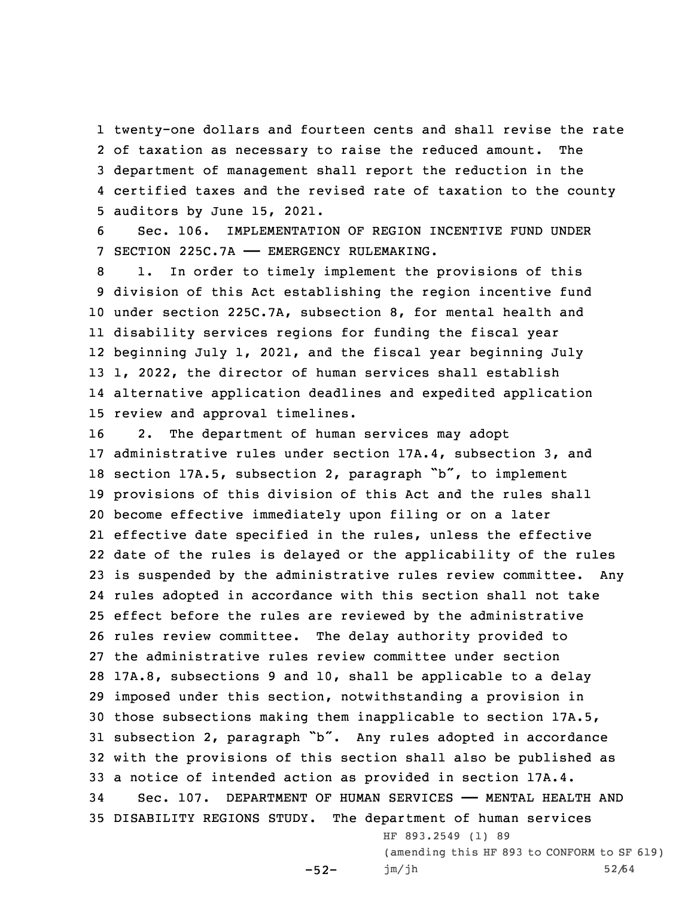twenty-one dollars and fourteen cents and shall revise the rate of taxation as necessary to raise the reduced amount. The department of management shall report the reduction in the certified taxes and the revised rate of taxation to the county auditors by June 15, 2021.

6 Sec. 106. IMPLEMENTATION OF REGION INCENTIVE FUND UNDER 7 SECTION 225C.7A —— EMERGENCY RULEMAKING.

 1. In order to timely implement the provisions of this division of this Act establishing the region incentive fund under section 225C.7A, subsection 8, for mental health and disability services regions for funding the fiscal year beginning July 1, 2021, and the fiscal year beginning July 1, 2022, the director of human services shall establish alternative application deadlines and expedited application review and approval timelines.

 2. The department of human services may adopt administrative rules under section 17A.4, subsection 3, and section 17A.5, subsection 2, paragraph "b", to implement provisions of this division of this Act and the rules shall become effective immediately upon filing or on <sup>a</sup> later effective date specified in the rules, unless the effective date of the rules is delayed or the applicability of the rules is suspended by the administrative rules review committee. Any rules adopted in accordance with this section shall not take effect before the rules are reviewed by the administrative rules review committee. The delay authority provided to the administrative rules review committee under section 17A.8, subsections 9 and 10, shall be applicable to <sup>a</sup> delay imposed under this section, notwithstanding <sup>a</sup> provision in those subsections making them inapplicable to section 17A.5, subsection 2, paragraph "b". Any rules adopted in accordance with the provisions of this section shall also be published as <sup>a</sup> notice of intended action as provided in section 17A.4. Sec. 107. DEPARTMENT OF HUMAN SERVICES —— MENTAL HEALTH AND DISABILITY REGIONS STUDY. The department of human services HF 893.2549 (1) 89

> (amending this HF 893 to CONFORM to SF 619) jm/jh 52/64

 $-52-$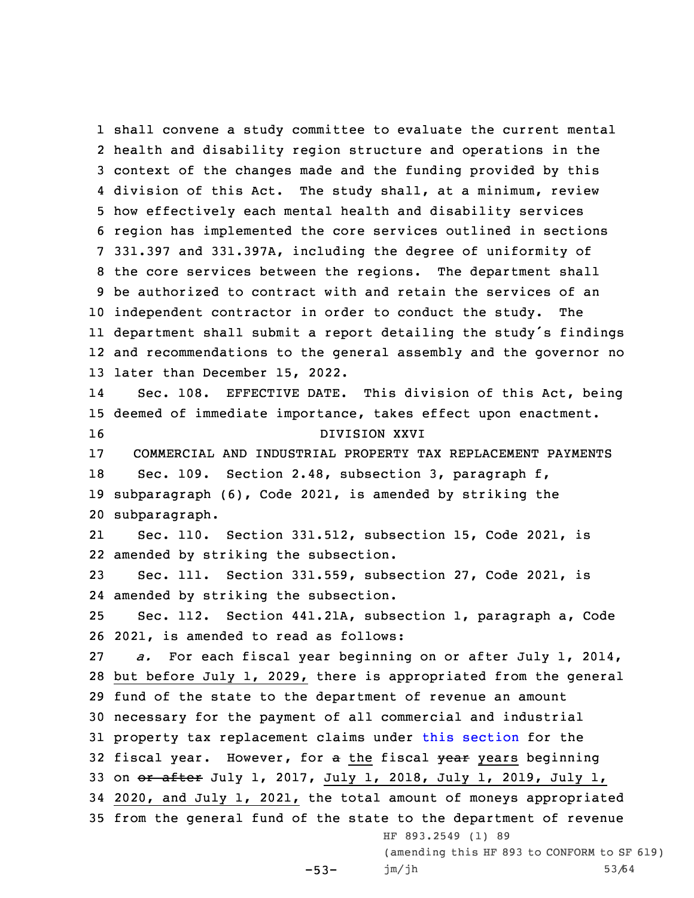shall convene <sup>a</sup> study committee to evaluate the current mental health and disability region structure and operations in the context of the changes made and the funding provided by this division of this Act. The study shall, at <sup>a</sup> minimum, review how effectively each mental health and disability services region has implemented the core services outlined in sections 331.397 and 331.397A, including the degree of uniformity of the core services between the regions. The department shall be authorized to contract with and retain the services of an independent contractor in order to conduct the study. The department shall submit <sup>a</sup> report detailing the study's findings and recommendations to the general assembly and the governor no later than December 15, 2022. 14 Sec. 108. EFFECTIVE DATE. This division of this Act, being deemed of immediate importance, takes effect upon enactment. DIVISION XXVI COMMERCIAL AND INDUSTRIAL PROPERTY TAX REPLACEMENT PAYMENTS Sec. 109. Section 2.48, subsection 3, paragraph f, subparagraph (6), Code 2021, is amended by striking the subparagraph. 21 Sec. 110. Section 331.512, subsection 15, Code 2021, is amended by striking the subsection. Sec. 111. Section 331.559, subsection 27, Code 2021, is amended by striking the subsection. Sec. 112. Section 441.21A, subsection 1, paragraph a, Code 2021, is amended to read as follows: *a.* For each fiscal year beginning on or after July 1, 2014, but before July 1, 2029, there is appropriated from the general fund of the state to the department of revenue an amount necessary for the payment of all commercial and industrial property tax replacement claims under this [section](https://www.legis.iowa.gov/docs/code/441.21A.pdf) for the 32 fiscal year. However, for a the fiscal year years beginning 33 on or after July 1, 2017, July 1, 2018, July 1, 2019, July 1, 2020, and July 1, 2021, the total amount of moneys appropriated from the general fund of the state to the department of revenue HF 893.2549 (1) 89 (amending this HF 893 to CONFORM to SF 619)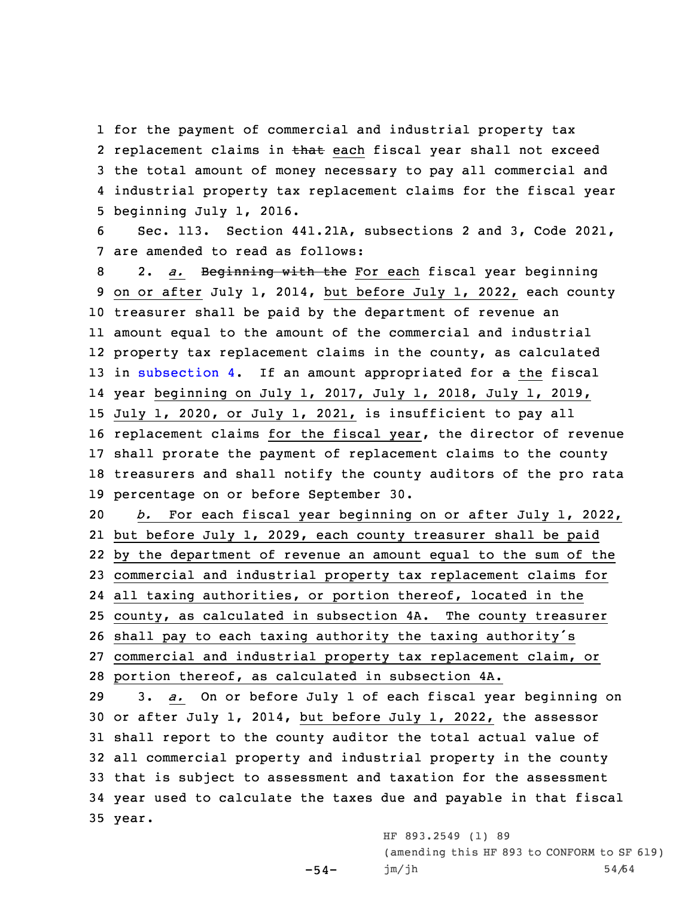for the payment of commercial and industrial property tax 2 replacement claims in <del>that</del> each fiscal year shall not exceed the total amount of money necessary to pay all commercial and industrial property tax replacement claims for the fiscal year beginning July 1, 2016.

6 Sec. 113. Section 441.21A, subsections 2 and 3, Code 2021, 7 are amended to read as follows:

 2. *a.* Beginning with the For each fiscal year beginning on or after July 1, 2014, but before July 1, 2022, each county treasurer shall be paid by the department of revenue an amount equal to the amount of the commercial and industrial property tax replacement claims in the county, as calculated 13 in [subsection](https://www.legis.iowa.gov/docs/code/441.21A.pdf) 4. If an amount appropriated for a the fiscal year beginning on July 1, 2017, July 1, 2018, July 1, 2019, July 1, 2020, or July 1, 2021, is insufficient to pay all replacement claims for the fiscal year, the director of revenue shall prorate the payment of replacement claims to the county treasurers and shall notify the county auditors of the pro rata percentage on or before September 30.

 *b.* For each fiscal year beginning on or after July 1, 2022, but before July 1, 2029, each county treasurer shall be paid by the department of revenue an amount equal to the sum of the commercial and industrial property tax replacement claims for all taxing authorities, or portion thereof, located in the county, as calculated in subsection 4A. The county treasurer

<sup>26</sup> shall pay to each taxing authority the taxing authority's

 $-54-$ 

27 commercial and industrial property tax replacement claim, or 28 portion thereof, as calculated in subsection 4A.

 3. *a.* On or before July 1 of each fiscal year beginning on or after July 1, 2014, but before July 1, 2022, the assessor shall report to the county auditor the total actual value of all commercial property and industrial property in the county that is subject to assessment and taxation for the assessment year used to calculate the taxes due and payable in that fiscal 35 year.

> HF 893.2549 (1) 89 (amending this HF 893 to CONFORM to SF 619) jm/jh 54/64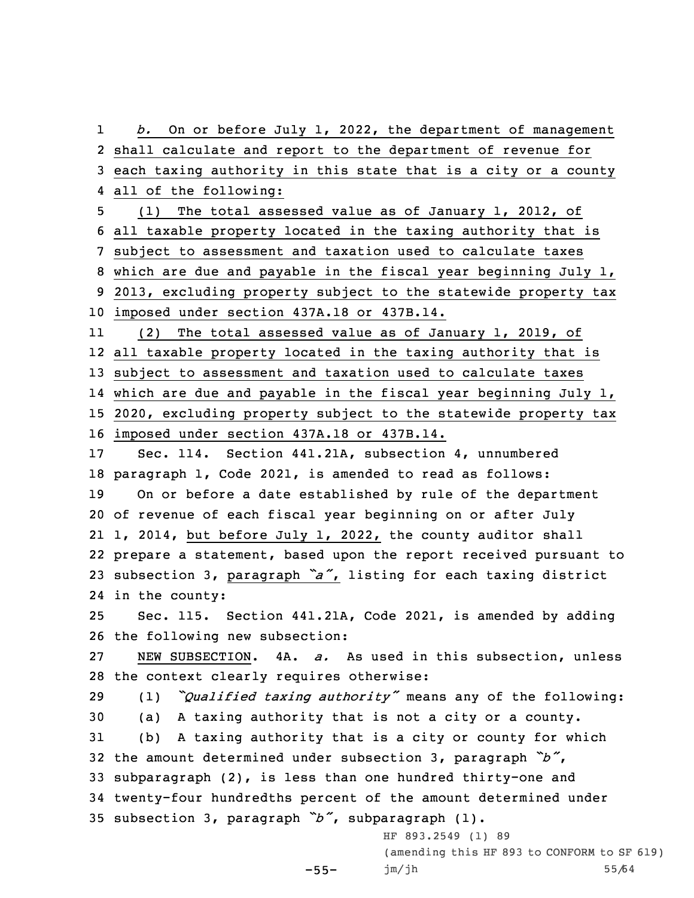1 *b.* On or before July 1, 2022, the department of management 2 shall calculate and report to the department of revenue for 3 each taxing authority in this state that is <sup>a</sup> city or <sup>a</sup> county 4 all of the following:

 (1) The total assessed value as of January 1, 2012, of all taxable property located in the taxing authority that is subject to assessment and taxation used to calculate taxes which are due and payable in the fiscal year beginning July 1, 2013, excluding property subject to the statewide property tax imposed under section 437A.18 or 437B.14.

11 (2) The total assessed value as of January 1, 2019, of all taxable property located in the taxing authority that is subject to assessment and taxation used to calculate taxes which are due and payable in the fiscal year beginning July 1, 2020, excluding property subject to the statewide property tax imposed under section 437A.18 or 437B.14.

 Sec. 114. Section 441.21A, subsection 4, unnumbered paragraph 1, Code 2021, is amended to read as follows: On or before <sup>a</sup> date established by rule of the department of revenue of each fiscal year beginning on or after July 1, 2014, but before July 1, 2022, the county auditor shall prepare <sup>a</sup> statement, based upon the report received pursuant to subsection 3, paragraph *"a"*, listing for each taxing district in the county:

25 Sec. 115. Section 441.21A, Code 2021, is amended by adding 26 the following new subsection:

27 NEW SUBSECTION. 4A. *a.* As used in this subsection, unless 28 the context clearly requires otherwise:

 (1) *"Qualified taxing authority"* means any of the following: (a) <sup>A</sup> taxing authority that is not <sup>a</sup> city or <sup>a</sup> county. (b) <sup>A</sup> taxing authority that is <sup>a</sup> city or county for which the amount determined under subsection 3, paragraph *"b"*, subparagraph (2), is less than one hundred thirty-one and twenty-four hundredths percent of the amount determined under subsection 3, paragraph *"b"*, subparagraph (1).

-55-

HF 893.2549 (1) 89 (amending this HF 893 to CONFORM to SF 619) jm/jh 55/64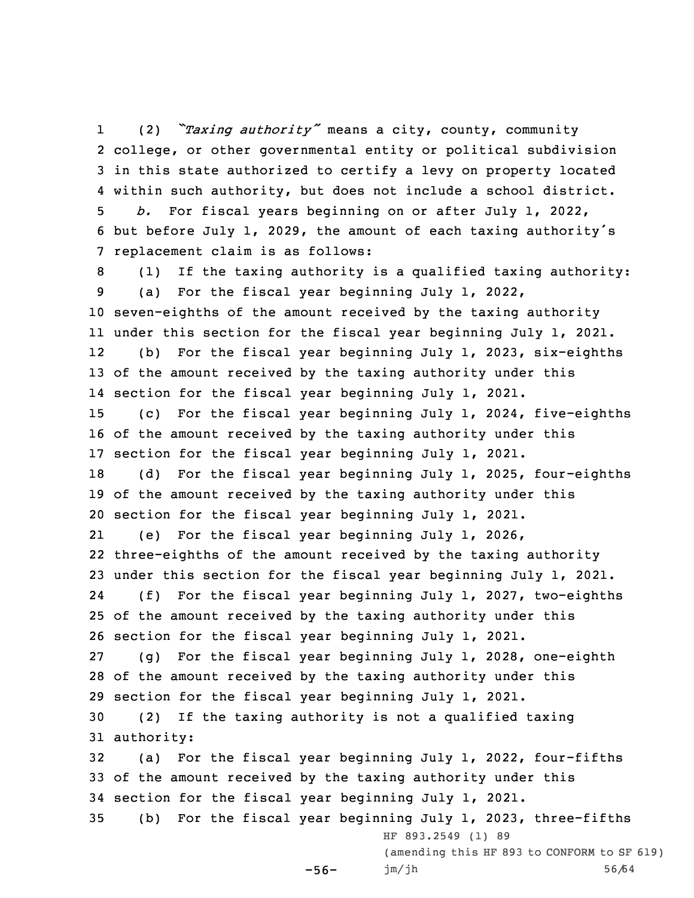1 (2) *"Taxing authority"* means <sup>a</sup> city, county, community college, or other governmental entity or political subdivision in this state authorized to certify <sup>a</sup> levy on property located within such authority, but does not include <sup>a</sup> school district. *b.* For fiscal years beginning on or after July 1, 2022, but before July 1, 2029, the amount of each taxing authority's replacement claim is as follows: (1) If the taxing authority is <sup>a</sup> qualified taxing authority: (a) For the fiscal year beginning July 1, 2022, seven-eighths of the amount received by the taxing authority under this section for the fiscal year beginning July 1, 2021. 12 (b) For the fiscal year beginning July 1, 2023, six-eighths of the amount received by the taxing authority under this section for the fiscal year beginning July 1, 2021. (c) For the fiscal year beginning July 1, 2024, five-eighths of the amount received by the taxing authority under this section for the fiscal year beginning July 1, 2021. (d) For the fiscal year beginning July 1, 2025, four-eighths of the amount received by the taxing authority under this section for the fiscal year beginning July 1, 2021. 21 (e) For the fiscal year beginning July 1, 2026, three-eighths of the amount received by the taxing authority under this section for the fiscal year beginning July 1, 2021. 24 (f) For the fiscal year beginning July 1, 2027, two-eighths of the amount received by the taxing authority under this section for the fiscal year beginning July 1, 2021. (g) For the fiscal year beginning July 1, 2028, one-eighth of the amount received by the taxing authority under this section for the fiscal year beginning July 1, 2021. (2) If the taxing authority is not <sup>a</sup> qualified taxing authority: (a) For the fiscal year beginning July 1, 2022, four-fifths of the amount received by the taxing authority under this section for the fiscal year beginning July 1, 2021. (b) For the fiscal year beginning July 1, 2023, three-fifths -56- HF 893.2549 (1) 89 (amending this HF 893 to CONFORM to SF 619) jm/jh 56/64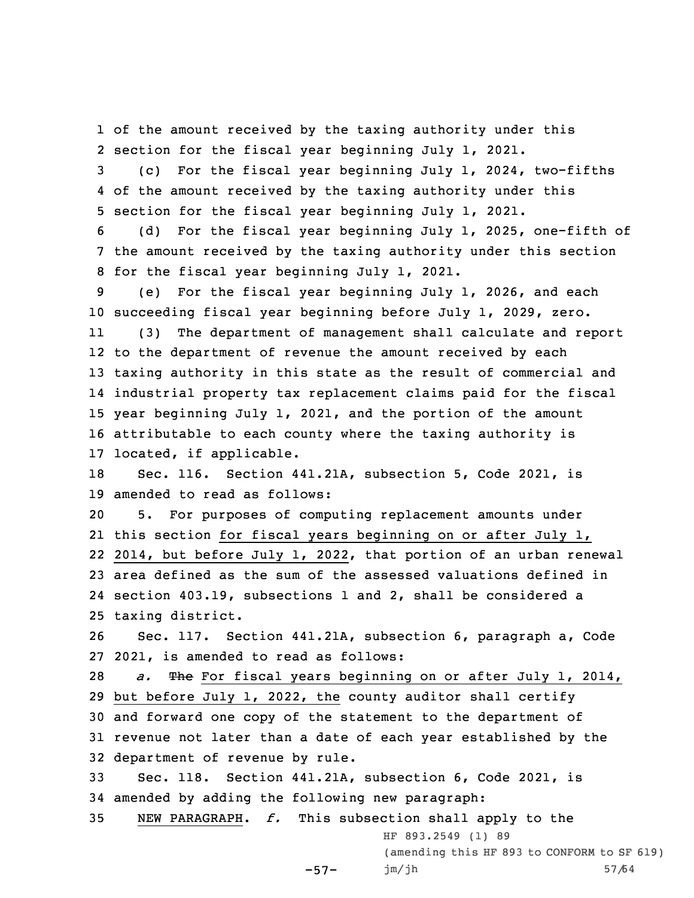1 of the amount received by the taxing authority under this 2 section for the fiscal year beginning July 1, 2021.

3 (c) For the fiscal year beginning July 1, 2024, two-fifths 4 of the amount received by the taxing authority under this 5 section for the fiscal year beginning July 1, 2021.

6 (d) For the fiscal year beginning July 1, 2025, one-fifth of 7 the amount received by the taxing authority under this section 8 for the fiscal year beginning July 1, 2021.

9 (e) For the fiscal year beginning July 1, 2026, and each 10 succeeding fiscal year beginning before July 1, 2029, zero.

11 (3) The department of management shall calculate and report to the department of revenue the amount received by each taxing authority in this state as the result of commercial and industrial property tax replacement claims paid for the fiscal year beginning July 1, 2021, and the portion of the amount attributable to each county where the taxing authority is located, if applicable.

18 Sec. 116. Section 441.21A, subsection 5, Code 2021, is 19 amended to read as follows:

 5. For purposes of computing replacement amounts under this section for fiscal years beginning on or after July 1, 2014, but before July 1, 2022, that portion of an urban renewal area defined as the sum of the assessed valuations defined in section 403.19, subsections 1 and 2, shall be considered <sup>a</sup> taxing district.

26 Sec. 117. Section 441.21A, subsection 6, paragraph a, Code 27 2021, is amended to read as follows:

 *a.* The For fiscal years beginning on or after July 1, 2014, but before July 1, 2022, the county auditor shall certify and forward one copy of the statement to the department of revenue not later than <sup>a</sup> date of each year established by the department of revenue by rule.

33 Sec. 118. Section 441.21A, subsection 6, Code 2021, is 34 amended by adding the following new paragraph:

35 NEW PARAGRAPH. *f.* This subsection shall apply to the

-57-

HF 893.2549 (1) 89 (amending this HF 893 to CONFORM to SF 619) jm/jh 57/64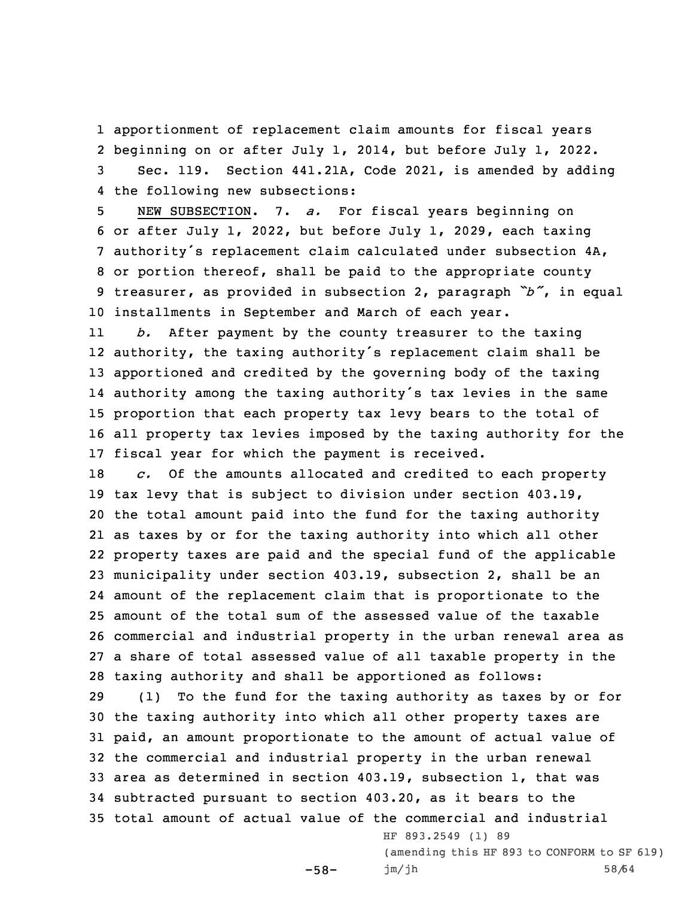apportionment of replacement claim amounts for fiscal years beginning on or after July 1, 2014, but before July 1, 2022. Sec. 119. Section 441.21A, Code 2021, is amended by adding the following new subsections:

 NEW SUBSECTION. 7. *a.* For fiscal years beginning on or after July 1, 2022, but before July 1, 2029, each taxing authority's replacement claim calculated under subsection 4A, or portion thereof, shall be paid to the appropriate county treasurer, as provided in subsection 2, paragraph *"b"*, in equal installments in September and March of each year.

11 *b.* After payment by the county treasurer to the taxing authority, the taxing authority's replacement claim shall be apportioned and credited by the governing body of the taxing authority among the taxing authority's tax levies in the same proportion that each property tax levy bears to the total of all property tax levies imposed by the taxing authority for the fiscal year for which the payment is received.

 *c.* Of the amounts allocated and credited to each property tax levy that is subject to division under section 403.19, the total amount paid into the fund for the taxing authority as taxes by or for the taxing authority into which all other property taxes are paid and the special fund of the applicable municipality under section 403.19, subsection 2, shall be an amount of the replacement claim that is proportionate to the amount of the total sum of the assessed value of the taxable commercial and industrial property in the urban renewal area as <sup>a</sup> share of total assessed value of all taxable property in the taxing authority and shall be apportioned as follows:

 (1) To the fund for the taxing authority as taxes by or for the taxing authority into which all other property taxes are paid, an amount proportionate to the amount of actual value of the commercial and industrial property in the urban renewal area as determined in section 403.19, subsection 1, that was subtracted pursuant to section 403.20, as it bears to the total amount of actual value of the commercial and industrial

-58-

HF 893.2549 (1) 89 (amending this HF 893 to CONFORM to SF 619) jm/jh 58/64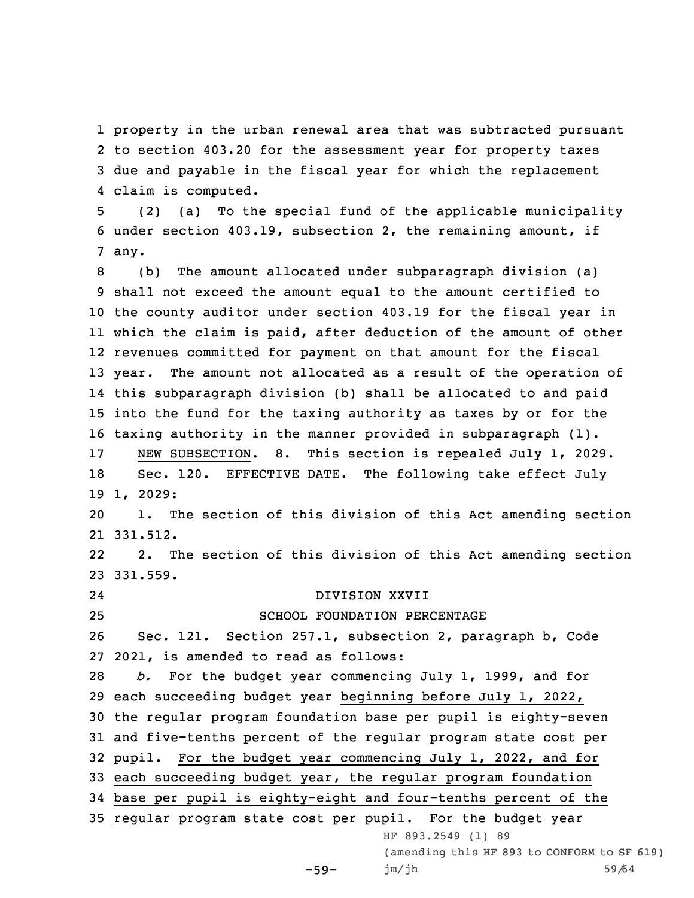property in the urban renewal area that was subtracted pursuant to section 403.20 for the assessment year for property taxes due and payable in the fiscal year for which the replacement claim is computed.

5 (2) (a) To the special fund of the applicable municipality 6 under section 403.19, subsection 2, the remaining amount, if 7 any.

 (b) The amount allocated under subparagraph division (a) shall not exceed the amount equal to the amount certified to the county auditor under section 403.19 for the fiscal year in which the claim is paid, after deduction of the amount of other revenues committed for payment on that amount for the fiscal year. The amount not allocated as <sup>a</sup> result of the operation of this subparagraph division (b) shall be allocated to and paid into the fund for the taxing authority as taxes by or for the taxing authority in the manner provided in subparagraph (1). NEW SUBSECTION. 8. This section is repealed July 1, 2029. Sec. 120. EFFECTIVE DATE. The following take effect July 19 1, 2029: 1. The section of this division of this Act amending section 21 331.512. 22 2. The section of this division of this Act amending section 23 331.559. 24 DIVISION XXVII SCHOOL FOUNDATION PERCENTAGE Sec. 121. Section 257.1, subsection 2, paragraph b, Code

27 2021, is amended to read as follows:

 *b.* For the budget year commencing July 1, 1999, and for each succeeding budget year beginning before July 1, 2022, the regular program foundation base per pupil is eighty-seven and five-tenths percent of the regular program state cost per pupil. For the budget year commencing July 1, 2022, and for each succeeding budget year, the regular program foundation base per pupil is eighty-eight and four-tenths percent of the regular program state cost per pupil. For the budget year HF 893.2549 (1) 89

-59-

(amending this HF 893 to CONFORM to SF 619) jm/jh 59/64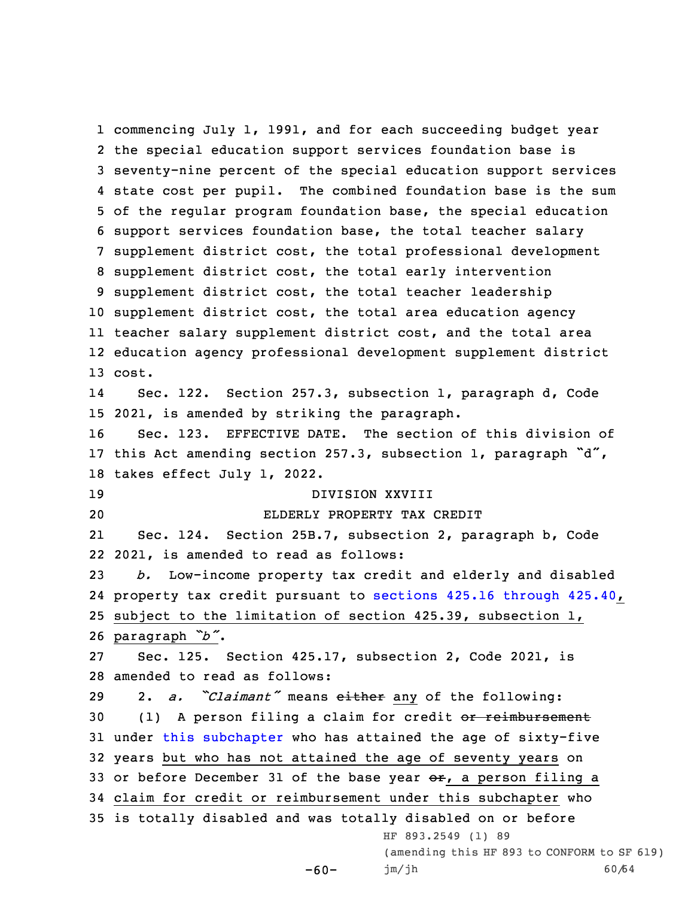commencing July 1, 1991, and for each succeeding budget year the special education support services foundation base is seventy-nine percent of the special education support services state cost per pupil. The combined foundation base is the sum of the regular program foundation base, the special education support services foundation base, the total teacher salary supplement district cost, the total professional development supplement district cost, the total early intervention supplement district cost, the total teacher leadership supplement district cost, the total area education agency teacher salary supplement district cost, and the total area education agency professional development supplement district 13 cost. 14 Sec. 122. Section 257.3, subsection 1, paragraph d, Code 2021, is amended by striking the paragraph. Sec. 123. EFFECTIVE DATE. The section of this division of this Act amending section 257.3, subsection 1, paragraph "d", takes effect July 1, 2022. DIVISION XXVIII ELDERLY PROPERTY TAX CREDIT 21 Sec. 124. Section 25B.7, subsection 2, paragraph b, Code 2021, is amended to read as follows: *b.* Low-income property tax credit and elderly and disabled property tax credit pursuant to sections 425.16 [through](https://www.legis.iowa.gov/docs/code/425.16.pdf) 425.40, subject to the limitation of section 425.39, subsection 1, paragraph *"b"*. Sec. 125. Section 425.17, subsection 2, Code 2021, is amended to read as follows: 2. *a. "Claimant"* means either any of the following: 30 (1) A person filing a claim for credit or reimbursement under this [subchapter](https://www.legis.iowa.gov/docs/code//425.pdf) who has attained the age of sixty-five years but who has not attained the age of seventy years on 33 or before December 31 of the base year  $er_1$ , a person filing a claim for credit or reimbursement under this subchapter who is totally disabled and was totally disabled on or before HF 893.2549 (1) 89 (amending this HF 893 to CONFORM to SF 619)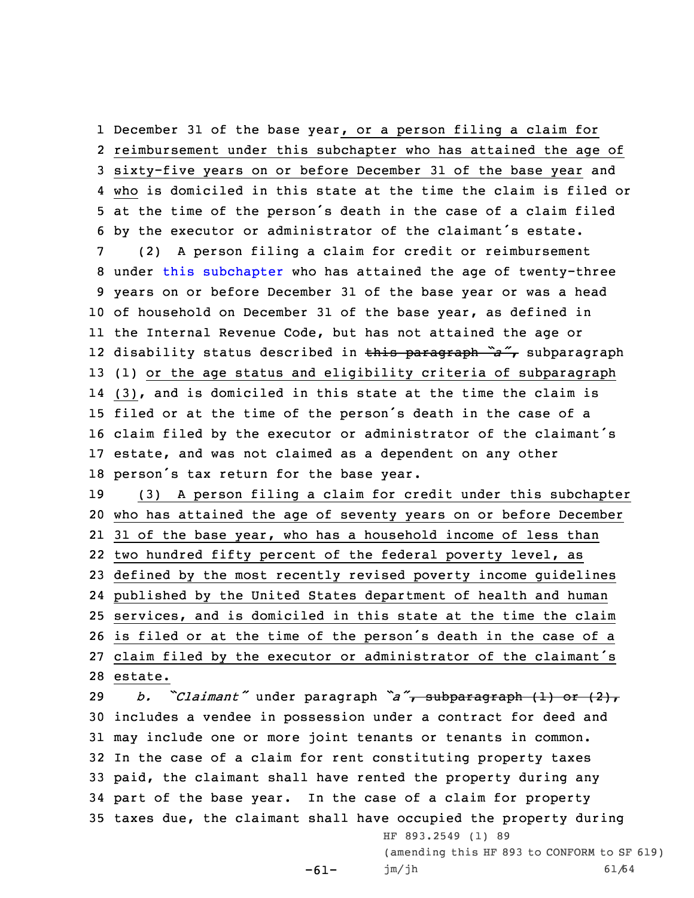December 31 of the base year, or <sup>a</sup> person filing <sup>a</sup> claim for reimbursement under this subchapter who has attained the age of sixty-five years on or before December 31 of the base year and who is domiciled in this state at the time the claim is filed or at the time of the person's death in the case of <sup>a</sup> claim filed by the executor or administrator of the claimant's estate.

 (2) <sup>A</sup> person filing <sup>a</sup> claim for credit or reimbursement under this [subchapter](https://www.legis.iowa.gov/docs/code//425.pdf) who has attained the age of twenty-three years on or before December 31 of the base year or was <sup>a</sup> head of household on December 31 of the base year, as defined in the Internal Revenue Code, but has not attained the age or disability status described in this paragraph *"a"*, subparagraph (1) or the age status and eligibility criteria of subparagraph (3), and is domiciled in this state at the time the claim is filed or at the time of the person's death in the case of <sup>a</sup> claim filed by the executor or administrator of the claimant's estate, and was not claimed as <sup>a</sup> dependent on any other person's tax return for the base year.

 (3) <sup>A</sup> person filing <sup>a</sup> claim for credit under this subchapter who has attained the age of seventy years on or before December 31 of the base year, who has <sup>a</sup> household income of less than two hundred fifty percent of the federal poverty level, as defined by the most recently revised poverty income guidelines published by the United States department of health and human services, and is domiciled in this state at the time the claim is filed or at the time of the person's death in the case of <sup>a</sup> claim filed by the executor or administrator of the claimant's 28 estate.

 *b. "Claimant"* under paragraph *"a"*, subparagraph (1) or (2), includes <sup>a</sup> vendee in possession under <sup>a</sup> contract for deed and may include one or more joint tenants or tenants in common. In the case of <sup>a</sup> claim for rent constituting property taxes paid, the claimant shall have rented the property during any part of the base year. In the case of <sup>a</sup> claim for property taxes due, the claimant shall have occupied the property during HF 893.2549 (1) 89

-61-

(amending this HF 893 to CONFORM to SF 619) jm/jh 61/64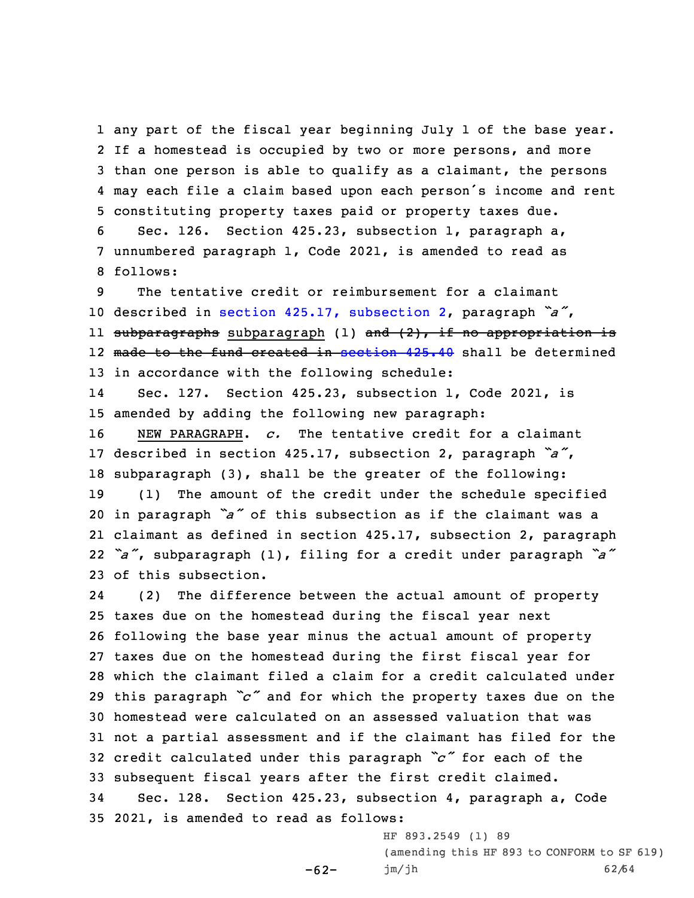any part of the fiscal year beginning July 1 of the base year. If <sup>a</sup> homestead is occupied by two or more persons, and more than one person is able to qualify as <sup>a</sup> claimant, the persons may each file <sup>a</sup> claim based upon each person's income and rent constituting property taxes paid or property taxes due.

6 Sec. 126. Section 425.23, subsection 1, paragraph a, 7 unnumbered paragraph 1, Code 2021, is amended to read as 8 follows:

9 The tentative credit or reimbursement for <sup>a</sup> claimant <sup>10</sup> described in section 425.17, [subsection](https://www.legis.iowa.gov/docs/code/425.17.pdf) 2, paragraph *"a"*, ll <del>subparagraphs</del> subparagraph (l) <del>and (2), if no appropriation i</del>s 12 made to the fund created in [section](https://www.legis.iowa.gov/docs/code/425.40.pdf) 425.40 shall be determined 13 in accordance with the following schedule:

14 Sec. 127. Section 425.23, subsection 1, Code 2021, is 15 amended by adding the following new paragraph:

 NEW PARAGRAPH. *c.* The tentative credit for <sup>a</sup> claimant described in section 425.17, subsection 2, paragraph *"a"*, subparagraph (3), shall be the greater of the following: (1) The amount of the credit under the schedule specified in paragraph *"a"* of this subsection as if the claimant was <sup>a</sup> claimant as defined in section 425.17, subsection 2, paragraph *"a"*, subparagraph (1), filing for <sup>a</sup> credit under paragraph *"a"* of this subsection.

24 (2) The difference between the actual amount of property taxes due on the homestead during the fiscal year next following the base year minus the actual amount of property taxes due on the homestead during the first fiscal year for which the claimant filed <sup>a</sup> claim for <sup>a</sup> credit calculated under this paragraph *"c"* and for which the property taxes due on the homestead were calculated on an assessed valuation that was not <sup>a</sup> partial assessment and if the claimant has filed for the credit calculated under this paragraph *"c"* for each of the subsequent fiscal years after the first credit claimed. Sec. 128. Section 425.23, subsection 4, paragraph a, Code

 $-62-$ 

35 2021, is amended to read as follows:

HF 893.2549 (1) 89 (amending this HF 893 to CONFORM to SF 619) jm/jh 62/64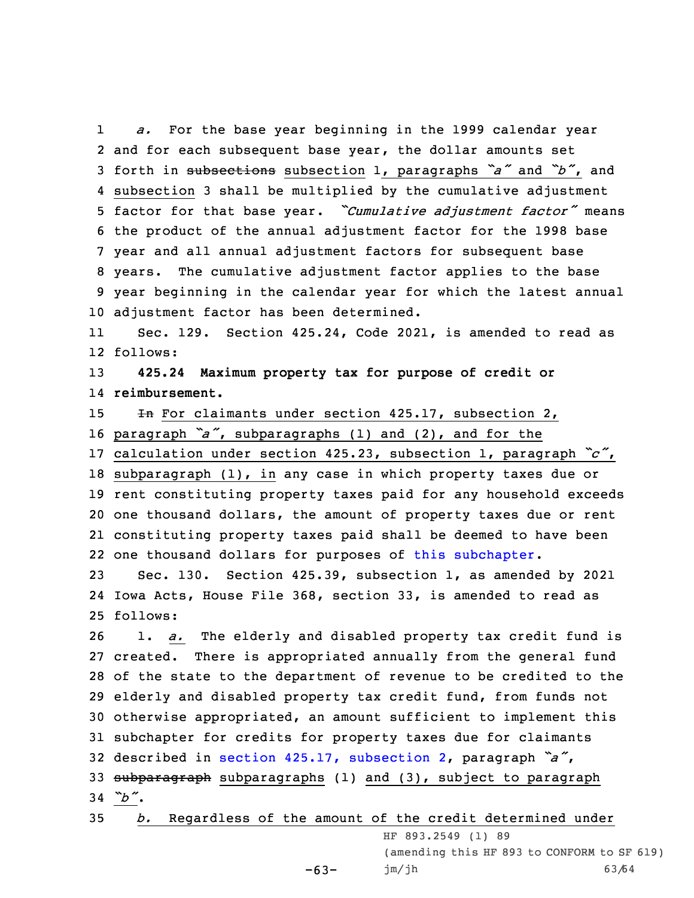1 *a.* For the base year beginning in the 1999 calendar year and for each subsequent base year, the dollar amounts set forth in subsections subsection 1, paragraphs *"a"* and *"b"*, and subsection 3 shall be multiplied by the cumulative adjustment factor for that base year. *"Cumulative adjustment factor"* means the product of the annual adjustment factor for the 1998 base year and all annual adjustment factors for subsequent base years. The cumulative adjustment factor applies to the base year beginning in the calendar year for which the latest annual adjustment factor has been determined.

11 Sec. 129. Section 425.24, Code 2021, is amended to read as 12 follows:

13 **425.24 Maximum property tax for purpose of credit or** 14 **reimbursement.**

15 **In** For claimants under section 425.17, subsection 2,

- <sup>16</sup> paragraph *"a"*, subparagraphs (1) and (2), and for the
- <sup>17</sup> calculation under section 425.23, subsection 1, paragraph *"c"*, 18 subparagraph (1), in any case in which property taxes due or

 rent constituting property taxes paid for any household exceeds one thousand dollars, the amount of property taxes due or rent constituting property taxes paid shall be deemed to have been one thousand dollars for purposes of this [subchapter](https://www.legis.iowa.gov/docs/code//425.pdf).

23 Sec. 130. Section 425.39, subsection 1, as amended by 2021 24 Iowa Acts, House File 368, section 33, is amended to read as 25 follows:

 1. *a.* The elderly and disabled property tax credit fund is created. There is appropriated annually from the general fund of the state to the department of revenue to be credited to the elderly and disabled property tax credit fund, from funds not otherwise appropriated, an amount sufficient to implement this subchapter for credits for property taxes due for claimants described in section 425.17, [subsection](https://www.legis.iowa.gov/docs/code/425.17.pdf) 2, paragraph *"a"*, 33 subparagraph subparagraphs (1) and (3), subject to paragraph 34 *"b"*.

35 *b.* Regardless of the amount of the credit determined under

 $-63-$